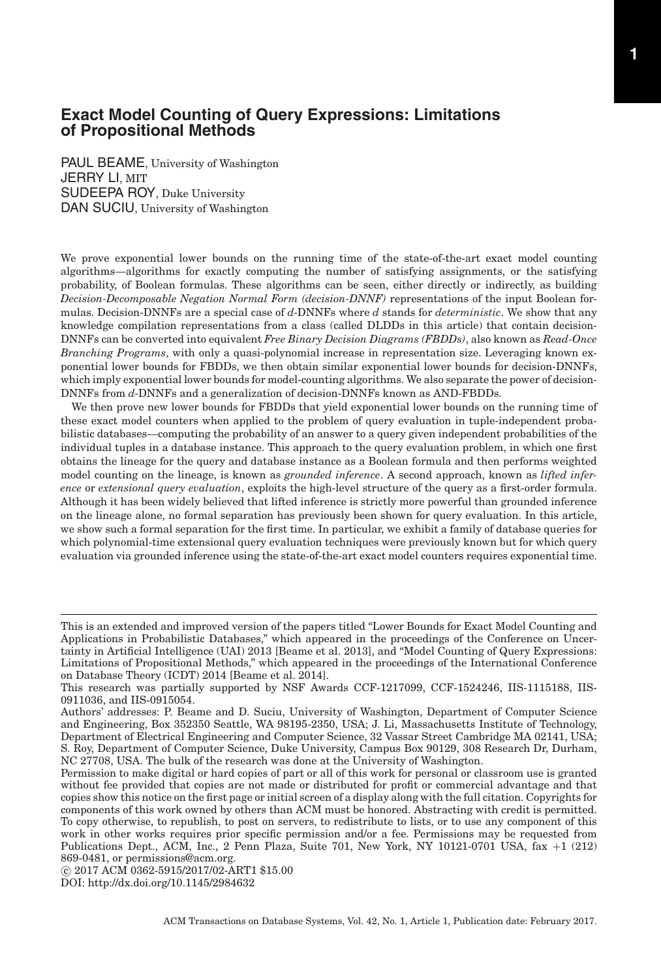PAUL BEAME, University of Washington JERRY LI, MIT SUDEEPA ROY, Duke University DAN SUCIU, University of Washington

We prove exponential lower bounds on the running time of the state-of-the-art exact model counting algorithms—algorithms for exactly computing the number of satisfying assignments, or the satisfying probability, of Boolean formulas. These algorithms can be seen, either directly or indirectly, as building *Decision-Decomposable Negation Normal Form (decision-DNNF)* representations of the input Boolean formulas. Decision-DNNFs are a special case of *d*-DNNFs where *d* stands for *deterministic*. We show that any knowledge compilation representations from a class (called DLDDs in this article) that contain decision-DNNFs can be converted into equivalent *Free Binary Decision Diagrams (FBDDs)*, also known as *Read-Once Branching Programs*, with only a quasi-polynomial increase in representation size. Leveraging known exponential lower bounds for FBDDs, we then obtain similar exponential lower bounds for decision-DNNFs, which imply exponential lower bounds for model-counting algorithms. We also separate the power of decision-DNNFs from *d*-DNNFs and a generalization of decision-DNNFs known as AND-FBDDs.

We then prove new lower bounds for FBDDs that yield exponential lower bounds on the running time of these exact model counters when applied to the problem of query evaluation in tuple-independent probabilistic databases—computing the probability of an answer to a query given independent probabilities of the individual tuples in a database instance. This approach to the query evaluation problem, in which one first obtains the lineage for the query and database instance as a Boolean formula and then performs weighted model counting on the lineage, is known as *grounded inference*. A second approach, known as *lifted inference* or *extensional query evaluation*, exploits the high-level structure of the query as a first-order formula. Although it has been widely believed that lifted inference is strictly more powerful than grounded inference on the lineage alone, no formal separation has previously been shown for query evaluation. In this article, we show such a formal separation for the first time. In particular, we exhibit a family of database queries for which polynomial-time extensional query evaluation techniques were previously known but for which query evaluation via grounded inference using the state-of-the-art exact model counters requires exponential time.

DOI:<http://dx.doi.org/10.1145/2984632>

This is an extended and improved version of the papers titled "Lower Bounds for Exact Model Counting and Applications in Probabilistic Databases," which appeared in the proceedings of the Conference on Uncertainty in Artificial Intelligence (UAI) 2013 [Beame et al. [2013\]](#page-44-0), and "Model Counting of Query Expressions: Limitations of Propositional Methods," which appeared in the proceedings of the International Conference on Database Theory (ICDT) 2014 [Beame et al. [2014\]](#page-44-1).

This research was partially supported by NSF Awards CCF-1217099, CCF-1524246, IIS-1115188, IIS-0911036, and IIS-0915054.

Authors' addresses: P. Beame and D. Suciu, University of Washington, Department of Computer Science and Engineering, Box 352350 Seattle, WA 98195-2350, USA; J. Li, Massachusetts Institute of Technology, Department of Electrical Engineering and Computer Science, 32 Vassar Street Cambridge MA 02141, USA; S. Roy, Department of Computer Science, Duke University, Campus Box 90129, 308 Research Dr, Durham, NC 27708, USA. The bulk of the research was done at the University of Washington.

Permission to make digital or hard copies of part or all of this work for personal or classroom use is granted without fee provided that copies are not made or distributed for profit or commercial advantage and that copies show this notice on the first page or initial screen of a display along with the full citation. Copyrights for components of this work owned by others than ACM must be honored. Abstracting with credit is permitted. To copy otherwise, to republish, to post on servers, to redistribute to lists, or to use any component of this work in other works requires prior specific permission and/or a fee. Permissions may be requested from Publications Dept., ACM, Inc., 2 Penn Plaza, Suite 701, New York, NY 10121-0701 USA, fax +1 (212) 869-0481, or permissions@acm.org.

<sup>-</sup>c 2017 ACM 0362-5915/2017/02-ART1 \$15.00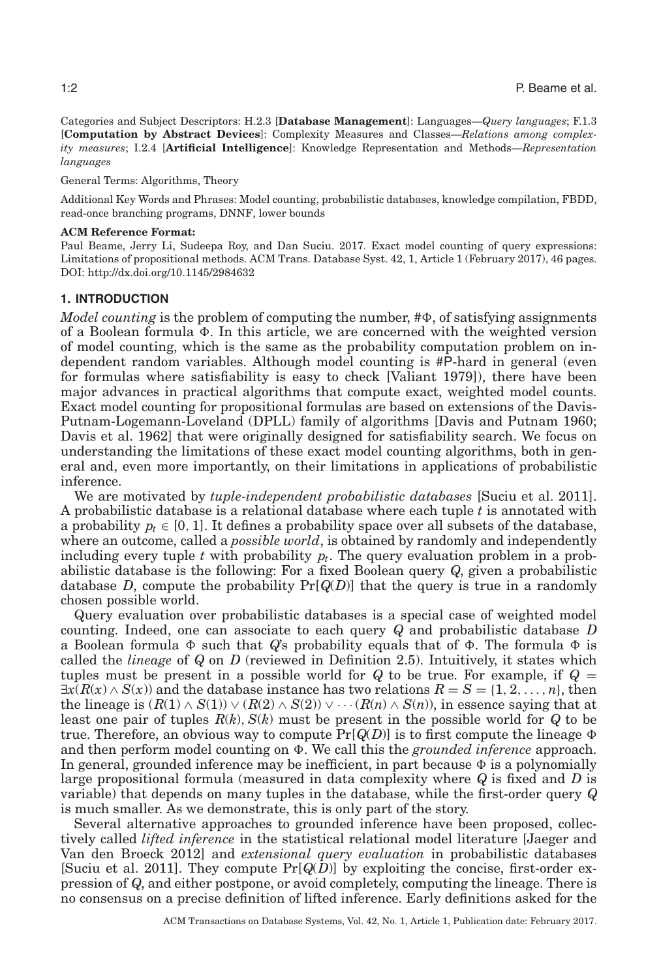Categories and Subject Descriptors: H.2.3 [**Database Management**]: Languages—*Query languages*; F.1.3 [**Computation by Abstract Devices**]: Complexity Measures and Classes—*Relations among complexity measures*; I.2.4 [**Artificial Intelligence**]: Knowledge Representation and Methods—*Representation languages*

General Terms: Algorithms, Theory

Additional Key Words and Phrases: Model counting, probabilistic databases, knowledge compilation, FBDD, read-once branching programs, DNNF, lower bounds

#### **ACM Reference Format:**

Paul Beame, Jerry Li, Sudeepa Roy, and Dan Suciu. 2017. Exact model counting of query expressions: Limitations of propositional methods. ACM Trans. Database Syst. 42, 1, Article 1 (February 2017), 46 pages. DOI:<http://dx.doi.org/10.1145/2984632>

### **1. INTRODUCTION**

*Model counting* is the problem of computing the number, # $\Phi$ , of satisfying assignments of a Boolean formula  $\Phi$ . In this article, we are concerned with the weighted version of model counting, which is the same as the probability computation problem on independent random variables. Although model counting is #P-hard in general (even for formulas where satisfiability is easy to check [Valiant [1979\]](#page-45-0)), there have been major advances in practical algorithms that compute exact, weighted model counts. Exact model counting for propositional formulas are based on extensions of the Davis-Putnam-Logemann-Loveland (DPLL) family of algorithms [Davis and Putnam [1960;](#page-44-2) Davis et al. [1962\]](#page-44-3) that were originally designed for satisfiability search. We focus on understanding the limitations of these exact model counting algorithms, both in general and, even more importantly, on their limitations in applications of probabilistic inference.

We are motivated by *tuple-independent probabilistic databases* [Suciu et al. [2011\]](#page-45-1). A probabilistic database is a relational database where each tuple *t* is annotated with a probability  $p_t \in [0, 1]$ . It defines a probability space over all subsets of the database, where an outcome, called a *possible world*, is obtained by randomly and independently including every tuple  $t$  with probability  $p_t$ . The query evaluation problem in a probabilistic database is the following: For a fixed Boolean query *Q*, given a probabilistic database *D*, compute the probability  $Pr[Q(D)]$  that the query is true in a randomly chosen possible world.

Query evaluation over probabilistic databases is a special case of weighted model counting. Indeed, one can associate to each query *Q* and probabilistic database *D* a Boolean formula  $\Phi$  such that  $Q$ 's probability equals that of  $\Phi$ . The formula  $\Phi$  is called the *lineage* of *Q* on *D* (reviewed in Definition [2.5\)](#page-9-0). Intuitively, it states which tuples must be present in a possible world for  $Q$  to be true. For example, if  $Q =$  $\exists x(R(x) \land S(x))$  and the database instance has two relations  $R = S = \{1, 2, ..., n\}$ , then the lineage is  $(R(1) \wedge S(1)) \vee (R(2) \wedge S(2)) \vee \cdots (R(n) \wedge S(n))$ , in essence saying that at least one pair of tuples *R*(*k*), *S*(*k*) must be present in the possible world for *Q* to be true. Therefore, an obvious way to compute  $Pr[Q(D)]$  is to first compute the lineage  $\Phi$ and then perform model counting on  $\Phi$ . We call this the *grounded inference* approach. In general, grounded inference may be inefficient, in part because  $\Phi$  is a polynomially large propositional formula (measured in data complexity where *Q* is fixed and *D* is variable) that depends on many tuples in the database, while the first-order query *Q* is much smaller. As we demonstrate, this is only part of the story.

Several alternative approaches to grounded inference have been proposed, collectively called *lifted inference* in the statistical relational model literature [Jaeger and Van den Broeck [2012\]](#page-44-4) and *extensional query evaluation* in probabilistic databases [Suciu et al. [2011\]](#page-45-1). They compute  $Pr[Q(D)]$  by exploiting the concise, first-order expression of *Q*, and either postpone, or avoid completely, computing the lineage. There is no consensus on a precise definition of lifted inference. Early definitions asked for the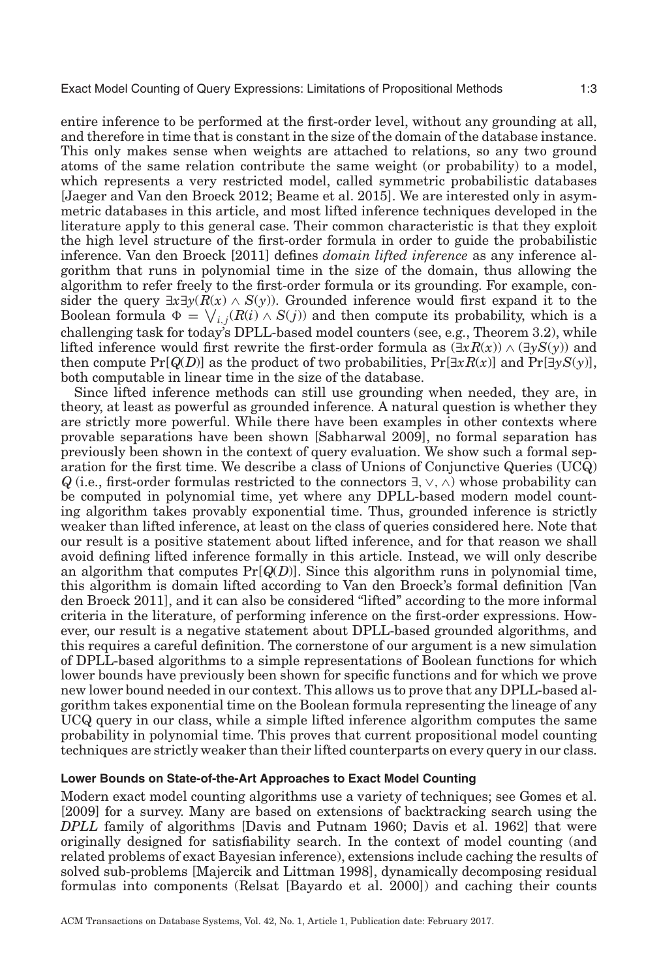entire inference to be performed at the first-order level, without any grounding at all, and therefore in time that is constant in the size of the domain of the database instance. This only makes sense when weights are attached to relations, so any two ground atoms of the same relation contribute the same weight (or probability) to a model, which represents a very restricted model, called symmetric probabilistic databases [Jaeger and Van den Broeck [2012;](#page-44-4) Beame et al. [2015\]](#page-44-5). We are interested only in asymmetric databases in this article, and most lifted inference techniques developed in the literature apply to this general case. Their common characteristic is that they exploit the high level structure of the first-order formula in order to guide the probabilistic inference. Van den Broeck [\[2011\]](#page-45-2) defines *domain lifted inference* as any inference algorithm that runs in polynomial time in the size of the domain, thus allowing the algorithm to refer freely to the first-order formula or its grounding. For example, consider the query  $\exists x \exists y (R(x) \land S(y))$ . Grounded inference would first expand it to the

Boolean formula  $\Phi = \bigvee_{i,j}(R(i) \wedge S(j))$  and then compute its probability, which is a challenging task for today's DPLL-based model counters (see, e.g., Theorem [3.2\)](#page-11-0), while lifted inference would first rewrite the first-order formula as  $(\exists x R(x)) \wedge (\exists y S(y))$  and then compute  $Pr[Q(D)]$  as the product of two probabilities,  $Pr[\exists x R(x)]$  and  $Pr[\exists y S(y)]$ , both computable in linear time in the size of the database.

Since lifted inference methods can still use grounding when needed, they are, in theory, at least as powerful as grounded inference. A natural question is whether they are strictly more powerful. While there have been examples in other contexts where provable separations have been shown [Sabharwal [2009\]](#page-45-3), no formal separation has previously been shown in the context of query evaluation. We show such a formal separation for the first time. We describe a class of Unions of Conjunctive Queries (UCQ) *Q* (i.e., first-order formulas restricted to the connectors  $\exists$ ,  $\vee$ ,  $\wedge$ ) whose probability can be computed in polynomial time, yet where any DPLL-based modern model counting algorithm takes provably exponential time. Thus, grounded inference is strictly weaker than lifted inference, at least on the class of queries considered here. Note that our result is a positive statement about lifted inference, and for that reason we shall avoid defining lifted inference formally in this article. Instead, we will only describe an algorithm that computes Pr[*Q*(*D*)]. Since this algorithm runs in polynomial time, this algorithm is domain lifted according to Van den Broeck's formal definition [Van den Broeck [2011\]](#page-45-2), and it can also be considered "lifted" according to the more informal criteria in the literature, of performing inference on the first-order expressions. However, our result is a negative statement about DPLL-based grounded algorithms, and this requires a careful definition. The cornerstone of our argument is a new simulation of DPLL-based algorithms to a simple representations of Boolean functions for which lower bounds have previously been shown for specific functions and for which we prove new lower bound needed in our context. This allows us to prove that any DPLL-based algorithm takes exponential time on the Boolean formula representing the lineage of any UCQ query in our class, while a simple lifted inference algorithm computes the same probability in polynomial time. This proves that current propositional model counting techniques are strictly weaker than their lifted counterparts on every query in our class.

# **Lower Bounds on State-of-the-Art Approaches to Exact Model Counting**

Modern exact model counting algorithms use a variety of techniques; see Gomes et al. [\[2009\]](#page-44-6) for a survey. Many are based on extensions of backtracking search using the *DPLL* family of algorithms [Davis and Putnam [1960;](#page-44-2) Davis et al. [1962\]](#page-44-3) that were originally designed for satisfiability search. In the context of model counting (and related problems of exact Bayesian inference), extensions include caching the results of solved sub-problems [Majercik and Littman [1998\]](#page-44-7), dynamically decomposing residual formulas into components (Relsat [Bayardo et al. [2000\]](#page-44-8)) and caching their counts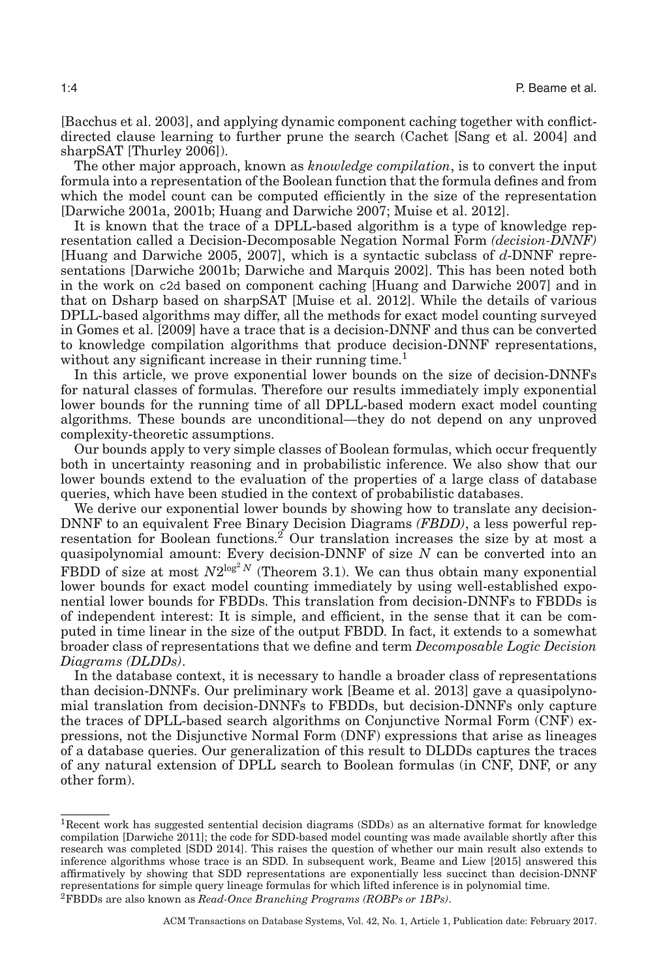[Bacchus et al. [2003\]](#page-44-9), and applying dynamic component caching together with conflictdirected clause learning to further prune the search (Cachet [Sang et al. [2004\]](#page-45-4) and sharpSAT [Thurley [2006\]](#page-45-5)).

The other major approach, known as *knowledge compilation*, is to convert the input formula into a representation of the Boolean function that the formula defines and from which the model count can be computed efficiently in the size of the representation [Darwiche [2001a,](#page-44-10) [2001b;](#page-44-11) Huang and Darwiche [2007;](#page-44-12) Muise et al. [2012\]](#page-45-6).

It is known that the trace of a DPLL-based algorithm is a type of knowledge representation called a Decision-Decomposable Negation Normal Form *(decision-DNNF)* [Huang and Darwiche [2005,](#page-44-13) [2007\]](#page-44-12), which is a syntactic subclass of *d*-DNNF representations [Darwiche [2001b;](#page-44-11) Darwiche and Marquis [2002\]](#page-44-14). This has been noted both in the work on c2d based on component caching [Huang and Darwiche [2007\]](#page-44-12) and in that on Dsharp based on sharpSAT [Muise et al. [2012\]](#page-45-6). While the details of various DPLL-based algorithms may differ, all the methods for exact model counting surveyed in Gomes et al. [\[2009\]](#page-44-6) have a trace that is a decision-DNNF and thus can be converted to knowledge compilation algorithms that produce decision-DNNF representations, without any significant increase in their running time.<sup>1</sup>

In this article, we prove exponential lower bounds on the size of decision-DNNFs for natural classes of formulas. Therefore our results immediately imply exponential lower bounds for the running time of all DPLL-based modern exact model counting algorithms. These bounds are unconditional—they do not depend on any unproved complexity-theoretic assumptions.

Our bounds apply to very simple classes of Boolean formulas, which occur frequently both in uncertainty reasoning and in probabilistic inference. We also show that our lower bounds extend to the evaluation of the properties of a large class of database queries, which have been studied in the context of probabilistic databases.

We derive our exponential lower bounds by showing how to translate any decision-DNNF to an equivalent Free Binary Decision Diagrams *(FBDD)*, a less powerful representation for Boolean functions.<sup>2</sup> Our translation increases the size by at most a quasipolynomial amount: Every decision-DNNF of size *N* can be converted into an FBDD of size at most  $N2^{\log^2 N}$  (Theorem [3.1\)](#page-11-1). We can thus obtain many exponential lower bounds for exact model counting immediately by using well-established exponential lower bounds for FBDDs. This translation from decision-DNNFs to FBDDs is of independent interest: It is simple, and efficient, in the sense that it can be computed in time linear in the size of the output FBDD. In fact, it extends to a somewhat broader class of representations that we define and term *Decomposable Logic Decision Diagrams (DLDDs)*.

In the database context, it is necessary to handle a broader class of representations than decision-DNNFs. Our preliminary work [Beame et al. [2013\]](#page-44-0) gave a quasipolynomial translation from decision-DNNFs to FBDDs, but decision-DNNFs only capture the traces of DPLL-based search algorithms on Conjunctive Normal Form (CNF) expressions, not the Disjunctive Normal Form (DNF) expressions that arise as lineages of a database queries. Our generalization of this result to DLDDs captures the traces of any natural extension of DPLL search to Boolean formulas (in CNF, DNF, or any other form).

<span id="page-3-1"></span><span id="page-3-0"></span><sup>1</sup>Recent work has suggested sentential decision diagrams (SDDs) as an alternative format for knowledge compilation [Darwiche [2011\]](#page-44-15); the code for SDD-based model counting was made available shortly after this research was completed [SDD [2014\]](#page-44-16). This raises the question of whether our main result also extends to inference algorithms whose trace is an SDD. In subsequent work, Beame and Liew [\[2015\]](#page-44-17) answered this affirmatively by showing that SDD representations are exponentially less succinct than decision-DNNF representations for simple query lineage formulas for which lifted inference is in polynomial time. 2FBDDs are also known as *Read-Once Branching Programs (ROBPs or 1BPs)*.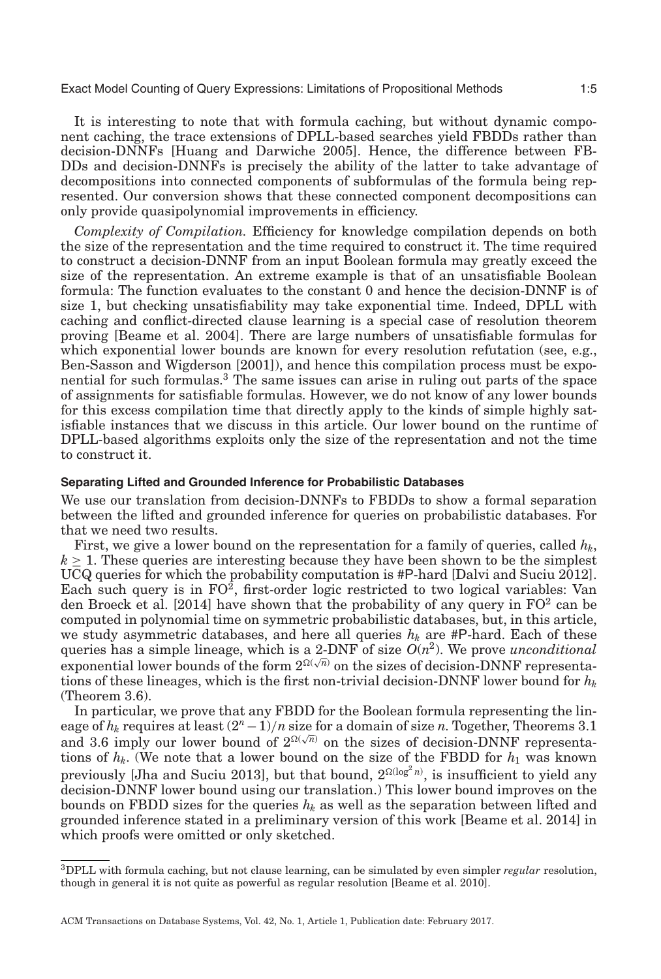It is interesting to note that with formula caching, but without dynamic component caching, the trace extensions of DPLL-based searches yield FBDDs rather than decision-DNNFs [Huang and Darwiche [2005\]](#page-44-13). Hence, the difference between FB-DDs and decision-DNNFs is precisely the ability of the latter to take advantage of decompositions into connected components of subformulas of the formula being represented. Our conversion shows that these connected component decompositions can only provide quasipolynomial improvements in efficiency.

*Complexity of Compilation.* Efficiency for knowledge compilation depends on both the size of the representation and the time required to construct it. The time required to construct a decision-DNNF from an input Boolean formula may greatly exceed the size of the representation. An extreme example is that of an unsatisfiable Boolean formula: The function evaluates to the constant 0 and hence the decision-DNNF is of size 1, but checking unsatisfiability may take exponential time. Indeed, DPLL with caching and conflict-directed clause learning is a special case of resolution theorem proving [Beame et al. [2004\]](#page-44-18). There are large numbers of unsatisfiable formulas for which exponential lower bounds are known for every resolution refutation (see, e.g., Ben-Sasson and Wigderson [\[2001\]](#page-44-19)), and hence this compilation process must be exponential for such formulas.[3](#page-4-0) The same issues can arise in ruling out parts of the space of assignments for satisfiable formulas. However, we do not know of any lower bounds for this excess compilation time that directly apply to the kinds of simple highly satisfiable instances that we discuss in this article. Our lower bound on the runtime of DPLL-based algorithms exploits only the size of the representation and not the time to construct it.

## **Separating Lifted and Grounded Inference for Probabilistic Databases**

We use our translation from decision-DNNFs to FBDDs to show a formal separation between the lifted and grounded inference for queries on probabilistic databases. For that we need two results.

First, we give a lower bound on the representation for a family of queries, called  $h_k$ ,  $k \geq 1$ . These queries are interesting because they have been shown to be the simplest UCQ queries for which the probability computation is #P-hard [Dalvi and Suciu [2012\]](#page-44-20). Each such query is in  $FO^2$ , first-order logic restricted to two logical variables: Van den Broeck et al. [\[2014\]](#page-45-7) have shown that the probability of any query in  $FO<sup>2</sup>$  can be computed in polynomial time on symmetric probabilistic databases, but, in this article, we study asymmetric databases, and here all queries  $h_k$  are #P-hard. Each of these queries has a simple lineage, which is a 2-DNF of size  $O(n^2)$ . We prove *unconditional* exponential lower bounds of the form  $2^{\Omega(\sqrt{n})}$  on the sizes of decision-DNNF representations of these lineages, which is the first non-trivial decision-DNNF lower bound for  $h_k$ (Theorem [3.6\)](#page-13-0).

In particular, we prove that any FBDD for the Boolean formula representing the lineage of  $h_k$  requires at least  $(2^n - 1)/n$  size for a domain of size *n*. Together, Theorems [3.1](#page-11-1) and [3.6](#page-13-0) imply our lower bound of  $2^{\Omega(\sqrt{n})}$  on the sizes of decision-DNNF representations of  $h_k$ . (We note that a lower bound on the size of the FBDD for  $h_1$  was known previously [Jha and Suciu [2013\]](#page-44-21), but that bound,  $2^{\Omega(\log^2 n)}$ , is insufficient to yield any decision-DNNF lower bound using our translation.) This lower bound improves on the bounds on FBDD sizes for the queries  $h_k$  as well as the separation between lifted and grounded inference stated in a preliminary version of this work [Beame et al. [2014\]](#page-44-1) in which proofs were omitted or only sketched.

<span id="page-4-0"></span><sup>3</sup>DPLL with formula caching, but not clause learning, can be simulated by even simpler *regular* resolution, though in general it is not quite as powerful as regular resolution [Beame et al. [2010\]](#page-44-22).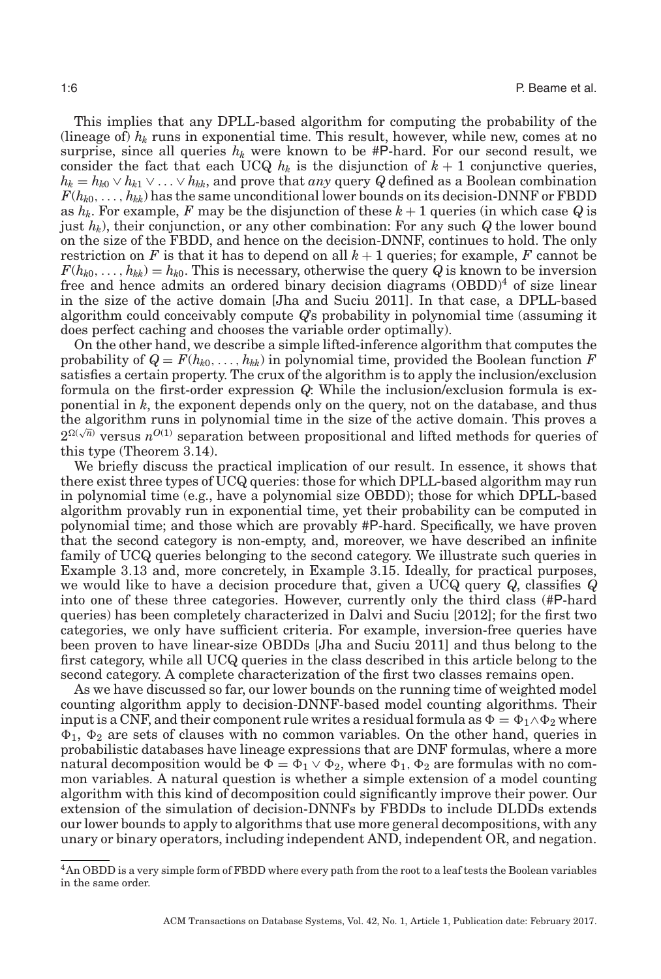This implies that any DPLL-based algorithm for computing the probability of the (lineage of)  $h_k$  runs in exponential time. This result, however, while new, comes at no surprise, since all queries  $h_k$  were known to be  $\#P$ -hard. For our second result, we consider the fact that each UCQ  $h_k$  is the disjunction of  $k+1$  conjunctive queries,  $h_k = h_{k0} \vee h_{k1} \vee \ldots \vee h_{kk}$ , and prove that *any* query *Q* defined as a Boolean combination  $F(h_{k0},\ldots,h_{kk})$  has the same unconditional lower bounds on its decision-DNNF or FBDD as  $h_k$ . For example, F may be the disjunction of these  $k+1$  queries (in which case Q is just *hk*), their conjunction, or any other combination: For any such *Q* the lower bound on the size of the FBDD, and hence on the decision-DNNF, continues to hold. The only restriction on *F* is that it has to depend on all  $k + 1$  queries; for example, *F* cannot be  $F(h_{k0},\ldots,h_{kk})=h_{k0}$ . This is necessary, otherwise the query *Q* is known to be inversion free and hence admits an ordered binary decision diagrams  $(OBDD)^4$  of size linear in the size of the active domain [Jha and Suciu [2011\]](#page-44-23). In that case, a DPLL-based algorithm could conceivably compute *Q*'s probability in polynomial time (assuming it does perfect caching and chooses the variable order optimally).

On the other hand, we describe a simple lifted-inference algorithm that computes the probability of  $Q = F(h_{k0}, \ldots, h_{kk})$  in polynomial time, provided the Boolean function F satisfies a certain property. The crux of the algorithm is to apply the inclusion/exclusion formula on the first-order expression *Q*: While the inclusion/exclusion formula is exponential in *k*, the exponent depends only on the query, not on the database, and thus the algorithm runs in polynomial time in the size of the active domain. This proves a  $2^{\Omega(\sqrt{n})}$  versus  $n^{O(1)}$  separation between propositional and lifted methods for queries of this type (Theorem 3.14).

We briefly discuss the practical implication of our result. In essence, it shows that there exist three types of UCQ queries: those for which DPLL-based algorithm may run in polynomial time (e.g., have a polynomial size OBDD); those for which DPLL-based algorithm provably run in exponential time, yet their probability can be computed in polynomial time; and those which are provably #P-hard. Specifically, we have proven that the second category is non-empty, and, moreover, we have described an infinite family of UCQ queries belonging to the second category. We illustrate such queries in Example [3.13](#page-15-0) and, more concretely, in Example [3.15.](#page-17-0) Ideally, for practical purposes, we would like to have a decision procedure that, given a UCQ query *Q*, classifies *Q* into one of these three categories. However, currently only the third class (#P-hard queries) has been completely characterized in Dalvi and Suciu [\[2012\]](#page-44-20); for the first two categories, we only have sufficient criteria. For example, inversion-free queries have been proven to have linear-size OBDDs [Jha and Suciu [2011\]](#page-44-23) and thus belong to the first category, while all UCQ queries in the class described in this article belong to the second category. A complete characterization of the first two classes remains open.

As we have discussed so far, our lower bounds on the running time of weighted model counting algorithm apply to decision-DNNF-based model counting algorithms. Their input is a CNF, and their component rule writes a residual formula as  $\Phi = \Phi_1 \wedge \Phi_2$  where  $\Phi_1$ ,  $\Phi_2$  are sets of clauses with no common variables. On the other hand, queries in probabilistic databases have lineage expressions that are DNF formulas, where a more natural decomposition would be  $\Phi = \Phi_1 \vee \Phi_2$ , where  $\Phi_1$ ,  $\Phi_2$  are formulas with no common variables. A natural question is whether a simple extension of a model counting algorithm with this kind of decomposition could significantly improve their power. Our extension of the simulation of decision-DNNFs by FBDDs to include DLDDs extends our lower bounds to apply to algorithms that use more general decompositions, with any unary or binary operators, including independent AND, independent OR, and negation.

<span id="page-5-0"></span><sup>4</sup>An OBDD is a very simple form of FBDD where every path from the root to a leaf tests the Boolean variables in the same order.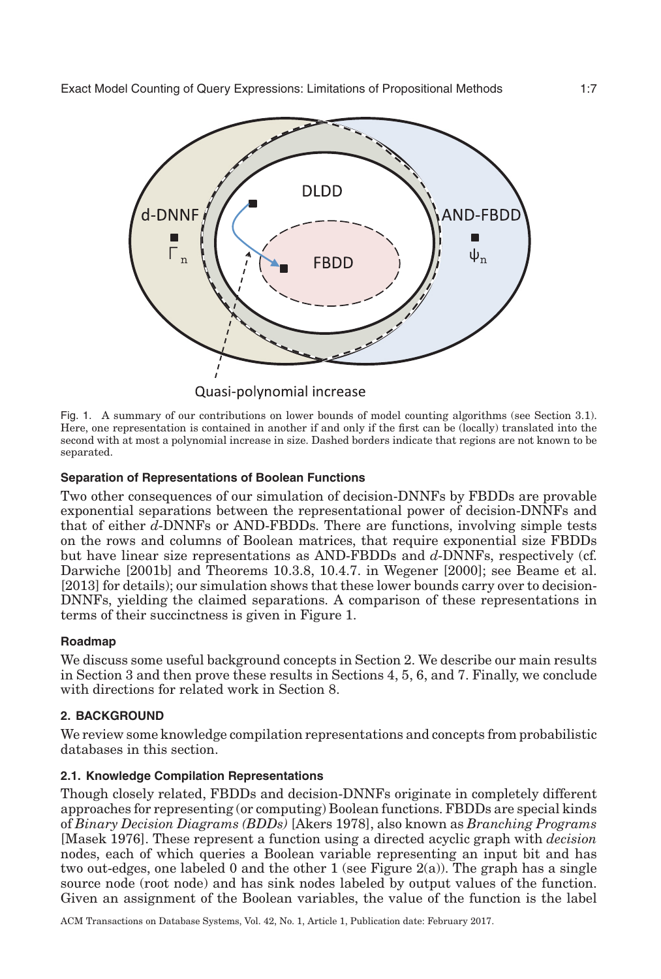<span id="page-6-0"></span>

Quasi-polynomial increase

Fig. 1. A summary of our contributions on lower bounds of model counting algorithms (see Section [3.1\)](#page-11-2). Here, one representation is contained in another if and only if the first can be (locally) translated into the second with at most a polynomial increase in size. Dashed borders indicate that regions are not known to be separated.

# **Separation of Representations of Boolean Functions**

Two other consequences of our simulation of decision-DNNFs by FBDDs are provable exponential separations between the representational power of decision-DNNFs and that of either *d*-DNNFs or AND-FBDDs. There are functions, involving simple tests on the rows and columns of Boolean matrices, that require exponential size FBDDs but have linear size representations as AND-FBDDs and *d*-DNNFs, respectively (cf. Darwiche [\[2001b\]](#page-44-11) and Theorems 10.3.8, 10.4.7. in Wegener [\[2000\]](#page-45-8); see Beame et al. [\[2013\]](#page-44-0) for details); our simulation shows that these lower bounds carry over to decision-DNNFs, yielding the claimed separations. A comparison of these representations in terms of their succinctness is given in Figure [1.](#page-6-0)

# **Roadmap**

We discuss some useful background concepts in Section [2.](#page-6-1) We describe our main results in Section [3](#page-10-0) and then prove these results in Sections [4,](#page-17-1) [5,](#page-23-0) [6,](#page-33-0) and [7.](#page-41-0) Finally, we conclude with directions for related work in Section [8.](#page-43-0)

# **2. BACKGROUND**

<span id="page-6-1"></span>We review some knowledge compilation representations and concepts from probabilistic databases in this section.

# **2.1. Knowledge Compilation Representations**

Though closely related, FBDDs and decision-DNNFs originate in completely different approaches for representing (or computing) Boolean functions. FBDDs are special kinds of *Binary Decision Diagrams (BDDs)* [Akers [1978\]](#page-44-24), also known as *Branching Programs* [Masek [1976\]](#page-44-25). These represent a function using a directed acyclic graph with *decision* nodes, each of which queries a Boolean variable representing an input bit and has two out-edges, one labeled 0 and the other 1 (see Figure [2\(](#page-7-0)a)). The graph has a single source node (root node) and has sink nodes labeled by output values of the function. Given an assignment of the Boolean variables, the value of the function is the label

ACM Transactions on Database Systems, Vol. 42, No. 1, Article 1, Publication date: February 2017.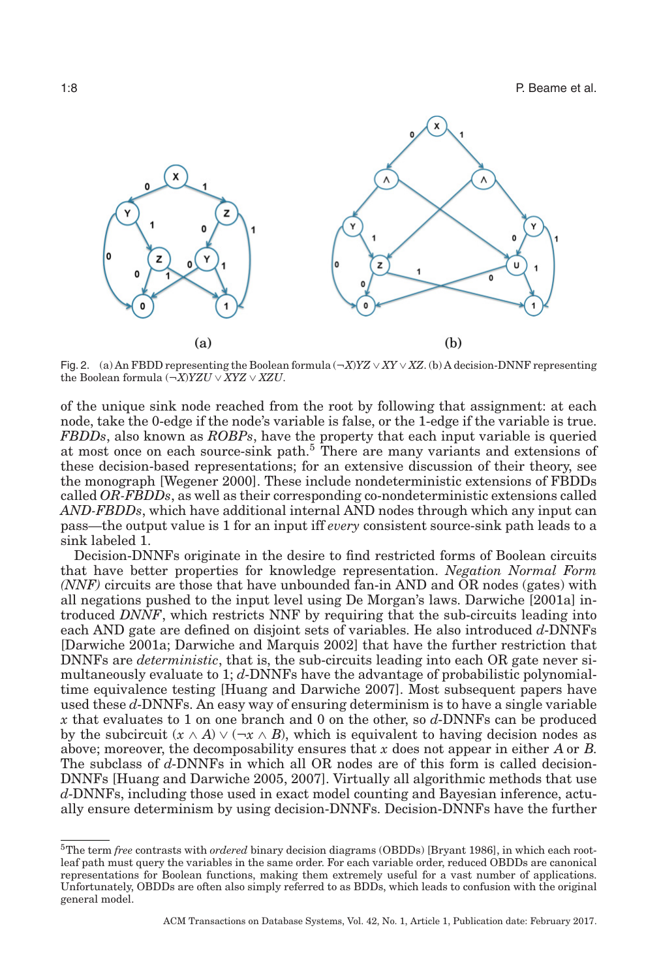<span id="page-7-0"></span>

Fig. 2. (a) An FBDD representing the Boolean formula (¬*X*)*YZ* ∨ *XY* ∨ *XZ*. (b) A decision-DNNF representing the Boolean formula (¬*X*)*YZU* ∨ *XYZ* ∨ *XZU*.

of the unique sink node reached from the root by following that assignment: at each node, take the 0-edge if the node's variable is false, or the 1-edge if the variable is true. *FBDDs*, also known as *ROBPs*, have the property that each input variable is queried at most once on each source-sink path.<sup>5</sup> There are many variants and extensions of these decision-based representations; for an extensive discussion of their theory, see the monograph [Wegener [2000\]](#page-45-8). These include nondeterministic extensions of FBDDs called *OR-FBDDs*, as well as their corresponding co-nondeterministic extensions called *AND-FBDDs*, which have additional internal AND nodes through which any input can pass—the output value is 1 for an input iff *every* consistent source-sink path leads to a sink labeled 1.

Decision-DNNFs originate in the desire to find restricted forms of Boolean circuits that have better properties for knowledge representation. *Negation Normal Form (NNF)* circuits are those that have unbounded fan-in AND and OR nodes (gates) with all negations pushed to the input level using De Morgan's laws. Darwiche [\[2001a\]](#page-44-10) introduced *DNNF*, which restricts NNF by requiring that the sub-circuits leading into each AND gate are defined on disjoint sets of variables. He also introduced *d*-DNNFs [Darwiche [2001a;](#page-44-10) Darwiche and Marquis [2002\]](#page-44-14) that have the further restriction that DNNFs are *deterministic*, that is, the sub-circuits leading into each OR gate never simultaneously evaluate to 1; *d*-DNNFs have the advantage of probabilistic polynomialtime equivalence testing [Huang and Darwiche [2007\]](#page-44-12). Most subsequent papers have used these *d*-DNNFs. An easy way of ensuring determinism is to have a single variable *x* that evaluates to 1 on one branch and 0 on the other, so *d*-DNNFs can be produced by the subcircuit  $(x \wedge A) \vee (\neg x \wedge B)$ , which is equivalent to having decision nodes as above; moreover, the decomposability ensures that *x* does not appear in either *A* or *B*. The subclass of *d*-DNNFs in which all OR nodes are of this form is called decision-DNNFs [Huang and Darwiche [2005,](#page-44-13) [2007\]](#page-44-12). Virtually all algorithmic methods that use *d*-DNNFs, including those used in exact model counting and Bayesian inference, actually ensure determinism by using decision-DNNFs. Decision-DNNFs have the further

<span id="page-7-1"></span><sup>5</sup>The term *free* contrasts with *ordered* binary decision diagrams (OBDDs) [Bryant [1986\]](#page-44-26), in which each rootleaf path must query the variables in the same order. For each variable order, reduced OBDDs are canonical representations for Boolean functions, making them extremely useful for a vast number of applications. Unfortunately, OBDDs are often also simply referred to as BDDs, which leads to confusion with the original general model.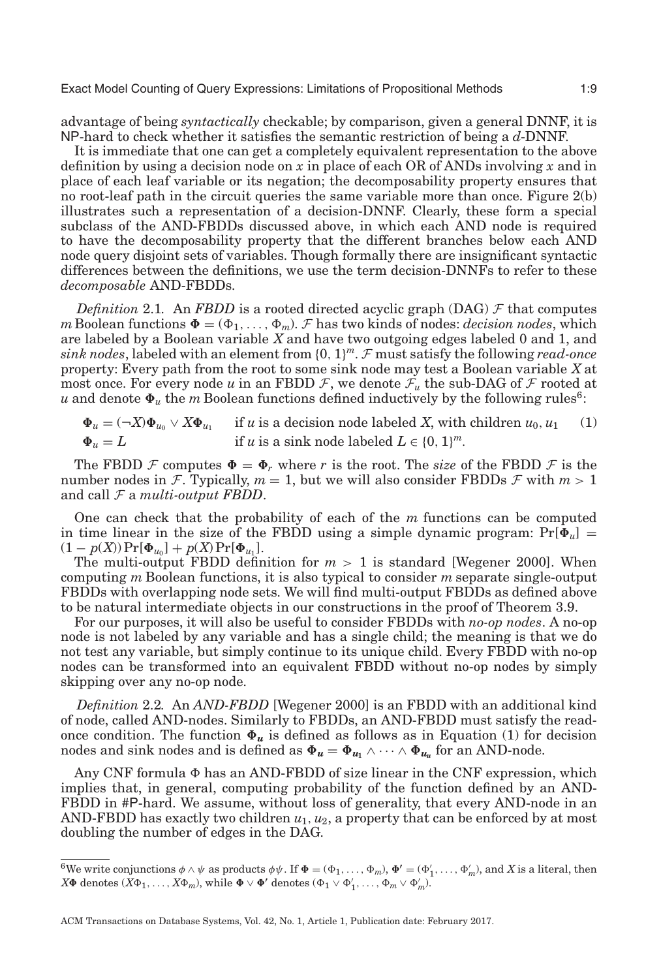advantage of being *syntactically* checkable; by comparison, given a general DNNF, it is NP-hard to check whether it satisfies the semantic restriction of being a *d*-DNNF.

It is immediate that one can get a completely equivalent representation to the above definition by using a decision node on *x* in place of each OR of ANDs involving *x* and in place of each leaf variable or its negation; the decomposability property ensures that no root-leaf path in the circuit queries the same variable more than once. Figure [2\(](#page-7-0)b) illustrates such a representation of a decision-DNNF. Clearly, these form a special subclass of the AND-FBDDs discussed above, in which each AND node is required to have the decomposability property that the different branches below each AND node query disjoint sets of variables. Though formally there are insignificant syntactic differences between the definitions, we use the term decision-DNNFs to refer to these *decomposable* AND-FBDDs.

*Definition* 2.1. An *FBDD* is a rooted directed acyclic graph (DAG)  $\mathcal F$  that computes *m* Boolean functions  $\Phi = (\Phi_1, \ldots, \Phi_m)$ . *F* has two kinds of nodes: *decision nodes*, which are labeled by a Boolean variable *X* and have two outgoing edges labeled 0 and 1, and *sink nodes*, labeled with an element from  $\{0, 1\}^m$ . F must satisfy the following *read-once* property: Every path from the root to some sink node may test a Boolean variable *X* at most once. For every node *u* in an FBDD  $\mathcal{F}$ , we denote  $\mathcal{F}_u$  the sub-DAG of  $\mathcal{F}$  rooted at  $u$  and denote  $\pmb{\Phi}_u$  the  $m$  Boolean functions defined inductively by the following rules<sup>6</sup>:

<span id="page-8-1"></span> $\Phi_u = (\neg X)\Phi_{u_0} \lor X\Phi_{u_1}$  if *u* is a decision node labeled *X*, with children  $u_0, u_1$  (1)  $\Phi_u = L$ *if u* is a sink node labeled  $L \in \{0, 1\}^m$ .

The FBDD  $\mathcal F$  computes  $\Phi = \Phi_r$  where *r* is the root. The *size* of the FBDD  $\mathcal F$  is the number nodes in F. Typically,  $m = 1$ , but we will also consider FBDDs F with  $m > 1$ and call F a *multi-output FBDD*.

One can check that the probability of each of the *m* functions can be computed in time linear in the size of the FBDD using a simple dynamic program:  $Pr[\Phi_u] =$  $(1 - p(X)) \Pr[\Phi_{u_0}] + p(X) \Pr[\Phi_{u_1}].$ 

The multi-output FBDD definition for  $m > 1$  is standard [Wegener [2000\]](#page-45-8). When computing *m* Boolean functions, it is also typical to consider *m* separate single-output FBDDs with overlapping node sets. We will find multi-output FBDDs as defined above to be natural intermediate objects in our constructions in the proof of Theorem [3.9.](#page-14-0)

For our purposes, it will also be useful to consider FBDDs with *no-op nodes*. A no-op node is not labeled by any variable and has a single child; the meaning is that we do not test any variable, but simply continue to its unique child. Every FBDD with no-op nodes can be transformed into an equivalent FBDD without no-op nodes by simply skipping over any no-op node.

*Definition* 2.2*.* An *AND-FBDD* [Wegener [2000\]](#page-45-8) is an FBDD with an additional kind of node, called AND-nodes. Similarly to FBDDs, an AND-FBDD must satisfy the readonce condition. The function  $\Phi_u$  is defined as follows as in Equation [\(1\)](#page-8-1) for decision nodes and sink nodes and is defined as  $\Phi_u = \Phi_{u_1} \wedge \cdots \wedge \Phi_{u_u}$  for an AND-node.

Any CNF formula  $\Phi$  has an AND-FBDD of size linear in the CNF expression, which implies that, in general, computing probability of the function defined by an AND-FBDD in #P-hard. We assume, without loss of generality, that every AND-node in an AND-FBDD has exactly two children  $u_1, u_2$ , a property that can be enforced by at most doubling the number of edges in the DAG.

<span id="page-8-0"></span> ${}^6$ We write conjunctions  $\phi \wedge \psi$  as products  $\phi \psi$ . If  $\Phi = (\Phi_1, \ldots, \Phi_m)$ ,  $\Phi' = (\Phi'_1, \ldots, \Phi'_m)$ , and *X* is a literal, then  $X\Phi$  denotes  $(X\Phi_1, \ldots, X\Phi_m)$ , while  $\Phi \vee \Phi'$  denotes  $(\Phi_1 \vee \Phi'_1, \ldots, \Phi_m \vee \Phi'_m)$ .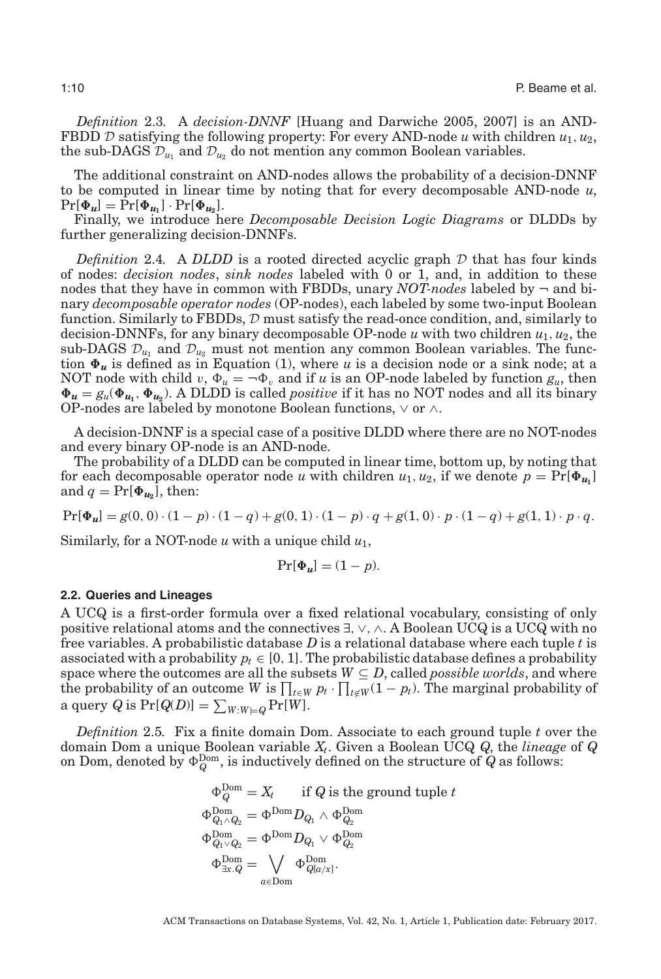*Definition* 2.3*.* A *decision-DNNF* [Huang and Darwiche [2005,](#page-44-13) [2007\]](#page-44-12) is an AND-FBDD  $D$  satisfying the following property: For every AND-node *u* with children  $u_1, u_2$ , the sub-DAGS  $\mathcal{D}_{u_1}$  and  $\mathcal{D}_{u_2}$  do not mention any common Boolean variables.

The additional constraint on AND-nodes allows the probability of a decision-DNNF to be computed in linear time by noting that for every decomposable AND-node *u*,  $Pr[\Phi_{u}] = Pr[\Phi_{u_1}] \cdot Pr[\Phi_{u_2}].$ 

Finally, we introduce here *Decomposable Decision Logic Diagrams* or DLDDs by further generalizing decision-DNNFs.

<span id="page-9-1"></span>*Definition* 2.4. A *DLDD* is a rooted directed acyclic graph  $D$  that has four kinds of nodes: *decision nodes*, *sink nodes* labeled with 0 or 1, and, in addition to these nodes that they have in common with FBDDs, unary  $NOT-nodes$  labeled by  $\neg$  and binary *decomposable operator nodes* (OP-nodes), each labeled by some two-input Boolean function. Similarly to FBDDs,  $D$  must satisfy the read-once condition, and, similarly to decision-DNNFs, for any binary decomposable OP-node *u* with two children *u*1, *u*2, the sub-DAGS  $\mathcal{D}_{u_1}$  and  $\mathcal{D}_{u_2}$  must not mention any common Boolean variables. The function  $\Phi_u$  is defined as in Equation [\(1\)](#page-8-1), where  $u$  is a decision node or a sink node; at a NOT node with child  $v, \Phi_u = \neg \Phi_v$  and if *u* is an OP-node labeled by function  $g_u$ , then  $\Phi_u = g_u(\Phi_{u_1}, \Phi_{u_2})$ . A DLDD is called *positive* if it has no NOT nodes and all its binary OP-nodes are labeled by monotone Boolean functions,  $\vee$  or  $\wedge$ .

A decision-DNNF is a special case of a positive DLDD where there are no NOT-nodes and every binary OP-node is an AND-node.

The probability of a DLDD can be computed in linear time, bottom up, by noting that for each decomposable operator node *u* with children  $u_1, u_2$ , if we denote  $p = \Pr[\Phi_{u_1}]$ and  $q = Pr[\Phi_{u_2}]$ , then:

 $Pr[\Phi_u] = g(0, 0) \cdot (1 - p) \cdot (1 - q) + g(0, 1) \cdot (1 - p) \cdot q + g(1, 0) \cdot p \cdot (1 - q) + g(1, 1) \cdot p \cdot q.$ 

Similarly, for a NOT-node *u* with a unique child *u*1,

$$
\Pr[\Phi_u] = (1 - p).
$$

#### **2.2. Queries and Lineages**

A UCQ is a first-order formula over a fixed relational vocabulary, consisting of only positive relational atoms and the connectives  $\exists$ ,  $\vee$ ,  $\wedge$ . A Boolean UCQ is a UCQ with no free variables. A probabilistic database *D* is a relational database where each tuple *t* is associated with a probability  $p_t \in [0, 1]$ . The probabilistic database defines a probability space where the outcomes are all the subsets  $W \subseteq D$ , called *possible worlds*, and where the probability of an outcome *W* is  $\prod_{t \in W} p_t \cdot \prod_{t \notin W} (1 - p_t)$ . The marginal probability of a query  $Q$  is  $\Pr[Q(D)] = \sum_{W:W \models Q} \Pr[W]$ .

<span id="page-9-0"></span>*Definition* 2.5*.* Fix a finite domain Dom. Associate to each ground tuple *t* over the domain Dom a unique Boolean variable *Xt*. Given a Boolean UCQ *Q*, the *lineage* of *Q* on Dom, denoted by  $\Phi_Q^{\text{Dom}}$ , is inductively defined on the structure of  $Q$  as follows:

$$
\begin{aligned} \Phi^{\mathrm{Dom}}_Q &= X_t \quad \text{ if } Q \text{ is the ground tuple } t \\ \Phi^{\mathrm{Dom}}_{Q_1 \wedge Q_2} &= \Phi^{\mathrm{Dom}} D_{Q_1} \wedge \Phi^{\mathrm{Dom}}_{Q_2} \\ \Phi^{\mathrm{Dom}}_{Q_1 \vee Q_2} &= \Phi^{\mathrm{Dom}} D_{Q_1} \vee \Phi^{\mathrm{Dom}}_{Q_2} \\ \Phi^{\mathrm{Dom}}_{\exists x. Q} &= \bigvee_{a \in \mathrm{Dom}} \Phi^{\mathrm{Dom}}_{Q[a/x]} . \end{aligned}
$$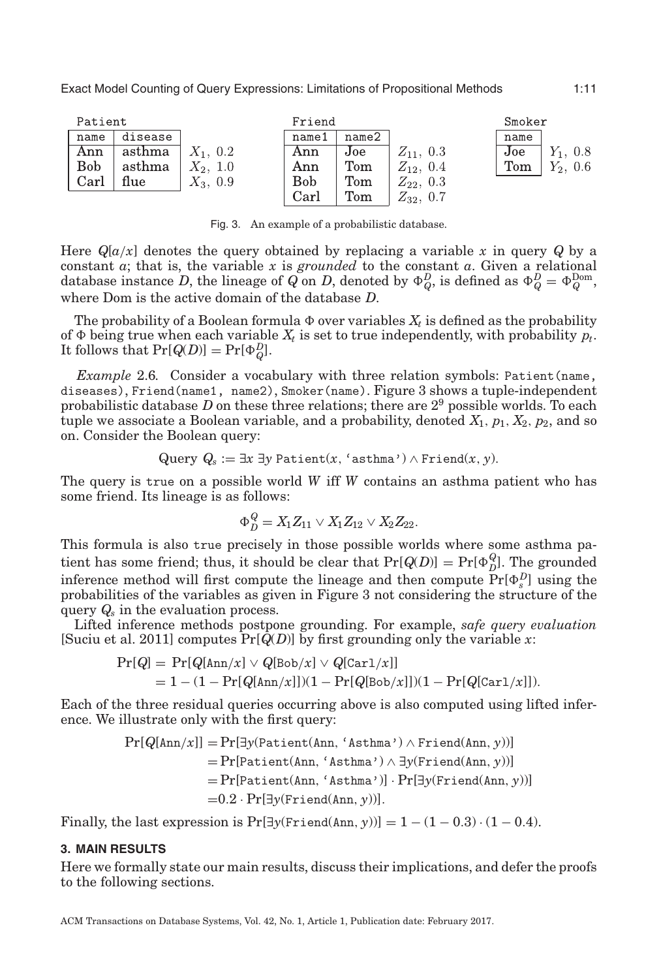<span id="page-10-1"></span>

Fig. 3. An example of a probabilistic database.

Here  $Q[a/x]$  denotes the query obtained by replacing a variable x in query  $Q$  by a constant *a*; that is, the variable *x* is *grounded* to the constant *a*. Given a relational database instance *D*, the lineage of  $Q$  on *D*, denoted by  $\Phi_Q^D$  is defined as  $\Phi_Q^D = \Phi_Q^{\text{Dom}}$ , where Dom is the active domain of the database *D*.

The probability of a Boolean formula  $\Phi$  over variables  $X_t$  is defined as the probability of  $\Phi$  being true when each variable  $X_t$  is set to true independently, with probability  $p_t$ . It follows that  $Pr[Q(D)] = Pr[\Phi_Q^D]$ .

<span id="page-10-2"></span>*Example* 2.6. Consider a vocabulary with three relation symbols: Patient (name, diseases), Friend(name1, name2), Smoker(name). Figure [3](#page-10-1) shows a tuple-independent probabilistic database *D* on these three relations; there are 29 possible worlds. To each tuple we associate a Boolean variable, and a probability, denoted  $X_1$ ,  $p_1$ ,  $X_2$ ,  $p_2$ , and so on. Consider the Boolean query:

$$
\text{Query } Q_s := \exists x\; \exists y\;\text{Patternt}(x,\text{'asthma'}) \land \text{friend}(x,y).
$$

The query is true on a possible world *W* iff *W* contains an asthma patient who has some friend. Its lineage is as follows:

$$
\Phi_D^Q = X_1 Z_{11} \vee X_1 Z_{12} \vee X_2 Z_{22}.
$$

This formula is also true precisely in those possible worlds where some asthma patient has some friend; thus, it should be clear that  $Pr[Q(D)] = Pr[\Phi_D^Q]$ . The grounded inference method will first compute the lineage and then compute  $Pr[\Phi_s^D]$  using the probabilities of the variables as given in Figure [3](#page-10-1) not considering the structure of the query *Qs* in the evaluation process.

Lifted inference methods postpone grounding. For example, *safe query evaluation* [Suciu et al. [2011\]](#page-45-1) computes Pr[*Q*(*D*)] by first grounding only the variable *x*:

$$
Pr[Q] = Pr[Q[\text{Ann}/x] \vee Q[\text{Bob}/x] \vee Q[\text{Carl}/x]]
$$
  
= 1 - (1 - Pr[Q[\text{Ann}/x]])(1 - Pr[Q[\text{Bob}/x]])(1 - Pr[Q[\text{Carl}/x]]).

Each of the three residual queries occurring above is also computed using lifted inference. We illustrate only with the first query:

$$
Pr[Q[Ann/x]] = Pr[\exists y(Patient(Ann, 'Asthma') \land Friedman, y))]
$$
  
= Pr[Patient(Ann, 'Asthma') \land \exists y(Friend(Ann, y))]  
= Pr[Patient(Ann, 'Asthma')] \cdot Pr[\exists y(Friend(Ann, y))]  
= 0.2 \cdot Pr[\exists y(Friend(Ann, y))].

Finally, the last expression is  $Pr[\exists y(Friend(\text{Ann}, y))] = 1 - (1 - 0.3) \cdot (1 - 0.4)$ .

## **3. MAIN RESULTS**

<span id="page-10-0"></span>Here we formally state our main results, discuss their implications, and defer the proofs to the following sections.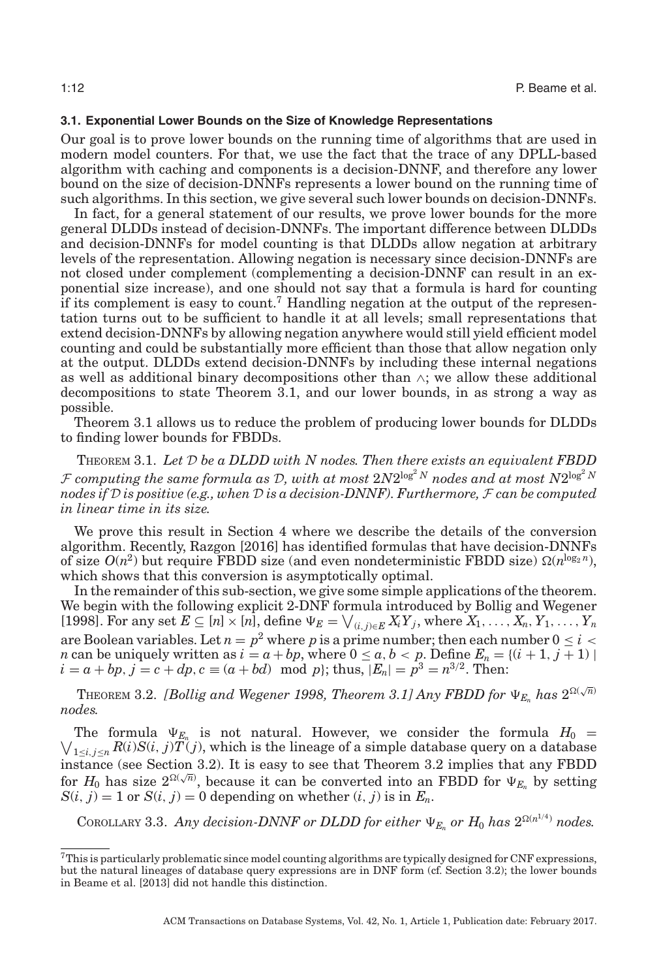# **3.1. Exponential Lower Bounds on the Size of Knowledge Representations**

<span id="page-11-2"></span>Our goal is to prove lower bounds on the running time of algorithms that are used in modern model counters. For that, we use the fact that the trace of any DPLL-based algorithm with caching and components is a decision-DNNF, and therefore any lower bound on the size of decision-DNNFs represents a lower bound on the running time of such algorithms. In this section, we give several such lower bounds on decision-DNNFs.

In fact, for a general statement of our results, we prove lower bounds for the more general DLDDs instead of decision-DNNFs. The important difference between DLDDs and decision-DNNFs for model counting is that DLDDs allow negation at arbitrary levels of the representation. Allowing negation is necessary since decision-DNNFs are not closed under complement (complementing a decision-DNNF can result in an exponential size increase), and one should not say that a formula is hard for counting if its complement is easy to count[.7](#page-11-3) Handling negation at the output of the representation turns out to be sufficient to handle it at all levels; small representations that extend decision-DNNFs by allowing negation anywhere would still yield efficient model counting and could be substantially more efficient than those that allow negation only at the output. DLDDs extend decision-DNNFs by including these internal negations as well as additional binary decompositions other than  $\wedge$ ; we allow these additional decompositions to state Theorem [3.1,](#page-11-1) and our lower bounds, in as strong a way as possible.

Theorem [3.1](#page-11-1) allows us to reduce the problem of producing lower bounds for DLDDs to finding lower bounds for FBDDs.

<span id="page-11-1"></span>THEOREM 3.1. *Let* D *be a DLDD with N nodes. Then there exists an equivalent FBDD* F computing the same formula as D, with at most  $2N2^{\log^2 N}$  nodes and at most  $N2^{\log^2 N}$ *nodes if* D *is positive (e.g., when* D *is a decision-DNNF). Furthermore,* F *can be computed in linear time in its size.*

We prove this result in Section [4](#page-17-1) where we describe the details of the conversion algorithm. Recently, Razgon [\[2016\]](#page-45-9) has identified formulas that have decision-DNNFs of size  $O(n^2)$  but require FBDD size (and even nondeterministic FBDD size)  $\Omega(n^{\log_2 n})$ , which shows that this conversion is asymptotically optimal.

In the remainder of this sub-section, we give some simple applications of the theorem. We begin with the following explicit 2-DNF formula introduced by Bollig and Wegener [\[1998\]](#page-44-27). For any set  $E \subseteq [n] \times [n]$ , define  $\Psi_E = \bigvee_{(i,j) \in E} X_i Y_j$ , where  $X_1, \ldots, X_n, Y_1, \ldots, Y_n$ are Boolean variables. Let  $n = p^2$  where p is a prime number; then each number  $0 \le i <$ *n* can be uniquely written as  $i = a + bp$ , where  $0 \le a, b < p$ . Define  $E_n = \{(i + 1, j + 1) \mid$  $i = a + bp, j = c + dp, c \equiv (a + bd) \mod p$ ; thus,  $|E_n| = p^3 = n^{3/2}$ . Then:

<span id="page-11-0"></span>THEOREM 3.2. *[Bollig and Wegener [1998,](#page-44-27) Theorem 3.1] Any FBDD for*  $\Psi_{E_n}$  has  $2^{\Omega(\sqrt{n})}$ *nodes.*

The formula  $\Psi_{E_n}$ <br> $\bigvee_{1 \le i \le n} R(i)S(i, j)T(i)$ The formula  $\Psi_{E_n}$  is not natural. However, we consider the formula  $H_0 =$  $_{1\leq i,j\leq n}R(i)S(i,j)T(j)$ , which is the lineage of a simple database query on a database instance (see Section [3.2\)](#page-12-0). It is easy to see that Theorem [3.2](#page-11-0) implies that any FBDD for  $H_0$  has size  $2^{\Omega(\sqrt{n})}$ , because it can be converted into an FBDD for  $\Psi_{E_n}$  by setting  $S(i, j) = 1$  or  $S(i, j) = 0$  depending on whether  $(i, j)$  is in  $E_n$ .

<span id="page-11-4"></span>COROLLARY 3.3. Any decision-DNNF or DLDD for either  $\Psi_{E_n}$  or  $H_0$  has  $2^{\Omega(n^{1/4})}$  nodes.

<span id="page-11-3"></span><sup>7</sup>This is particularly problematic since model counting algorithms are typically designed for CNF expressions, but the natural lineages of database query expressions are in DNF form (cf. Section [3.2\)](#page-12-0); the lower bounds in Beame et al. [\[2013\]](#page-44-0) did not handle this distinction.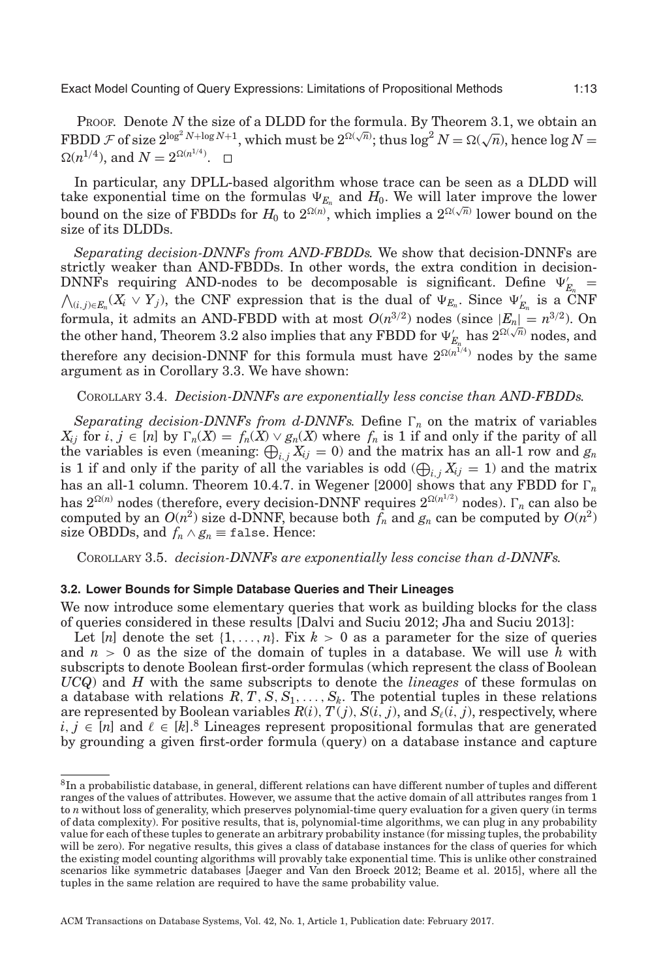PROOF. Denote *N* the size of a DLDD for the formula. By Theorem [3.1,](#page-11-1) we obtain an FBDD  $\mathcal F$  of size  $2^{\log^2 N + \log N + 1}$ , which must be  $2^{\Omega(\sqrt{n})}$ ; thus  $\log^2 N = \Omega(\sqrt{n})$ , hence  $\log N =$  $\Omega(n^{1/4})$ , and  $N = 2^{\Omega(n^{1/4})}$ .

In particular, any DPLL-based algorithm whose trace can be seen as a DLDD will take exponential time on the formulas  $\Psi_{E_n}$  and  $H_0$ . We will later improve the lower bound on the size of FBDDs for  $H_0$  to  $2^{\Omega(n)}$ , which implies a  $2^{\Omega(\sqrt{n})}$  lower bound on the size of its DLDDs.

*Separating decision-DNNFs from AND-FBDDs.* We show that decision-DNNFs are strictly weaker than AND-FBDDs. In other words, the extra condition in decision-DNNFs requiring AND-nodes to be decomposable is significant. Define  $\Psi'_{E_n}$  = DNNFs requiring AND-nodes to be decomposable is significant. Define  $\Psi'_{E_n} = \bigwedge_{(i,j)\in E_n} (X_i \vee Y_j)$ , the CNF expression that is the dual of  $\Psi_{E_n}$ . Since  $\Psi'_{E_n}$  is a CNF formula, it admits an AND-FBDD with at most  $O(n^{3/2})$  nodes (since  $|E_n| = n^{3/2}$ ). On the other hand, Theorem [3.2](#page-11-0) also implies that any FBDD for  $\Psi'_{E_n}$  has  $2^{\Omega(\sqrt{n})}$  nodes, and the other hand, Theorem 3.2 also implies that any FBDD for  $\Psi'_{E_n}$  has  $2^{\Omega(\sqrt{n})}$  nodes, and therefore any decision-DNNF for this formula must have  $2^{\Omega(n^{T/4})}$  nodes by the same argument as in Corollary [3.3.](#page-11-4) We have shown:

### COROLLARY 3.4. *Decision-DNNFs are exponentially less concise than AND-FBDDs.*

*Separating decision-DNNFs from d-DNNFs.* Define  $\Gamma_n$  on the matrix of variables  $X_{ij}$  for *i*,  $j \in [n]$  by  $\Gamma_n(X) = f_n(X) \vee g_n(X)$  where  $f_n$  is 1 if and only if the parity of all the variables is even (meaning:  $\bigoplus_{i,j} X_{ij} = 0$ ) and the matrix has an all-1 row and  $g_n$ is 1 if and only if the parity of all the variables is odd  $(\bigoplus_{i,j} X_{ij} = 1)$  and the matrix has an all-1 column. Theorem 10.4.7. in Wegener [\[2000\]](#page-45-8) shows that any FBDD for  $\Gamma_n$ has  $2^{\Omega(n)}$  nodes (therefore, every decision-DNNF requires  $2^{\Omega(n^{1/2})}$  nodes). *n*<sub>n</sub> can also be computed by an  $O(n^2)$  size d-DNNF, because both  $f_n$  and  $g_n$  can be computed by  $O(n^2)$ size OBDDs, and  $f_n \wedge g_n \equiv \text{false}$ . Hence:

<span id="page-12-0"></span>COROLLARY 3.5. *decision-DNNFs are exponentially less concise than d-DNNFs.*

### **3.2. Lower Bounds for Simple Database Queries and Their Lineages**

We now introduce some elementary queries that work as building blocks for the class of queries considered in these results [Dalvi and Suciu [2012;](#page-44-20) Jha and Suciu [2013\]](#page-44-21):

Let  $[n]$  denote the set  $\{1, \ldots, n\}$ . Fix  $k > 0$  as a parameter for the size of queries and  $n > 0$  as the size of the domain of tuples in a database. We will use  $\bar{h}$  with subscripts to denote Boolean first-order formulas (which represent the class of Boolean *UCQ*) and *H* with the same subscripts to denote the *lineages* of these formulas on a database with relations  $R, T, S, S_1, \ldots, S_k$ . The potential tuples in these relations are represented by Boolean variables  $R(i)$ ,  $T(j)$ ,  $S(i, j)$ , and  $S_{\ell}(i, j)$ , respectively, where *i*, *j* ∈ [*n*] and  $\ell$  ∈ [*k*].<sup>[8](#page-12-1)</sup> Lineages represent propositional formulas that are generated by grounding a given first-order formula (query) on a database instance and capture

<span id="page-12-1"></span><sup>&</sup>lt;sup>8</sup>In a probabilistic database, in general, different relations can have different number of tuples and different ranges of the values of attributes. However, we assume that the active domain of all attributes ranges from 1 to *n* without loss of generality, which preserves polynomial-time query evaluation for a given query (in terms of data complexity). For positive results, that is, polynomial-time algorithms, we can plug in any probability value for each of these tuples to generate an arbitrary probability instance (for missing tuples, the probability will be zero). For negative results, this gives a class of database instances for the class of queries for which the existing model counting algorithms will provably take exponential time. This is unlike other constrained scenarios like symmetric databases [Jaeger and Van den Broeck [2012;](#page-44-4) Beame et al. [2015\]](#page-44-5), where all the tuples in the same relation are required to have the same probability value.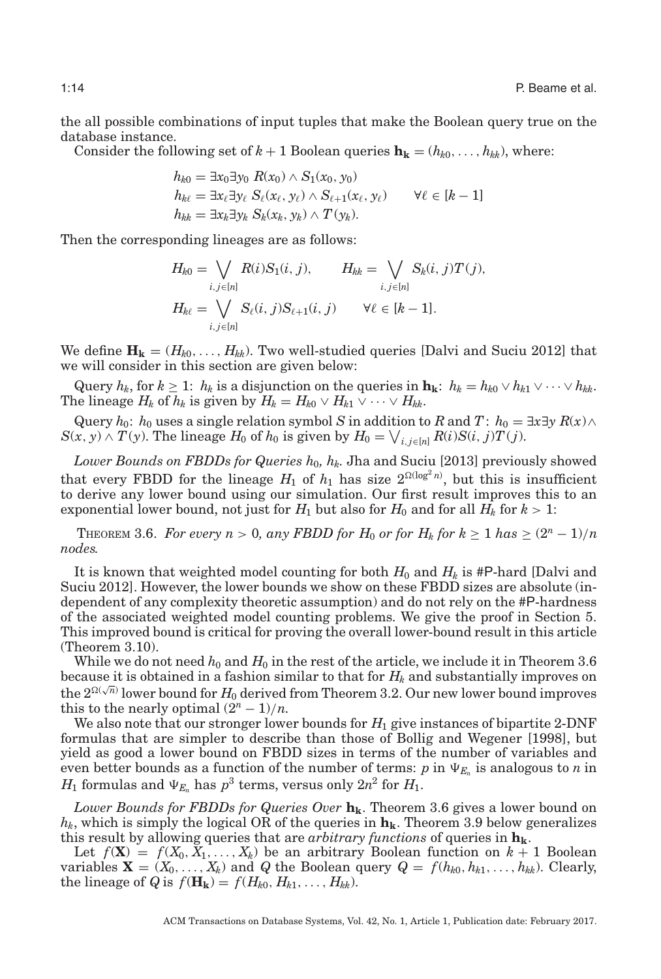the all possible combinations of input tuples that make the Boolean query true on the database instance.

Consider the following set of  $k + 1$  Boolean queries  $\mathbf{h}_{k} = (h_{k0}, \ldots, h_{kk})$ , where:

$$
h_{k0} = \exists x_0 \exists y_0 \ R(x_0) \land S_1(x_0, y_0)
$$
  
\n
$$
h_{k\ell} = \exists x_\ell \exists y_\ell \ S_\ell(x_\ell, y_\ell) \land S_{\ell+1}(x_\ell, y_\ell) \qquad \forall \ell \in [k-1]
$$
  
\n
$$
h_{kk} = \exists x_k \exists y_k \ S_k(x_k, y_k) \land T(y_k).
$$

Then the corresponding lineages are as follows:

$$
H_{k0} = \bigvee_{i,j \in [n]} R(i)S_1(i,j), \qquad H_{kk} = \bigvee_{i,j \in [n]} S_k(i,j)T(j),
$$
  

$$
H_{k\ell} = \bigvee_{i,j \in [n]} S_{\ell}(i,j)S_{\ell+1}(i,j) \qquad \forall \ell \in [k-1].
$$

We define  $\mathbf{H_k} = (H_{k0}, \dots, H_{kk})$ . Two well-studied queries [Dalvi and Suciu [2012\]](#page-44-20) that we will consider in this section are given below:

Query  $h_k$ , for  $k \geq 1$ :  $h_k$  is a disjunction on the queries in  $\mathbf{h_k}$ :  $h_k = h_{k0} \vee h_{k1} \vee \cdots \vee h_{kk}$ . The lineage  $H_k$  of  $h_k$  is given by  $H_k = H_{k0} \vee H_{k1} \vee \cdots \vee H_{kk}$ .

Query  $h_0$ :  $h_0$  uses a single relation symbol *S* in addition to *R* and *T*:  $h_0 = \exists x \exists y R(x) \land$  $S(x, y) \wedge T(y)$ . The lineage  $H_0$  of  $h_0$  is given by  $H_0 = \bigvee_{i,j \in [n]} R(i) S(i,j) T(j)$ .

Lower Bounds on FBDDs for Queries  $h_0$ ,  $h_k$ . Jha and Suciu [\[2013\]](#page-44-21) previously showed that every FBDD for the lineage  $H_1$  of  $h_1$  has size  $2^{\Omega(\log^2 n)}$ , but this is insufficient to derive any lower bound using our simulation. Our first result improves this to an exponential lower bound, not just for  $H_1$  but also for  $H_0$  and for all  $H_k$  for  $k > 1$ :

<span id="page-13-0"></span>THEOREM 3.6. *For every*  $n > 0$ , any *FBDD for*  $H_0$  *or for*  $H_k$  *for*  $k \ge 1$  *has*  $\ge (2^n - 1)/n$ *nodes.*

It is known that weighted model counting for both  $H_0$  and  $H_k$  is #P-hard [Dalvi and Suciu [2012\]](#page-44-20). However, the lower bounds we show on these FBDD sizes are absolute (independent of any complexity theoretic assumption) and do not rely on the #P-hardness of the associated weighted model counting problems. We give the proof in Section [5.](#page-23-0) This improved bound is critical for proving the overall lower-bound result in this article (Theorem 3.10).

While we do not need  $h_0$  and  $H_0$  in the rest of the article, we include it in Theorem [3.6](#page-13-0) because it is obtained in a fashion similar to that for  $H_k$  and substantially improves on the  $2^{\Omega(\sqrt{n})}$  lower bound for  $H_0$  derived from Theorem [3.2.](#page-11-0) Our new lower bound improves the  $2^{\Omega(\sqrt{n})}$  lower bound for  $H_0$  derived from Theorem 3.2. Our new lower bound improves this to the nearly optimal  $(2^n - 1)/n$ .

We also note that our stronger lower bounds for  $H_1$  give instances of bipartite 2-DNF formulas that are simpler to describe than those of Bollig and Wegener [\[1998\]](#page-44-27), but yield as good a lower bound on FBDD sizes in terms of the number of variables and even better bounds as a function of the number of terms:  $p$  in  $\Psi_{E_n}$  is analogous to *n* in  $H_1$  formulas and  $\Psi_{E_n}$  has  $p^3$  terms, versus only  $2n^2$  for  $H_1$ .

Lower Bounds for FBDDs for Queries Over  $h_k$ . Theorem [3.6](#page-13-0) gives a lower bound on  $h_k$ , which is simply the logical OR of the queries in  $h_k$ . Theorem [3.9](#page-14-0) below generalizes this result by allowing queries that are *arbitrary functions* of queries in  $\mathbf{h}_{k}$ .

Let  $f(\mathbf{X}) = f(X_0, X_1, \ldots, X_k)$  be an arbitrary Boolean function on  $k + 1$  Boolean variables  $\mathbf{X} = (X_0, \ldots, X_k)$  and *Q* the Boolean query  $Q = f(h_{k0}, h_{k1}, \ldots, h_{kk})$ . Clearly, the lineage of *Q* is  $f(\mathbf{H_k}) = f(H_{k0}, H_{k1}, \ldots, H_{kk})$ .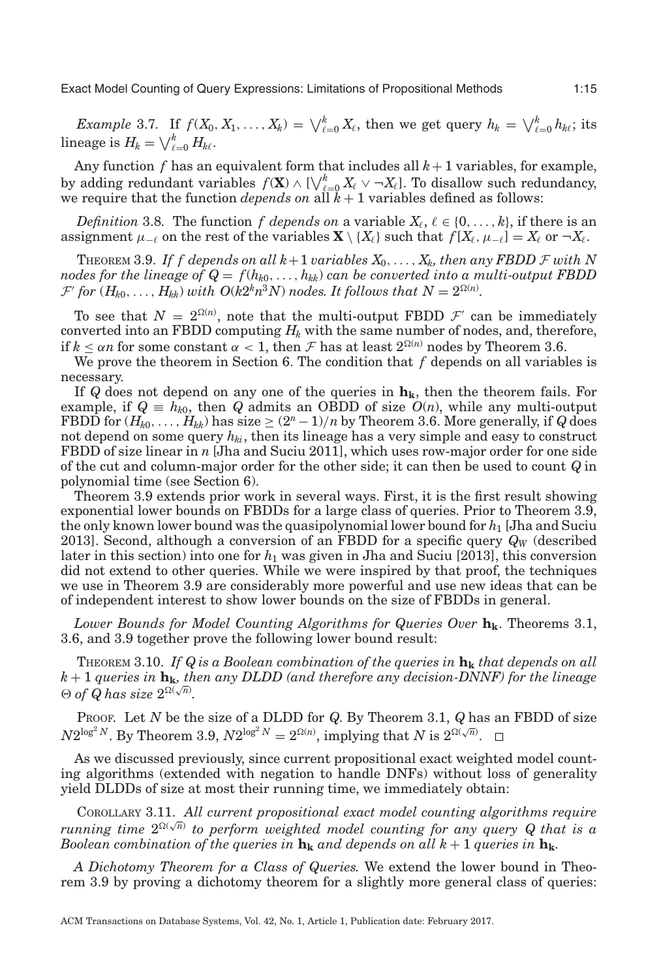*Example* 3.7. If  $f(X_0, X_1, \ldots, X_k) = \bigvee_{\ell=0}^k X_\ell$ , then we get query  $h_k = \bigvee_{\ell=0}^k h_{k\ell}$ ; its  $\text{lineage is } H_k = \bigvee_{\ell=0}^k H_{k\ell}.$ 

Any function  $f$  has an equivalent form that includes all  $k+1$  variables, for example, by adding redundant variables  $f(\mathbf{X}) \wedge [\bigvee_{\ell=0}^{k} X_{\ell} \vee \neg X_{\ell}].$  To disallow such redundancy, we require that the function *depends on* all *k* + 1 variables defined as follows:

*Definition* 3.8. The function *f depends on* a variable  $X_{\ell}$ ,  $\ell \in \{0, \ldots, k\}$ , if there is an assignment  $\mu_{-\ell}$  on the rest of the variables  $\mathbf{X} \setminus \{X_{\ell}\}\$  such that  $f[X_{\ell}, \mu_{-\ell}] = X_{\ell}$  or  $\neg X_{\ell}$ .

<span id="page-14-0"></span>THEOREM 3.9. If f depends on all  $k+1$  *variables*  $X_0, \ldots, X_k$ , then any FBDD  $F$  *with* N *nodes for the lineage of*  $Q = f(h_{k0},...,h_{kk})$  *can be converted into a multi-output FBDD*  $\mathcal{F}'$  for  $(H_{k0},...,H_{kk})$  with  $O(k2^kn^3N)$  nodes. It follows that  $N=2^{\Omega(n)}$ .

To see that  $N = 2^{\Omega(n)}$ , note that the multi-output FBDD  $\mathcal{F}'$  can be immediately converted into an FBDD computing  $H_k$  with the same number of nodes, and, therefore, if  $k \leq \alpha n$  for some constant  $\alpha < 1$ , then  $\mathcal F$  has at least  $2^{\Omega(n)}$  nodes by Theorem [3.6.](#page-13-0)

We prove the theorem in Section [6.](#page-33-0) The condition that *f* depends on all variables is necessary.

If  $Q$  does not depend on any one of the queries in  $h_k$ , then the theorem fails. For example, if  $Q = h_{k0}$ , then *Q* admits an OBDD of size  $O(n)$ , while any multi-output FBDD for  $(H_{k0},..., H_{kk})$  has size  $\geq (2^n-1)/n$  by Theorem [3.6.](#page-13-0) More generally, if *Q* does not depend on some query  $h_{ki}$ , then its lineage has a very simple and easy to construct FBDD of size linear in *n* [Jha and Suciu [2011\]](#page-44-23), which uses row-major order for one side of the cut and column-major order for the other side; it can then be used to count *Q* in polynomial time (see Section [6\)](#page-33-0).

Theorem [3.9](#page-14-0) extends prior work in several ways. First, it is the first result showing exponential lower bounds on FBDDs for a large class of queries. Prior to Theorem [3.9,](#page-14-0) the only known lower bound was the quasipolynomial lower bound for *h*<sup>1</sup> [Jha and Suciu [2013\]](#page-44-21). Second, although a conversion of an FBDD for a specific query *QW* (described later in this section) into one for *h*<sup>1</sup> was given in Jha and Suciu [\[2013\]](#page-44-21), this conversion did not extend to other queries. While we were inspired by that proof, the techniques we use in Theorem [3.9](#page-14-0) are considerably more powerful and use new ideas that can be of independent interest to show lower bounds on the size of FBDDs in general.

*Lower Bounds for Model Counting Algorithms for Queries Over*  $h_k$ . Theorems [3.1,](#page-11-1) [3.6,](#page-13-0) and [3.9](#page-14-0) together prove the following lower bound result:

THEOREM 3.10. If  $Q$  is a Boolean combination of the queries in  $\mathbf{h}_{k}$  that depends on all  $k + 1$  *queries in*  $\mathbf{h_k}$ *, then any DLDD (and therefore any decision-DNNF) for the lineage*  $\theta$  of Q has size  $2^{\Omega(\sqrt{n})}$ .

PROOF. Let *N* be the size of a DLDD for *Q*. By Theorem [3.1,](#page-11-1) *Q* has an FBDD of size  $N2^{\log^2 N}$ . By Theorem [3.9,](#page-14-0)  $N2^{\log^2 N} = 2^{\Omega(n)}$ , implying that *N* is  $2^{\Omega(\sqrt{n})}$ .

As we discussed previously, since current propositional exact weighted model counting algorithms (extended with negation to handle DNFs) without loss of generality yield DLDDs of size at most their running time, we immediately obtain:

COROLLARY 3.11. *All current propositional exact model counting algorithms require*  $A_n$  *running time*  $2^{\Omega(\sqrt{n})}$  *to perform weighted model counting for any query Q that is a Boolean combination of the queries in*  $h_k$  *and depends on all k* + 1 *queries in*  $h_k$ .

*A Dichotomy Theorem for a Class of Queries.* We extend the lower bound in Theorem [3.9](#page-14-0) by proving a dichotomy theorem for a slightly more general class of queries: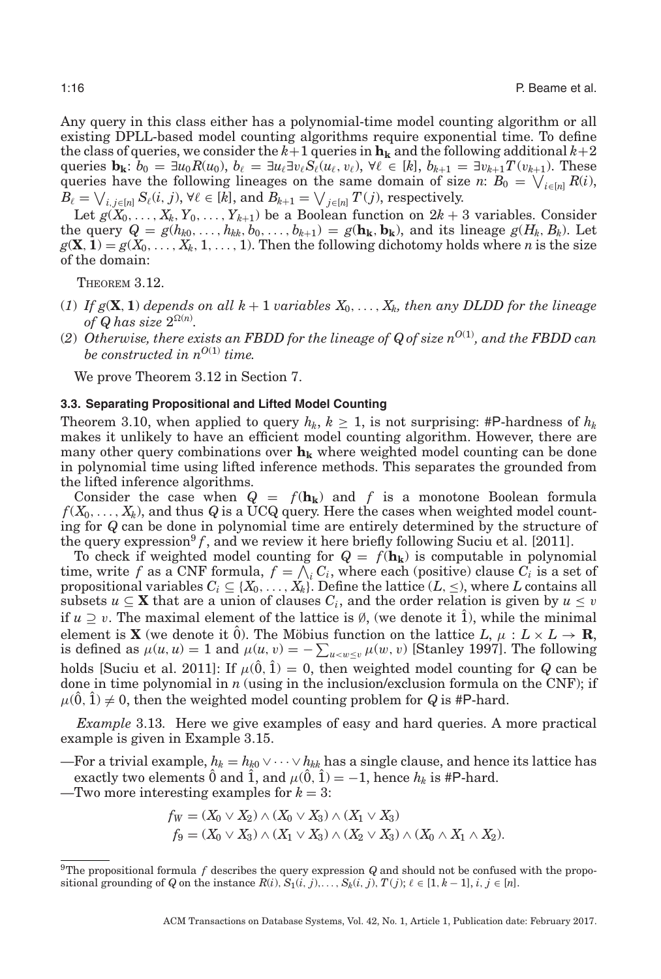Any query in this class either has a polynomial-time model counting algorithm or all existing DPLL-based model counting algorithms require exponential time. To define the class of queries, we consider the  $k+1$  queries in  $\mathbf{h_k}$  and the following additional  $k+2$ queries  $\mathbf{b_k}: b_0 = \exists u_0 R(u_0), b_\ell = \exists u_\ell \exists v_\ell S_\ell(u_\ell, v_\ell), \forall \ell \in [k], b_{k+1} = \exists v_{k+1} T(v_{k+1}).$  These queries have the following lineages on the same domain of size *n*:  $B_0 = \bigvee_{i \in [n]} R(i)$ ,  $B_{\ell} = \bigvee_{i,j \in [n]} S_{\ell}(i,j), \forall \ell \in [k], \text{ and } B_{k+1} = \bigvee_{j \in [n]} T(j), \text{ respectively.}$ 

Let  $g(X_0, \ldots, X_k, Y_0, \ldots, Y_{k+1})$  be a Boolean function on  $2k+3$  variables. Consider the query  $Q = g(h_{k0}, \ldots, h_{kk}, b_0, \ldots, b_{k+1}) = g(\mathbf{h}_{\mathbf{k}}, \mathbf{b}_{\mathbf{k}})$ , and its lineage  $g(H_k, B_k)$ . Let  $g(\mathbf{X}, \mathbf{1}) = g(X_0, \ldots, X_k, 1, \ldots, 1)$ . Then the following dichotomy holds where *n* is the size of the domain:

<span id="page-15-1"></span>THEOREM 3.12.

- (1) If  $g(\mathbf{X}, \mathbf{1})$  depends on all  $k+1$  *variables*  $X_0, \ldots, X_k$ , then any DLDD for the lineage *of Q has size*  $2^{\Omega(n)}$ *.*
- (2) Otherwise, there exists an FBDD for the lineage of  $Q$  of size  $n^{O(1)}$ , and the FBDD can *be constructed in*  $n^{O(1)}$  *time.*

We prove Theorem [3.12](#page-15-1) in Section [7.](#page-41-0)

#### **3.3. Separating Propositional and Lifted Model Counting**

Theorem 3.10, when applied to query  $h_k$ ,  $k \geq 1$ , is not surprising: #P-hardness of  $h_k$ makes it unlikely to have an efficient model counting algorithm. However, there are many other query combinations over  $h_k$  where weighted model counting can be done in polynomial time using lifted inference methods. This separates the grounded from the lifted inference algorithms.

Consider the case when  $Q = f(h_k)$  and f is a monotone Boolean formula  $f(X_0,\ldots,X_k)$ , and thus *Q* is a UCQ query. Here the cases when weighted model counting for *Q* can be done in polynomial time are entirely determined by the structure of the query expression<sup>9</sup>  $f$ , and we review it here briefly following Suciu et al. [\[2011\]](#page-45-1).

To check if weighted model counting for  $Q = f(h_k)$  is computable in polynomial time, write f as a CNF formula,  $f = \bigwedge_i C_i$ , where each (positive) clause  $C_i$  is a set of propositional variables  $C_i \subseteq \{X_0,\ldots,X_k\}$ . Define the lattice  $(L,\leq)$ , where  $L$  contains all subsets  $u \subseteq \mathbf{X}$  that are a union of clauses  $C_i$ , and the order relation is given by  $u \leq v$ if  $u \supseteq v$ . The maximal element of the lattice is  $\emptyset$ , (we denote it 1), while the minimal element is **X** (we denote it 0). The Möbius function on the lattice  $L, \mu : L \times L \to \mathbb{R}$ , is defined as  $\mu(u, u) = 1$  and  $\mu(u, v) = -\sum_{u \le w \le v} \mu(w, v)$  [Stanley [1997\]](#page-45-10). The following holds [Suciu et al. [2011\]](#page-45-1): If  $\mu(\hat{0}, \hat{1}) = 0$ , then weighted model counting for *Q* can be done in time polynomial in *n* (using in the inclusion/exclusion formula on the CNF); if  $\mu(\hat{0}, \hat{1}) \neq 0$ , then the weighted model counting problem for *Q* is #P-hard.

<span id="page-15-0"></span>*Example* 3.13*.* Here we give examples of easy and hard queries. A more practical example is given in Example [3.15.](#page-17-0)

—For a trivial example,  $h_k = h_{k0} \vee \cdots \vee h_{kk}$  has a single clause, and hence its lattice has exactly two elements  $\hat{0}$  and  $\hat{1}$ , and  $\mu(\hat{0}, \hat{1}) = -1$ , hence  $h_k$  is #P-hard.

 $-$ Two more interesting examples for  $k = 3$ :

$$
f_W = (X_0 \vee X_2) \wedge (X_0 \vee X_3) \wedge (X_1 \vee X_3)
$$
  

$$
f_9 = (X_0 \vee X_3) \wedge (X_1 \vee X_3) \wedge (X_2 \vee X_3) \wedge (X_0 \wedge X_1 \wedge X_2).
$$

<span id="page-15-2"></span><sup>&</sup>lt;sup>9</sup>The propositional formula  $f$  describes the query expression  $Q$  and should not be confused with the propositional grounding of *Q* on the instance  $R(i)$ ,  $S_1(i, j)$ ,...,  $S_k(i, j)$ ,  $T(j)$ ;  $\ell \in [1, k-1]$ ,  $i, j \in [n]$ .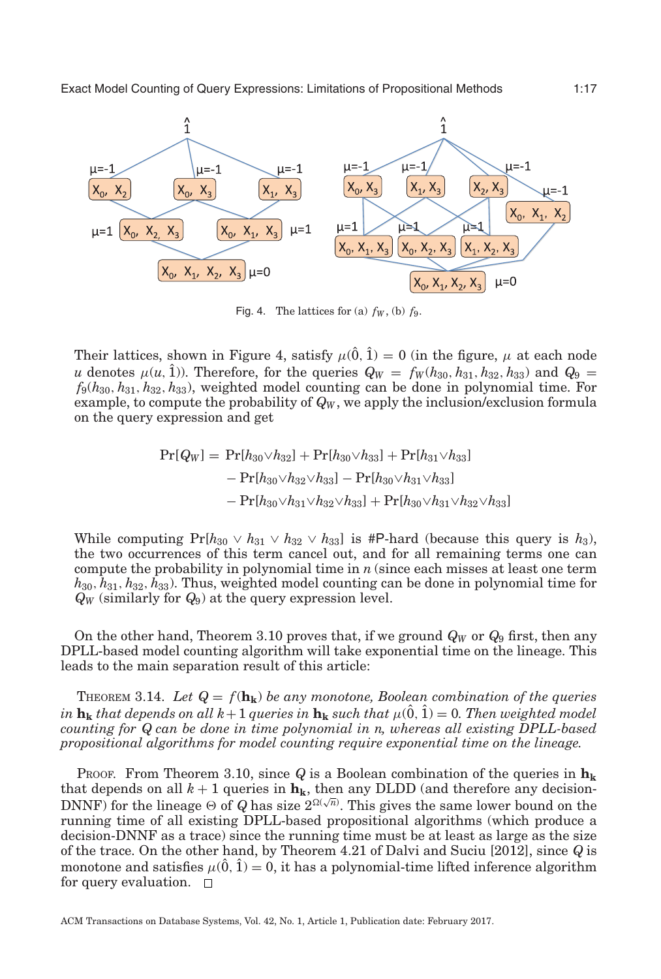<span id="page-16-0"></span>

Fig. 4. The lattices for (a)  $f_W$ , (b)  $f_9$ .

Their lattices, shown in Figure [4,](#page-16-0) satisfy  $\mu(0, 1) = 0$  (in the figure,  $\mu$  at each node *u* denotes  $\mu(u, 1)$ . Therefore, for the queries  $Q_W = f_W(h_{30}, h_{31}, h_{32}, h_{33})$  and  $Q_9 =$ *f*9(*h*30, *h*31, *h*32, *h*33), weighted model counting can be done in polynomial time. For example, to compute the probability of  $Q_W$ , we apply the inclusion/exclusion formula on the query expression and get

$$
Pr[Q_W] = Pr[h_{30} \vee h_{32}] + Pr[h_{30} \vee h_{33}] + Pr[h_{31} \vee h_{33}]
$$
  
- 
$$
Pr[h_{30} \vee h_{32} \vee h_{33}] - Pr[h_{30} \vee h_{31} \vee h_{33}]
$$
  
- 
$$
Pr[h_{30} \vee h_{31} \vee h_{32} \vee h_{33}] + Pr[h_{30} \vee h_{31} \vee h_{32} \vee h_{33}]
$$

While computing  $Pr[h_{30} \vee h_{31} \vee h_{32} \vee h_{33}]$  is #P-hard (because this query is  $h_3$ ), the two occurrences of this term cancel out, and for all remaining terms one can compute the probability in polynomial time in *n* (since each misses at least one term *h*30, *h*31, *h*32, *h*33). Thus, weighted model counting can be done in polynomial time for *QW* (similarly for *Q*9) at the query expression level.

On the other hand, Theorem 3.10 proves that, if we ground  $Q_W$  or  $Q_9$  first, then any DPLL-based model counting algorithm will take exponential time on the lineage. This leads to the main separation result of this article:

THEOREM 3.14. *Let Q* = *f*(**hk**) *be any monotone, Boolean combination of the queries in* **h**<sub>k</sub> *that depends on all*  $k+1$  *queries in* **h**<sub>k</sub> *such that*  $\mu(\hat{0}, \hat{1}) = 0$ *. Then weighted model counting for Q can be done in time polynomial in n, whereas all existing DPLL-based propositional algorithms for model counting require exponential time on the lineage.*

PROOF. From Theorem 3.10, since  $Q$  is a Boolean combination of the queries in  $h_k$ that depends on all  $k + 1$  queries in  $h_k$ , then any DLDD (and therefore any decision-DNNF) for the lineage  $\Theta$  of *Q* has size  $2^{\Omega(\sqrt{n})}$ . This gives the same lower bound on the running time of all existing DPLL-based propositional algorithms (which produce a decision-DNNF as a trace) since the running time must be at least as large as the size of the trace. On the other hand, by Theorem 4.21 of Dalvi and Suciu [\[2012\]](#page-44-20), since *Q* is monotone and satisfies  $\mu(\hat{0}, \hat{1}) = 0$ , it has a polynomial-time lifted inference algorithm for query evaluation.  $\square$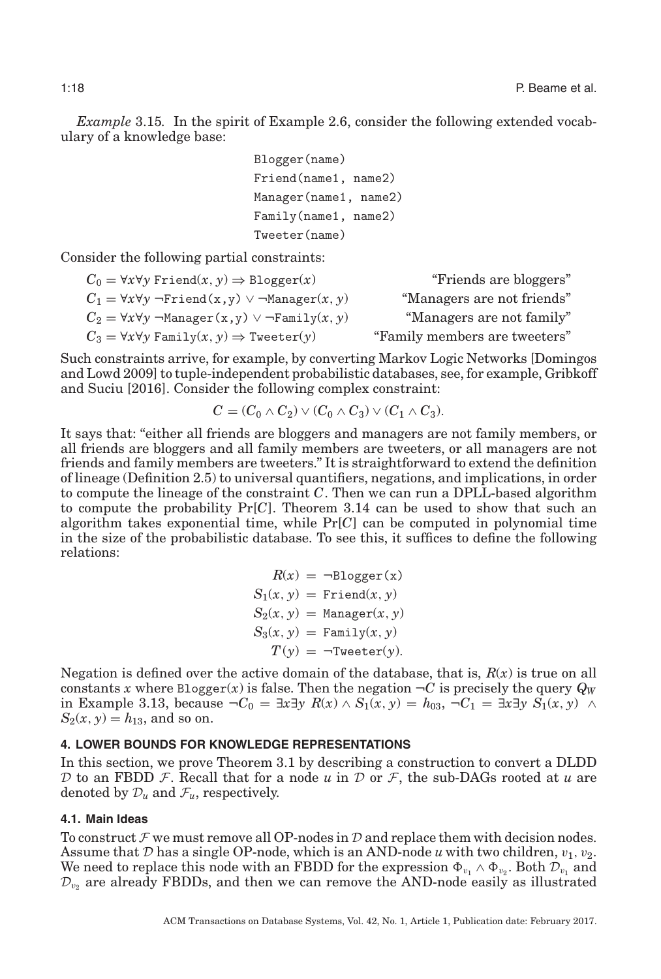<span id="page-17-0"></span>*Example* 3.15*.* In the spirit of Example [2.6,](#page-10-2) consider the following extended vocabulary of a knowledge base:

```
Blogger(name)
Friend(name1, name2)
Manager(name1, name2)
Family(name1, name2)
Tweeter(name)
```
Consider the following partial constraints:

$$
C_0 = \forall x \forall y \text{ Friend}(x, y) \Rightarrow \text{Blogger}(x)
$$
\n
$$
C_1 = \forall x \forall y \neg \text{Final}(x, y) \lor \neg \text{Manager}(x, y)
$$
\n
$$
C_2 = \forall x \forall y \neg \text{Manager}(x, y) \lor \neg \text{Family}(x, y)
$$
\n
$$
C_3 = \forall x \forall y \text{ Family}(x, y) \Rightarrow \text{�er}(y)
$$
\n
$$
C_4 = \forall x \forall y \text{ Family}(x, y) \Rightarrow \text{meter}(y)
$$
\n
$$
C_5 = \forall x \forall y \text{ Family}(x, y) \Rightarrow \text{meter}(y)
$$
\n
$$
C_6 = \forall x \forall y \text{ family}(x, y) \Rightarrow \text{meter}(y)
$$

Such constraints arrive, for example, by converting Markov Logic Networks [Domingos and Lowd [2009\]](#page-44-28) to tuple-independent probabilistic databases, see, for example, Gribkoff and Suciu [\[2016\]](#page-44-29). Consider the following complex constraint:

$$
C = (C_0 \wedge C_2) \vee (C_0 \wedge C_3) \vee (C_1 \wedge C_3).
$$

It says that: "either all friends are bloggers and managers are not family members, or all friends are bloggers and all family members are tweeters, or all managers are not friends and family members are tweeters." It is straightforward to extend the definition of lineage (Definition [2.5\)](#page-9-0) to universal quantifiers, negations, and implications, in order to compute the lineage of the constraint *C*. Then we can run a DPLL-based algorithm to compute the probability Pr[*C*]. Theorem 3.14 can be used to show that such an algorithm takes exponential time, while Pr[*C*] can be computed in polynomial time in the size of the probabilistic database. To see this, it suffices to define the following relations:

<span id="page-17-1"></span>
$$
R(x) = \neg \text{Blogger}(x)
$$
  
\n
$$
S_1(x, y) = \text{Friend}(x, y)
$$
  
\n
$$
S_2(x, y) = \text{Manager}(x, y)
$$
  
\n
$$
S_3(x, y) = \text{Family}(x, y)
$$
  
\n
$$
T(y) = \neg \text{Tweeter}(y).
$$

Negation is defined over the active domain of the database, that is,  $R(x)$  is true on all constants *x* where Blogger(*x*) is false. Then the negation  $\neg C$  is precisely the query  $Q_W$ in Example [3.13,](#page-15-0) because ¬*C*<sup>0</sup> = ∃*x*∃*y R*(*x*) ∧ *S*1(*x*, *y*) = *h*03, ¬*C*<sup>1</sup> = ∃*x*∃*y S*1(*x*, *y*) ∧  $S_2(x, y) = h_{13}$ , and so on.

### **4. LOWER BOUNDS FOR KNOWLEDGE REPRESENTATIONS**

In this section, we prove Theorem [3.1](#page-11-1) by describing a construction to convert a DLDD D to an FBDD  $\mathcal{F}$ . Recall that for a node  $u$  in  $\mathcal{D}$  or  $\mathcal{F}$ , the sub-DAGs rooted at  $u$  are denoted by  $\mathcal{D}_u$  and  $\mathcal{F}_u$ , respectively.

### **4.1. Main Ideas**

To construct  $\mathcal F$  we must remove all OP-nodes in  $\mathcal D$  and replace them with decision nodes. Assume that  $D$  has a single OP-node, which is an AND-node  $u$  with two children,  $v_1, v_2$ . We need to replace this node with an FBDD for the expression  $\Phi_{v_1} \wedge \Phi_{v_2}$ . Both  $\mathcal{D}_{v_1}$  and  $\mathcal{D}_{v_2}$  are already FBDDs, and then we can remove the AND-node easily as illustrated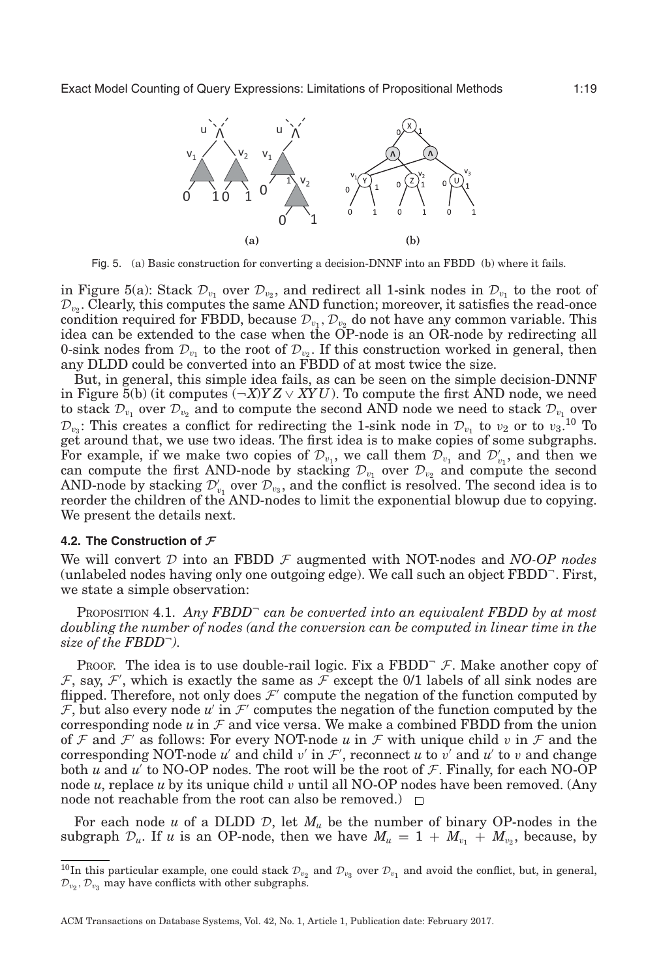<span id="page-18-0"></span>

Fig. 5. (a) Basic construction for converting a decision-DNNF into an FBDD (b) where it fails.

in Figure [5\(](#page-18-0)a): Stack  $\mathcal{D}_{v_1}$  over  $\mathcal{D}_{v_2}$ , and redirect all 1-sink nodes in  $\mathcal{D}_{v_1}$  to the root of  $\mathcal{D}_{\nu}$ . Clearly, this computes the same AND function; moreover, it satisfies the read-once condition required for FBDD, because  $\mathcal{D}_{v_1}, \mathcal{D}_{v_2}$  do not have any common variable. This idea can be extended to the case when the OP-node is an OR-node by redirecting all 0-sink nodes from  $\mathcal{D}_{v_1}$  to the root of  $\mathcal{D}_{v_2}$ . If this construction worked in general, then any DLDD could be converted into an FBDD of at most twice the size.

But, in general, this simple idea fails, as can be seen on the simple decision-DNNF in Figure  $\overline{5}$ (b) (it computes  $(\neg X)YZ \vee XYU$ ). To compute the first AND node, we need to stack  $\mathcal{D}_{v_1}$  over  $\mathcal{D}_{v_2}$  and to compute the second AND node we need to stack  $\mathcal{D}_{v_1}$  over  $\mathcal{D}_{v_3}$ : This creates a conflict for redirecting the 1-sink node in  $\mathcal{D}_{v_1}$  to  $v_2$  or to  $v_3$ .<sup>[10](#page-18-1)</sup> To get around that, we use two ideas. The first idea is to make copies of some subgraphs. For example, if we make two copies of  $\mathcal{D}_{v_1}$ , we call them  $\mathcal{D}_{v_1}$  and  $\mathcal{D}'_{v_1}$ , and then we can compute the first AND-node by stacking  $\mathcal{D}_{v_1}$  over  $\mathcal{D}_{v_2}$  and compute the second AND-node by stacking  $\mathcal{D}_{v_1}$  over  $\mathcal{D}_{v_3}$ , and the conflict is resolved. The second idea is to reorder the children of the AND-nodes to limit the exponential blowup due to copying. We present the details next.

#### **4.2. The Construction of** *F*

We will convert  $D$  into an FBDD  $\mathcal F$  augmented with NOT-nodes and *NO-OP nodes* (unlabeled nodes having only one outgoing edge). We call such an object FBDD<sup>¬</sup>. First, we state a simple observation:

<span id="page-18-2"></span>Proposition 4.1. *Any FBDD*<sup> $-$ </sup> *can be converted into an equivalent FBDD by at most doubling the number of nodes (and the conversion can be computed in linear time in the size of the FBDD*<sup>¬</sup>*).*

PROOF. The idea is to use double-rail logic. Fix a FBDD<sup> $-$ </sup> F. Make another copy of  $\mathcal{F}$ , say,  $\mathcal{F}'$ , which is exactly the same as  $\mathcal{F}$  except the 0/1 labels of all sink nodes are flipped. Therefore, not only does  $\mathcal{F}'$  compute the negation of the function computed by  $F$ , but also every node  $u'$  in  $F'$  computes the negation of the function computed by the corresponding node  $u$  in  $\mathcal F$  and vice versa. We make a combined FBDD from the union of F and F' as follows: For every NOT-node u in F with unique child v in F and the corresponding NOT-node *u'* and child *v'* in  $\mathcal{F}'$ , reconnect *u* to *v'* and *u'* to *v* and change both  $u$  and  $u'$  to NO-OP nodes. The root will be the root of  $\mathcal F$ . Finally, for each NO-OP node *u*, replace *u* by its unique child *v* until all NO-OP nodes have been removed. (Any node not reachable from the root can also be removed.)  $\Box$ 

For each node  $u$  of a DLDD  $D$ , let  $M_u$  be the number of binary OP-nodes in the subgraph  $\mathcal{D}_u$ . If *u* is an OP-node, then we have  $M_u = 1 + M_{v_1} + M_{v_2}$ , because, by

<span id="page-18-1"></span><sup>&</sup>lt;sup>10</sup>In this particular example, one could stack  $\mathcal{D}_{v_2}$  and  $\mathcal{D}_{v_3}$  over  $\mathcal{D}_{v_1}$  and avoid the conflict, but, in general,  $\mathcal{D}_{v_2}, \mathcal{D}_{v_3}$  may have conflicts with other subgraphs.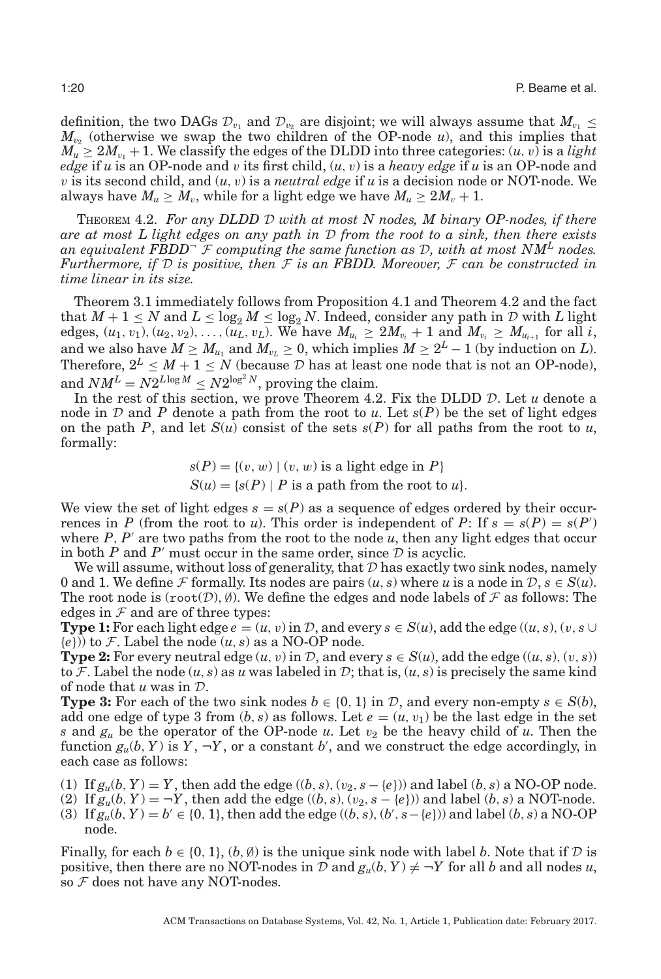definition, the two DAGs  $\mathcal{D}_{v_1}$  and  $\mathcal{D}_{v_2}$  are disjoint; we will always assume that  $M_{v_1} \leq$  $M_{\nu_2}$  (otherwise we swap the two children of the OP-node *u*), and this implies that  $M_u \geq 2M_{v_1} + 1$ . We classify the edges of the DLDD into three categories:  $(u, v)$  is a *light edge* if *u* is an OP-node and *v* its first child,  $(u, v)$  is a *heavy edge* if *u* is an OP-node and v is its second child, and  $(u, v)$  is a *neutral edge* if u is a decision node or NOT-node. We always have  $M_u \geq M_v$ , while for a light edge we have  $M_u \geq 2M_v + 1$ .

<span id="page-19-0"></span>THEOREM 4.2. *For any DLDD* D *with at most N nodes, M binary OP-nodes, if there are at most L light edges on any path in* D *from the root to a sink, then there exists* an equivalent FBDD<sup> $-$ </sup>  $\mathcal F$  computing the same function as  $\mathcal D$ , with at most NM<sup>L</sup> nodes. *Furthermore, if* D *is positive, then* F *is an FBDD. Moreover,* F *can be constructed in time linear in its size.*

Theorem [3.1](#page-11-1) immediately follows from Proposition [4.1](#page-18-2) and Theorem [4.2](#page-19-0) and the fact that  $M + 1 \leq N$  and  $L \leq \log_2 M \leq \log_2 N$ . Indeed, consider any path in D with L light edges,  $(u_1, v_1), (u_2, v_2), \ldots, (u_L, v_L)$ . We have  $M_{u_i} \geq 2M_{v_i} + 1$  and  $M_{v_i} \geq M_{u_{i+1}}$  for all *i*, and we also have  $M \ge M_{u_1}$  and  $M_{v_L} \ge 0$ , which implies  $M \ge 2^L - 1$  (by induction on *L*). Therefore,  $2^L \leq M + 1 \leq N$  (because  $D$  has at least one node that is not an OP-node), and  $NM^L = N2^{L \log M} < N2^{\log^2 N}$ , proving the claim.

In the rest of this section, we prove Theorem [4.2.](#page-19-0) Fix the DLDD D. Let *u* denote a node in D and P denote a path from the root to  $u$ . Let  $s(P)$  be the set of light edges on the path *P*, and let  $S(u)$  consist of the sets  $s(P)$  for all paths from the root to *u*, formally:

$$
s(P) = \{(v, w) \mid (v, w) \text{ is a light edge in } P\}
$$
  

$$
S(u) = \{s(P) \mid P \text{ is a path from the root to } u\}.
$$

We view the set of light edges  $s = s(P)$  as a sequence of edges ordered by their occurrences in *P* (from the root to *u*). This order is independent of *P*: If  $s = s(P) = s(P)$ where  $P$ ,  $P'$  are two paths from the root to the node  $u$ , then any light edges that occur in both  $P$  and  $P'$  must occur in the same order, since  $D$  is acyclic.

We will assume, without loss of generality, that  $\mathcal D$  has exactly two sink nodes, namely 0 and 1. We define F formally. Its nodes are pairs  $(u, s)$  where *u* is a node in  $\mathcal{D}, s \in S(u)$ . The root node is  $(root(D), \emptyset)$ . We define the edges and node labels of F as follows: The edges in  $F$  and are of three types:

**Type 1:** For each light edge  $e = (u, v)$  in  $D$ , and every  $s \in S(u)$ , add the edge  $((u, s), (v, s \cup$  ${e})$ ) to F. Label the node  $(u, s)$  as a NO-OP node.

**Type 2:** For every neutral edge  $(u, v)$  in  $D$ , and every  $s \in S(u)$ , add the edge  $((u, s), (v, s))$ to F. Label the node  $(u, s)$  as *u* was labeled in D; that is,  $(u, s)$  is precisely the same kind of node that *u* was in D.

**Type 3:** For each of the two sink nodes  $b \in \{0, 1\}$  in  $D$ , and every non-empty  $s \in S(b)$ , add one edge of type 3 from  $(b, s)$  as follows. Let  $e = (u, v_1)$  be the last edge in the set *s* and  $g_u$  be the operator of the OP-node *u*. Let  $v_2$  be the heavy child of *u*. Then the function  $g_u(b, Y)$  is  $Y, \neg Y$ , or a constant *b*', and we construct the edge accordingly, in each case as follows:

- (1) If  $g_u(b, Y) = Y$ , then add the edge  $((b, s), (v_2, s \{e\}))$  and label  $(b, s)$  a NO-OP node.
- (2) If  $g_u(b, Y) = -Y$ , then add the edge  $((b, s), (v_2, s \{e\}))$  and label  $(b, s)$  a NOT-node.
- (3) If  $g_u(b, Y) = b' \in \{0, 1\}$ , then add the edge  $((b, s), (b', s {e}))$  and label  $(b, s)$  a NO-OP node.

Finally, for each  $b \in \{0, 1\}$ ,  $(b, \emptyset)$  is the unique sink node with label *b*. Note that if  $D$  is positive, then there are no NOT-nodes in  $D$  and  $g_u(b, Y) \neq \neg Y$  for all *b* and all nodes *u*, so  $F$  does not have any NOT-nodes.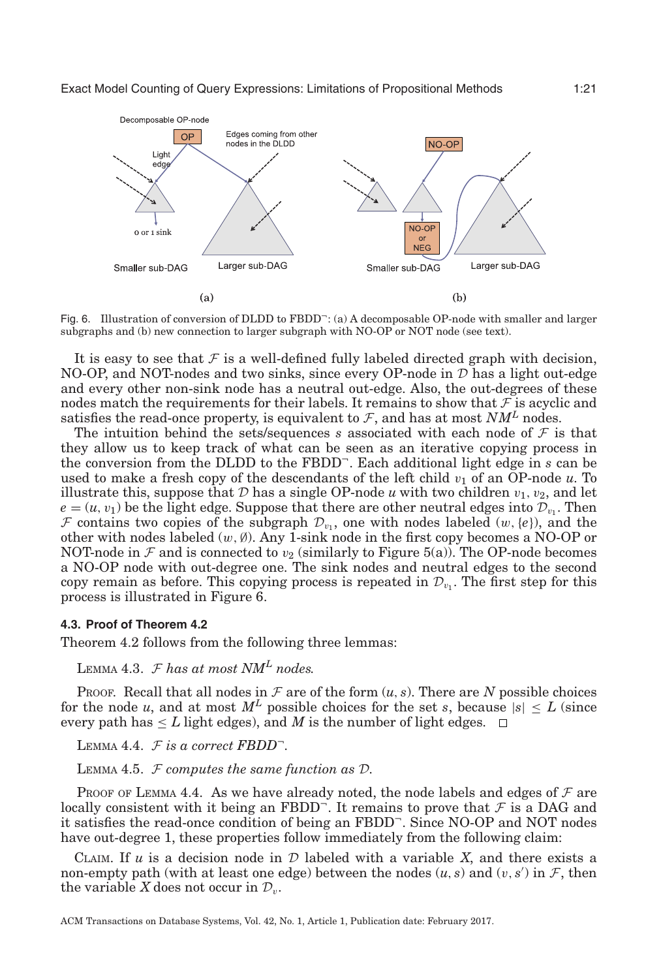<span id="page-20-0"></span>

Fig. 6. Illustration of conversion of DLDD to  $FBDD^-$ : (a) A decomposable OP-node with smaller and larger subgraphs and (b) new connection to larger subgraph with NO-OP or NOT node (see text).

It is easy to see that  $\mathcal F$  is a well-defined fully labeled directed graph with decision, NO-OP, and NOT-nodes and two sinks, since every OP-node in  $D$  has a light out-edge and every other non-sink node has a neutral out-edge. Also, the out-degrees of these nodes match the requirements for their labels. It remains to show that  $\mathcal F$  is acyclic and satisfies the read-once property, is equivalent to  $\mathcal{F}$ , and has at most  $NM^L$  nodes.

The intuition behind the sets/sequences *s* associated with each node of  $\mathcal F$  is that they allow us to keep track of what can be seen as an iterative copying process in the conversion from the DLDD to the FBDD<sup>¬</sup>. Each additional light edge in *s* can be used to make a fresh copy of the descendants of the left child  $v_1$  of an OP-node  $u$ . To illustrate this, suppose that  $D$  has a single OP-node  $u$  with two children  $v_1, v_2$ , and let  $e = (u, v_1)$  be the light edge. Suppose that there are other neutral edges into  $\mathcal{D}_{v_1}$ . Then F contains two copies of the subgraph  $\mathcal{D}_{v_1}$ , one with nodes labeled  $(w,\{e\})$ , and the other with nodes labeled  $(w, \emptyset)$ . Any 1-sink node in the first copy becomes a NO-OP or NOT-node in  $\mathcal F$  and is connected to  $v_2$  (similarly to Figure [5\(](#page-18-0)a)). The OP-node becomes a NO-OP node with out-degree one. The sink nodes and neutral edges to the second copy remain as before. This copying process is repeated in  $\mathcal{D}_{v_1}$ . The first step for this process is illustrated in Figure [6.](#page-20-0)

## **4.3. Proof of Theorem [4.2](#page-19-0)**

Theorem [4.2](#page-19-0) follows from the following three lemmas:

LEMMA 4.3.  $\mathcal{F}$  has at most NM<sup>L</sup> nodes.

PROOF. Recall that all nodes in  $\mathcal F$  are of the form  $(u, s)$ . There are  $N$  possible choices for the node *u*, and at most  $M<sup>L</sup>$  possible choices for the set *s*, because  $|s| \leq L$  (since every path has  $\leq L$  light edges), and *M* is the number of light edges.  $\Box$ 

LEMMA 4.4.  $F$  is a correct FBDD<sup>-</sup>.

<span id="page-20-2"></span><span id="page-20-1"></span>LEMMA 4.5. F *computes the same function as* D*.*

Proof of Lemma [4.4.](#page-20-1) As we have already noted, the node labels and edges of  $\mathcal F$  are locally consistent with it being an FBDD<sup>-</sup>. It remains to prove that  $\mathcal F$  is a DAG and it satisfies the read-once condition of being an FBDD<sup>¬</sup>. Since NO-OP and NOT nodes have out-degree 1, these properties follow immediately from the following claim:

CLAIM. If  $u$  is a decision node in  $D$  labeled with a variable  $X$ , and there exists a non-empty path (with at least one edge) between the nodes  $(u, s)$  and  $(v, s')$  in  $\mathcal{F}$ , then the variable *X* does not occur in  $\mathcal{D}_v$ .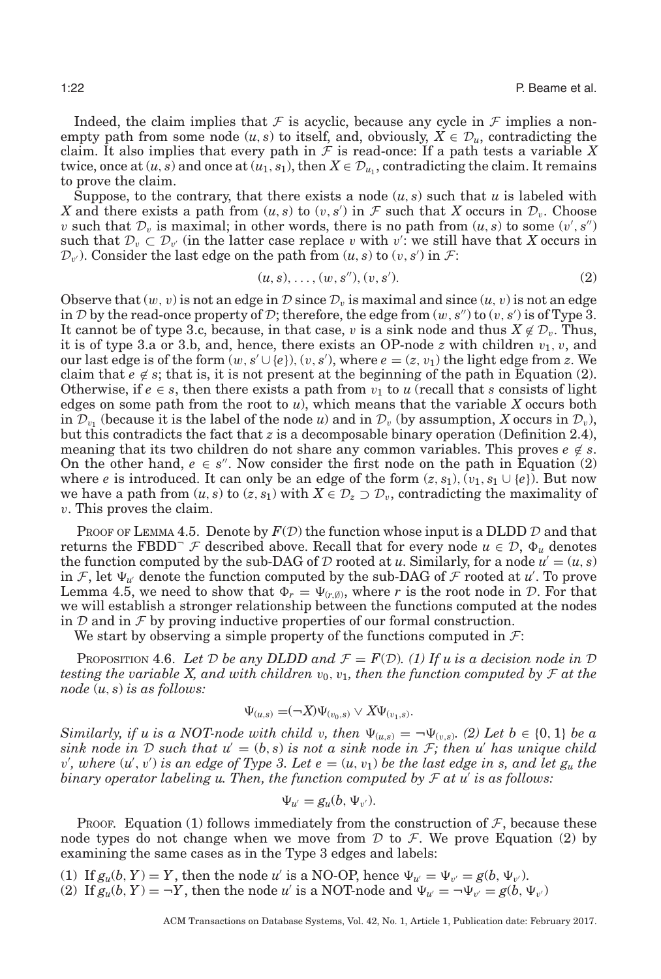Indeed, the claim implies that F is acyclic, because any cycle in F implies a nonempty path from some node  $(u, s)$  to itself, and, obviously,  $X \in \mathcal{D}_u$ , contradicting the claim. It also implies that every path in  $\mathcal F$  is read-once: If a path tests a variable  $X$ twice, once at  $(u, s)$  and once at  $(u_1, s_1)$ , then  $X \in \mathcal{D}_{u_1}$ , contradicting the claim. It remains to prove the claim.

Suppose, to the contrary, that there exists a node  $(u, s)$  such that  $u$  is labeled with *X* and there exists a path from  $(u, s)$  to  $(v, s')$  in  $\mathcal F$  such that *X* occurs in  $\mathcal D_v$ . Choose v such that  $\mathcal{D}_v$  is maximal; in other words, there is no path from  $(u, s)$  to some  $(v', s'')$ such that  $\mathcal{D}_v \subset \mathcal{D}_{v'}$  (in the latter case replace v with v': we still have that *X* occurs in  $\mathcal{D}_{v'}$ ). Consider the last edge on the path from  $(u, s)$  to  $(v, s')$  in  $\mathcal{F}$ :

<span id="page-21-0"></span>
$$
(u, s), \ldots, (w, s''), (v, s'). \tag{2}
$$

Observe that  $(w, v)$  is not an edge in D since  $\mathcal{D}_v$  is maximal and since  $(u, v)$  is not an edge in D by the read-once property of D; therefore, the edge from  $(w, s'')$  to  $(v, s')$  is of Type 3. It cannot be of type 3.c, because, in that case, v is a sink node and thus  $X \notin \mathcal{D}_v$ . Thus, it is of type 3.a or 3.b, and, hence, there exists an OP-node  $z$  with children  $v_1, v$ , and our last edge is of the form  $(w, s' \cup \{e\}), (v, s'),$  where  $e = (z, v_1)$  the light edge from *z*. We claim that  $e \notin s$ ; that is, it is not present at the beginning of the path in Equation [\(2\)](#page-21-0). Otherwise, if  $e \in s$ , then there exists a path from  $v_1$  to *u* (recall that *s* consists of light edges on some path from the root to *u*), which means that the variable *X* occurs both in  $\mathcal{D}_{v_1}$  (because it is the label of the node *u*) and in  $\mathcal{D}_{v_1}$  (by assumption, *X* occurs in  $\mathcal{D}_{v_1}$ ), but this contradicts the fact that  $z$  is a decomposable binary operation (Definition [2.4\)](#page-9-1), meaning that its two children do not share any common variables. This proves  $e \notin s$ . On the other hand,  $e \in s''$ . Now consider the first node on the path in Equation [\(2\)](#page-21-0) where *e* is introduced. It can only be an edge of the form  $(z, s_1), (v_1, s_1 \cup \{e\})$ . But now we have a path from  $(u, s)$  to  $(z, s_1)$  with  $X \in \mathcal{D}_z \supset \mathcal{D}_v$ , contradicting the maximality of v. This proves the claim.

PROOF OF LEMMA [4.5.](#page-20-2) Denote by  $F(\mathcal{D})$  the function whose input is a DLDD  $\mathcal D$  and that returns the FBDD<sup>-</sup>  $\mathcal F$  described above. Recall that for every node  $u \in \mathcal D$ ,  $\Phi_u$  denotes the function computed by the sub-DAG of  $D$  rooted at  $u$ . Similarly, for a node  $u' = (u, s)$ in F, let  $\Psi_{\mu}$  denote the function computed by the sub-DAG of F rooted at  $\mu$ . To prove Lemma [4.5,](#page-20-2) we need to show that  $\Phi_r = \Psi_{(r,\emptyset)}$ , where *r* is the root node in *D*. For that we will establish a stronger relationship between the functions computed at the nodes in  $D$  and in  $\mathcal F$  by proving inductive properties of our formal construction.

We start by observing a simple property of the functions computed in  $\mathcal{F}$ :

<span id="page-21-1"></span>PROPOSITION 4.6. Let D be any DLDD and  $\mathcal{F} = F(\mathcal{D})$ . (1) If u is a decision node in D *testing the variable X, and with children*  $v_0, v_1$ , then the function computed by  $\mathcal F$  at the *node* (*u*, *s*) *is as follows:*

$$
\Psi_{(u,s)} = (\neg X)\Psi_{(v_0,s)} \vee X\Psi_{(v_1,s)}.
$$

*Similarly, if u is a NOT-node with child* v, then  $\Psi_{(u,s)} = \neg \Psi_{(v,s)}$ . (2) Let  $b \in \{0, 1\}$  be a *sink node in* D *such that*  $u' = (b, s)$  *is not a sink node in* F; then u' has unique child  $v'$ , where  $(u', v')$  is an edge of Type 3. Let  $e = (u, v_1)$  be the last edge in s, and let  $g_u$  the *binary operator labeling u. Then, the function computed by*  $F$  *at u' is as follows:* 

$$
\Psi_{u'}=g_u(b,\Psi_{v'}).
$$

Proof. Equation (1) follows immediately from the construction of  $\mathcal{F}$ , because these node types do not change when we move from  $\mathcal D$  to  $\mathcal F$ . We prove Equation [\(2\)](#page-21-0) by examining the same cases as in the Type 3 edges and labels:

(1) If  $g_u(b, Y) = Y$ , then the node *u'* is a NO-OP, hence  $\Psi_{u'} = \Psi_{v'} = g(b, \Psi_{v'})$ . (2) If  $g_u(b, Y) = \neg Y$ , then the node *u'* is a NOT-node and  $\Psi_{u'} = \neg \Psi_{v'} = g(b, \Psi_{v'})$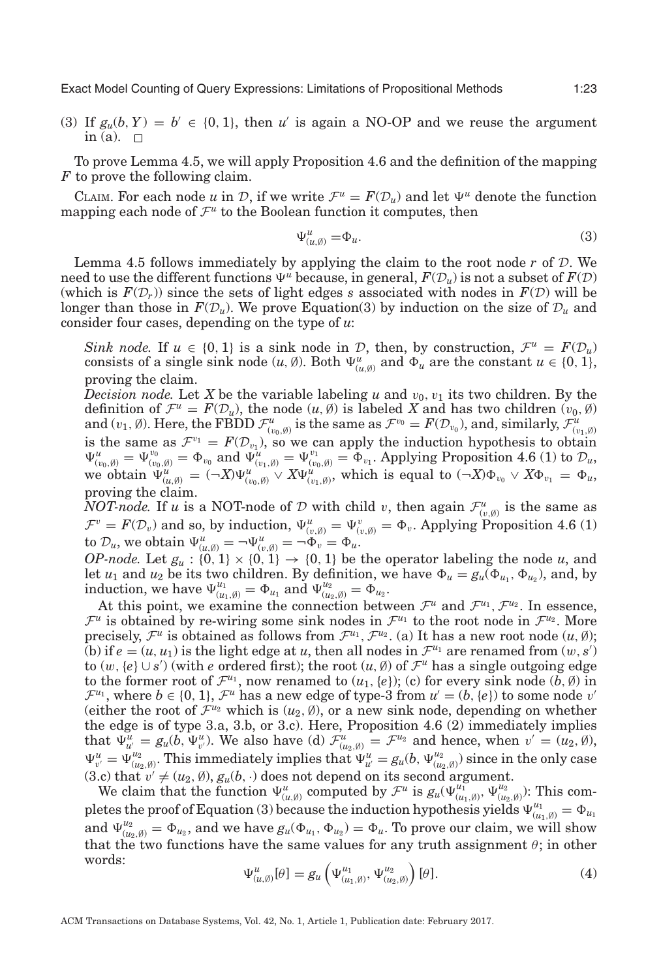(3) If  $g_u(b, Y) = b' \in \{0, 1\}$ , then *u'* is again a NO-OP and we reuse the argument in (a).  $\square$ 

To prove Lemma [4.5,](#page-20-2) we will apply Proposition [4.6](#page-21-1) and the definition of the mapping *F* to prove the following claim.

CLAIM. For each node *u* in D, if we write  $\mathcal{F}^u = F(\mathcal{D}_u)$  and let  $\Psi^u$  denote the function mapping each node of  $\mathcal{F}^u$  to the Boolean function it computes, then

<span id="page-22-0"></span>
$$
\Psi^u_{(u,\emptyset)} = \Phi_u.
$$
\n(3)

Lemma [4.5](#page-20-2) follows immediately by applying the claim to the root node  $r$  of  $\mathcal{D}$ . We need to use the different functions  $\Psi^u$  because, in general,  $F(\mathcal{D}_u)$  is not a subset of  $F(\mathcal{D})$ (which is  $F(\mathcal{D}_r)$ ) since the sets of light edges *s* associated with nodes in  $F(\mathcal{D})$  will be longer than those in  $F(\mathcal{D}_u)$ . We prove Equation[\(3\)](#page-22-0) by induction on the size of  $\mathcal{D}_u$  and consider four cases, depending on the type of *u*:

*Sink node.* If  $u \in \{0, 1\}$  is a sink node in D, then, by construction,  $\mathcal{F}^u = F(\mathcal{D}_u)$ consists of a single sink node  $(u, \emptyset)$ . Both  $\Psi^u_{(u, \emptyset)}$  and  $\Phi_u$  are the constant  $u \in \{0, 1\}$ , proving the claim.

*Decision node.* Let X be the variable labeling *u* and  $v_0$ ,  $v_1$  its two children. By the definition of  $\mathcal{F}^u = F(\mathcal{D}_u)$ , the node  $(u, \emptyset)$  is labeled X and has two children  $(v_0, \emptyset)$ and  $(v_1, \emptyset)$ . Here, the FBDD  $\mathcal{F}^u_{(v_0, \emptyset)}$  is the same as  $\mathcal{F}^{v_0} = F(\mathcal{D}_{v_0})$ , and, similarly,  $\mathcal{F}^u_{(v_1, \emptyset)}$ is the same as  $\mathcal{F}^{v_1} = F(\mathcal{D}_{v_1})$ , so we can apply the induction hypothesis to obtain  $\Psi_{(v_0,\emptyset)}^u = \Psi_{(v_0,\emptyset)}^{v_0} = \Phi_{v_0}$  and  $\Psi_{(v_1,\emptyset)}^u = \Psi_{(v_0,\emptyset)}^{v_1} = \Phi_{v_1}$ . Applying Proposition [4.6](#page-21-1) (1) to  $\mathcal{D}_u$ we obtain  $\Psi^u_{(u,\emptyset)} = (\neg X)\Psi^u_{(v_0,\emptyset)} \vee X\Psi^u_{(v_1,\emptyset)}$ , which is equal to  $(\neg X)\Phi_{v_0} \vee X\Phi_{v_1} = \Phi_u$ , proving the claim.

*NOT-node.* If *u* is a NOT-node of  $D$  with child *v*, then again  $\mathcal{F}_{(v,\emptyset)}^u$  is the same as  $\mathcal{F}^v = F(\mathcal{D}_v)$  and so, by induction,  $\Psi^u_{(v,\emptyset)} = \Psi^v_{(v,\emptyset)} = \Phi_v$ . Applying Proposition [4.6](#page-21-1) (1) to  $\mathcal{D}_u$ , we obtain  $\Psi^u_{(u,\emptyset)} = \neg \Psi^u_{(v,\emptyset)} = \neg \Phi_v = \Phi_u$ .

*OP-node.* Let  $g_u : \{0, 1\} \times \{0, 1\} \rightarrow \{0, 1\}$  be the operator labeling the node *u*, and let  $u_1$  and  $u_2$  be its two children. By definition, we have  $\Phi_u = g_u(\Phi_{u_1}, \Phi_{u_2})$ , and, by induction, we have  $\Psi_{(u_1,\emptyset)}^{u_1} = \Phi_{u_1}$  and  $\Psi_{(u_2,\emptyset)}^{u_2} = \Phi_{u_2}$ .

At this point, we examine the connection between  $\mathcal{F}^u$  and  $\mathcal{F}^{u_1}, \mathcal{F}^{u_2}$ . In essence,  $\mathcal{F}^u$  is obtained by re-wiring some sink nodes in  $\mathcal{F}^{u_1}$  to the root node in  $\mathcal{F}^{u_2}$ . More precisely,  $\mathcal{F}^u$  is obtained as follows from  $\mathcal{F}^{u_1}$ ,  $\mathcal{F}^{u_2}$ . (a) It has a new root node  $(u, \emptyset)$ ; (b) if  $e = (u, u_1)$  is the light edge at *u*, then all nodes in  $\mathcal{F}^{u_1}$  are renamed from  $(w, s')$ to  $(w, \{e\} \cup s')$  (with *e* ordered first); the root  $(u, \emptyset)$  of  $\mathcal{F}^u$  has a single outgoing edge to the former root of  $\mathcal{F}^{u_1}$ , now renamed to  $(u_1, \{e\})$ ; (c) for every sink node  $(b, \emptyset)$  in  $\mathcal{F}^{u_1}$ , where  $b \in \{0, 1\}$ ,  $\mathcal{F}^u$  has a new edge of type-3 from  $u' = (b, \{e\})$  to some node  $v'$ (either the root of  $\mathcal{F}^{u_2}$  which is  $(u_2, \emptyset)$ , or a new sink node, depending on whether the edge is of type 3.a, 3.b, or 3.c). Here, Proposition [4.6](#page-21-1) (2) immediately implies that  $\Psi_{u'}^{\bar{u}} = g_u(b, \Psi_{v'}^{\bar{u}})$ . We also have (d)  $\mathcal{F}_{(u_2,\emptyset)}^{\bar{u}} = \mathcal{F}^{u_2}$  and hence, when  $v' = (u_2,\emptyset)$ ,  $\Psi_{v'}^u = \Psi_{(u_2, \emptyset)}^{u_2}$ . This immediately implies that  $\Psi_{u'}^u = g_u(b, \Psi_{(u_2, \emptyset)}^{u_2})$  since in the only case  $(3.c)$  that  $v' \neq (u_2, \emptyset), g_u(b, \cdot)$  does not depend on its second argument.

<span id="page-22-1"></span>We claim that the function  $\Psi_{(u,\emptyset)}^u$  computed by  $\mathcal{F}^u$  is  $g_u(\Psi_{(u_1,\emptyset)}^{u_1}, \Psi_{(u_2,\emptyset)}^{u_2})$ : This com-pletes the proof of Equation [\(3\)](#page-22-0) because the induction hypothesis yields  $\Psi_{(u_1,\emptyset)}^{u_1} = \Phi_{u_1}$ and  $\Psi_{(u_2,\emptyset)}^{u_2} = \Phi_{u_2}$ , and we have  $g_u(\Phi_{u_1}, \Phi_{u_2}) = \Phi_u$ . To prove our claim, we will show that the two functions have the same values for any truth assignment  $\theta$ ; in other words:

$$
\Psi^u_{(u,\emptyset)}[\theta] = g_u\left(\Psi^{u_1}_{(u_1,\emptyset)},\Psi^{u_2}_{(u_2,\emptyset)}\right)[\theta].
$$
\n(4)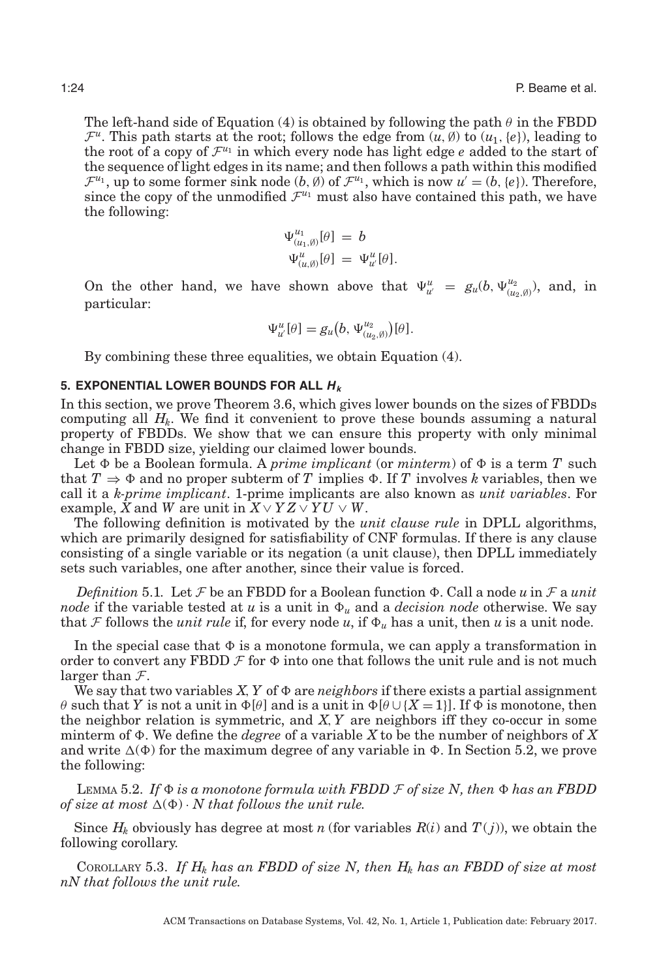The left-hand side of Equation [\(4\)](#page-22-1) is obtained by following the path  $\theta$  in the FBDD  $\mathcal{F}^u$ . This path starts at the root; follows the edge from  $(u, \emptyset)$  to  $(u_1, \{e\})$ , leading to the root of a copy of  $\mathcal{F}^{u_1}$  in which every node has light edge *e* added to the start of the sequence of light edges in its name; and then follows a path within this modified  $\mathcal{F}^{u_1}$ , up to some former sink node  $(b, \emptyset)$  of  $\mathcal{F}^{u_1}$ , which is now  $u' = (b, \{e\})$ . Therefore, since the copy of the unmodified  $\mathcal{F}^{u_1}$  must also have contained this path, we have the following:

$$
\Psi^{u_1}_{(u_1,\emptyset)}[\theta] = b
$$
  

$$
\Psi^u_{(u,\emptyset)}[\theta] = \Psi^u_{u'}[\theta].
$$

On the other hand, we have shown above that  $\Psi_{u'}^u = g_u(b, \Psi_{(u_2,\emptyset)}^{u_2})$ , and, in particular:

<span id="page-23-0"></span>
$$
\Psi^u_{u'}[\theta] = g_u(b, \Psi^{u_2}_{(u_2,\emptyset)})[\theta].
$$

By combining these three equalities, we obtain Equation [\(4\)](#page-22-1).

## **5. EXPONENTIAL LOWER BOUNDS FOR ALL H<sup>k</sup>**

In this section, we prove Theorem [3.6,](#page-13-0) which gives lower bounds on the sizes of FBDDs computing all  $H_k$ . We find it convenient to prove these bounds assuming a natural property of FBDDs. We show that we can ensure this property with only minimal change in FBDD size, yielding our claimed lower bounds.

Let  $\Phi$  be a Boolean formula. A *prime implicant* (or  $minterm$ ) of  $\Phi$  is a term  $T$  such that  $T \Rightarrow \Phi$  and no proper subterm of *T* implies  $\Phi$ . If *T* involves *k* variables, then we call it a *k-prime implicant*. 1-prime implicants are also known as *unit variables*. For example,  $\bar{X}$  and  $\bar{W}$  are unit in  $\bar{X} \vee YZ \vee YU \vee \bar{W}$ .

The following definition is motivated by the *unit clause rule* in DPLL algorithms, which are primarily designed for satisfiability of CNF formulas. If there is any clause consisting of a single variable or its negation (a unit clause), then DPLL immediately sets such variables, one after another, since their value is forced.

 $Definition 5.1. Let  $F$  be an FBDD for a Boolean function  $\Phi$ . Call a node  $u$  in  $F$  a unit$ *node* if the variable tested at *u* is a unit in  $\Phi_u$  and a *decision node* otherwise. We say that F follows the *unit rule* if, for every node *u*, if  $\Phi_u$  has a unit, then *u* is a unit node.

In the special case that  $\Phi$  is a monotone formula, we can apply a transformation in order to convert any FBDD  $\mathcal F$  for  $\Phi$  into one that follows the unit rule and is not much larger than  $\mathcal{F}$ .

We say that two variables  $X, Y$  of  $\Phi$  are *neighbors* if there exists a partial assignment  $\theta$  such that *Y* is not a unit in  $\Phi[\theta]$  and is a unit in  $\Phi[\theta \cup \{X = 1\}]$ . If  $\Phi$  is monotone, then the neighbor relation is symmetric, and *X*,*Y* are neighbors iff they co-occur in some minterm of  $\Phi$ . We define the *degree* of a variable X to be the number of neighbors of X and write  $\Delta(\Phi)$  for the maximum degree of any variable in  $\Phi$ . In Section [5.2,](#page-31-0) we prove the following:

<span id="page-23-2"></span> $\text{Lemma 5.2. If } \Phi \text{ is a monotone formula with FBDD } \mathcal{F} \text{ of size } N \text{, then } \Phi \text{ has an FBDD}$ of size at most  $\Delta(\Phi) \cdot N$  that follows the unit rule.

Since  $H_k$  obviously has degree at most *n* (for variables  $R(i)$  and  $T(j)$ ), we obtain the following corollary.

<span id="page-23-1"></span>COROLLARY 5.3. If  $H_k$  has an FBDD of size N, then  $H_k$  has an FBDD of size at most *nN that follows the unit rule.*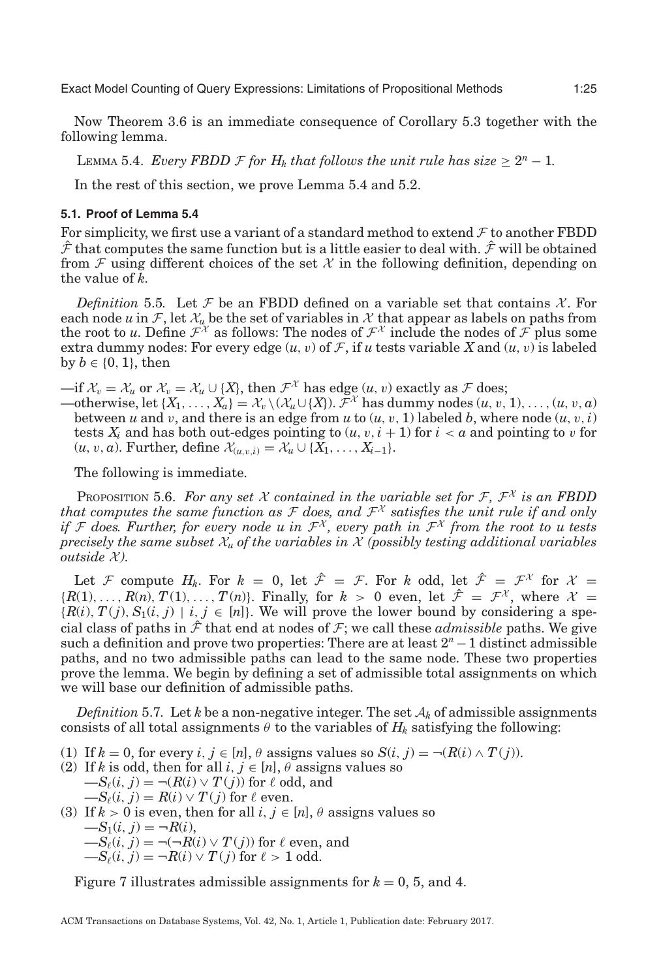Now Theorem [3.6](#page-13-0) is an immediate consequence of Corollary [5.3](#page-23-1) together with the following lemma.

<span id="page-24-0"></span>LEMMA 5.4. *Every FBDD*  $\mathcal F$  *for H<sub>k</sub> that follows the unit rule has size*  $\geq 2^n - 1$ *.* 

In the rest of this section, we prove Lemma [5.4](#page-24-0) and [5.2.](#page-23-2)

# **5.1. Proof of Lemma [5.4](#page-24-0)**

For simplicity, we first use a variant of a standard method to extend  $\mathcal F$  to another FBDD  $\hat{\mathcal{F}}$  that computes the same function but is a little easier to deal with.  $\hat{\mathcal{F}}$  will be obtained from  $\mathcal F$  using different choices of the set  $\mathcal X$  in the following definition, depending on the value of *k*.

*Definition* 5.5. Let F be an FBDD defined on a variable set that contains  $\mathcal{X}$ . For each node *u* in  $\mathcal{F}$ , let  $\mathcal{X}_u$  be the set of variables in  $\mathcal{X}$  that appear as labels on paths from the root to *u*. Define  $\mathcal{F}^{\chi}$  as follows: The nodes of  $\mathcal{F}^{\chi}$  include the nodes of  $\mathcal{F}$  plus some extra dummy nodes: For every edge  $(u, v)$  of F, if *u* tests variable X and  $(u, v)$  is labeled by  $b \in \{0, 1\}$ , then

—if  $\mathcal{X}_v = \mathcal{X}_u$  or  $\mathcal{X}_v = \mathcal{X}_u \cup \{X\}$ , then  $\mathcal{F}^{\mathcal{X}}$  has edge  $(u, v)$  exactly as  $\mathcal{F}$  does;

—otherwise, let  ${X_1, \ldots, X_a} = \mathcal{X}_v \setminus (\mathcal{X}_u \cup \{X\})$ .  $\bar{\mathcal{F}}^{\mathcal{X}}$  has dummy nodes  $(u, v, 1), \ldots, (u, v, a)$ between *u* and *v*, and there is an edge from *u* to  $(u, v, 1)$  labeled *b*, where node  $(u, v, i)$ tests  $X_i$  and has both out-edges pointing to  $(u, v, i + 1)$  for  $i < a$  and pointing to v for  $(u, v, a)$ . Further, define  $\mathcal{X}_{(u, v, i)} = \mathcal{X}_{u} \cup \{X_1, \ldots, X_{i-1}\}.$ 

The following is immediate.

<span id="page-24-2"></span>PROPOSITION 5.6. For any set X contained in the variable set for  $\mathcal{F}, \mathcal{F}^{\chi}$  is an FBDD that computes the same function as  $\mathcal F$  does, and  $\mathcal F^{\chi}$  satisfies the unit rule if and only *if* F does. Further, for every node u in  $\mathcal{F}^{\chi}$ , every path in  $\mathcal{F}^{\chi}$  from the root to u tests *precisely the same subset*  $X_u$  *of the variables in*  $X$  *(possibly testing additional variables outside*  $\mathcal{X}$ *).* 

Let F compute  $H_k$ . For  $k = 0$ , let  $\hat{\mathcal{F}} = \mathcal{F}$ . For  $k$  odd, let  $\hat{\mathcal{F}} = \mathcal{F}^{\mathcal{X}}$  for  $\mathcal{X} =$  ${R(1),\ldots,R(n), T(1),\ldots,T(n)}$ . Finally, for  $k > 0$  even, let  $\hat{\mathcal{F}} = \mathcal{F}^{\chi}$ , where  $\mathcal{X} =$  ${R(i), T(j), S_1(i,j) | i, j \in [n]}$ . We will prove the lower bound by considering a special class of paths in  $\hat{\mathcal{F}}$  that end at nodes of  $\mathcal{F}$ ; we call these *admissible* paths. We give such a definition and prove two properties: There are at least 2*<sup>n</sup>*−1 distinct admissible paths, and no two admissible paths can lead to the same node. These two properties prove the lemma. We begin by defining a set of admissible total assignments on which we will base our definition of admissible paths.

<span id="page-24-1"></span>*Definition* 5.7. Let *k* be a non-negative integer. The set  $A_k$  of admissible assignments consists of all total assignments  $\theta$  to the variables of  $H_k$  satisfying the following:

- (1) If  $k = 0$ , for every  $i, j \in [n]$ ,  $\theta$  assigns values so  $S(i, j) = \neg (R(i) \land T(j))$ .
- (2) If *k* is odd, then for all  $i, j \in [n]$ ,  $\theta$  assigns values so  $-S_{\ell}(i, j) = \neg(R(i) \lor T(j))$  for  $\ell$  odd, and  $-S_{\ell}(i, j) = R(i) \vee T(j)$  for  $\ell$  even.
- (3) If  $k > 0$  is even, then for all  $i, j \in [n]$ ,  $\theta$  assigns values so  $-S_1(i, j) = \neg R(i),$  $-S_{\ell}(i, j) = \neg(\neg R(i) \lor T(j))$  for  $\ell$  even, and  $-S_{\ell}(i, j) = -R(i) \vee T(j)$  for  $\ell > 1$  odd.

Figure [7](#page-25-0) illustrates admissible assignments for  $k = 0, 5$ , and 4.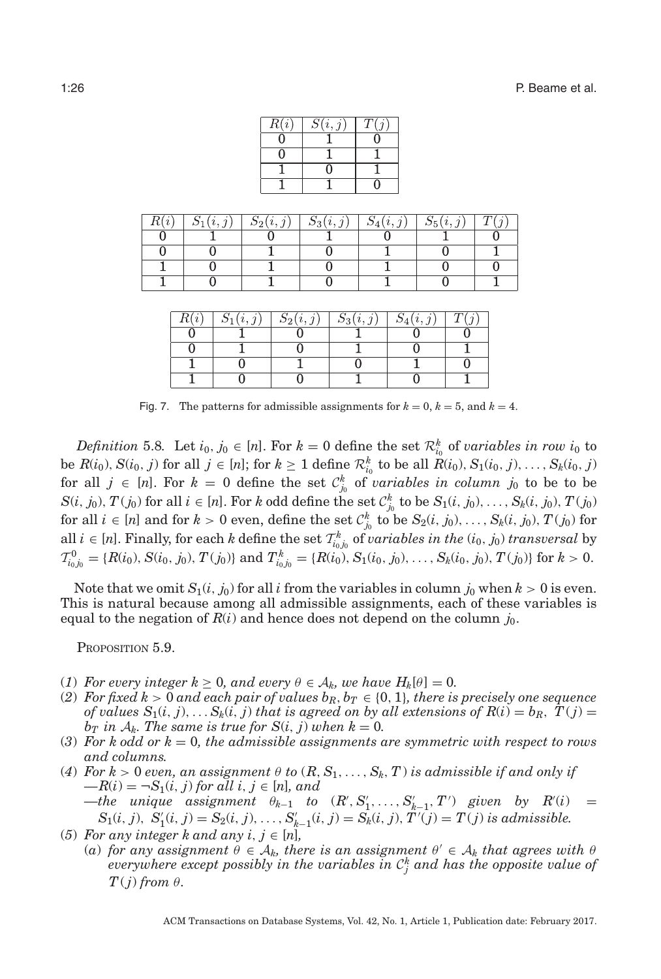| R(i) | $\overline{S}(i, j)$ |  |
|------|----------------------|--|
|      |                      |  |
|      |                      |  |
|      |                      |  |
|      |                      |  |

<span id="page-25-0"></span>

| (i, i) | $S_2(i,j)$ | $S_3(i,j)$ | (i, j) | 55(i, j) |  |
|--------|------------|------------|--------|----------|--|
|        |            |            |        |          |  |
|        |            |            |        |          |  |
|        |            |            |        |          |  |
|        |            |            |        |          |  |

| $\mathbf{L}(i)$ | $S_1(i, j)$ | $S_2(i,j)$ | $\mathcal{D}_3(i,$ | $S_4(i,j)$ |  |
|-----------------|-------------|------------|--------------------|------------|--|
|                 |             |            |                    |            |  |
|                 |             |            |                    |            |  |
|                 |             |            |                    |            |  |
|                 |             |            |                    |            |  |

Fig. 7. The patterns for admissible assignments for  $k = 0$ ,  $k = 5$ , and  $k = 4$ .

*Definition* 5.8. Let  $i_0, j_0 \in [n]$ . For  $k = 0$  define the set  $\mathcal{R}^k_{i_0}$  of *variables in row*  $i_0$  to be  $R(i_0), S(i_0, j)$  for all  $j \in [n]$ ; for  $k \ge 1$  define  $\mathcal{R}_{i_0}^k$  to be all  $R(i_0), S_1(i_0, j), \ldots, S_k(i_0, j)$ for all  $j \in [n]$ . For  $k = 0$  define the set  $\mathcal{C}_{j_0}^k$  of *variables in column*  $j_0$  to be to be  $S(i, j_0), T(j_0)$  for all  $i \in [n]$ . For k odd define the set  $\mathcal{C}_{j_0}^k$  to be  $S_1(i, j_0), \ldots, S_k(i, j_0), T(j_0)$ for all  $i \in [n]$  and for  $k > 0$  even, define the set  $\mathcal{C}_{j_0}^k$  to be  $S_2(i, j_0), \ldots, S_k(i, j_0), T(j_0)$  for all  $i \in [n]$ . Finally, for each *k* define the set  $\mathcal{T}_{i_0j_0}^k$  of *variables in the*  $(i_0, j_0)$  *transversal* by  $T_{i_0j_0}^0 = \{R(i_0), S(i_0, j_0), T(j_0)\}\$ and  $T_{i_0j_0}^k = \{R(i_0), S_1(i_0, j_0), \ldots, S_k(i_0, j_0), T(j_0)\}\$  for  $k > 0$ .

Note that we omit  $S_1(i, j_0)$  for all *i* from the variables in column  $j_0$  when  $k > 0$  is even. This is natural because among all admissible assignments, each of these variables is equal to the negation of  $R(i)$  and hence does not depend on the column  $j_0$ .

<span id="page-25-1"></span>Proposition 5.9.

- (1) *For every integer*  $k \geq 0$ *, and every*  $\theta \in A_k$ *, we have*  $H_k[\theta] = 0$ *.*
- (2) For fixed  $k > 0$  and each pair of values  $b_R, b_T \in \{0, 1\}$ , there is precisely one sequence *of values*  $S_1(i, j)$ ,...  $S_k(i, j)$  *that is agreed on by all extensions of*  $R(i) = b_R$ ,  $T(j) =$ *b<sub>T</sub>* in  $A_k$ . The same is true for  $S(i, j)$  when  $k = 0$ .
- (3) For k odd or  $k = 0$ , the admissible assignments are symmetric with respect to rows *and columns.*
- (4) For  $k > 0$  even, an assignment  $\theta$  to  $(R, S_1, \ldots, S_k, T)$  is admissible if and only if  $-R(i) = \neg S_1(i, j)$  *for all i*,  $j \in [n]$ *, and*  $-\text{the unique assignment } \theta_{k-1}$  to  $(R', S'_1, \ldots, S'_{k-1}, T')$  given by  $R'(i)$  =  $S_1(i, j), S'_1(i, j) = S_2(i, j), \ldots, S'_{k-1}(i, j) = S_k(i, j), T'(\bar{j}) = T(j)$  is admissible.
- (5) For any integer k and any  $i, j \in [n]$ ,
- (*a*) for any assignment  $\theta \in A_k$ , there is an assignment  $\theta' \in A_k$  that agrees with  $\theta$  $everywhere$   $except$   $possibly$   $in$   $the$   $variables$   $in$   $\mathcal{C}_j^k$   $and$   $has$   $the$   $opposite$   $value$  of  $T(j)$  *from*  $\theta$ *.*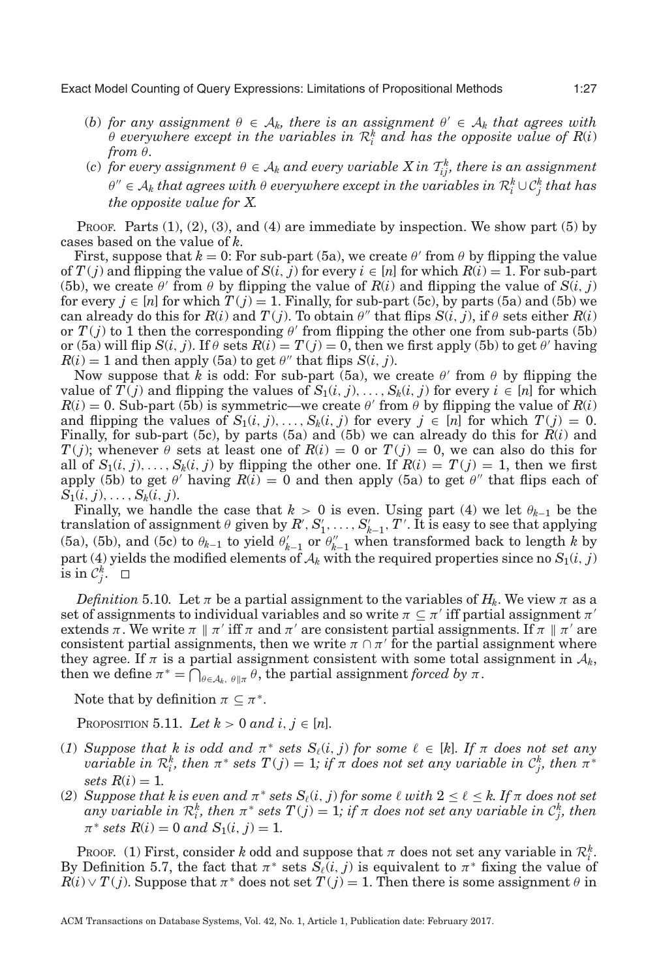- (*b*) for any assignment  $\theta \in A_k$ , there is an assignment  $\theta' \in A_k$  that agrees with  $\theta$  everywhere except in the variables in  $\mathcal{R}_i^k$  and has the opposite value of  $R(i)$ *from* θ*.*
- (*c*) for every assignment  $\theta \in A_k$  and every variable  $X$  in  $\mathcal{T}_{ij}^k$ , there is an assignment <sup>θ</sup> <sup>∈</sup> <sup>A</sup>*<sup>k</sup> that agrees with* <sup>θ</sup> *everywhere except in the variables in* <sup>R</sup>*<sup>k</sup> <sup>i</sup>* <sup>∪</sup>C*<sup>k</sup> <sup>j</sup> that has the opposite value for X.*

Proof. Parts  $(1), (2), (3),$  and  $(4)$  are immediate by inspection. We show part  $(5)$  by cases based on the value of *k*.

First, suppose that  $k = 0$ : For sub-part (5a), we create  $\theta'$  from  $\theta$  by flipping the value of  $T(j)$  and flipping the value of  $S(i, j)$  for every  $i \in [n]$  for which  $R(i) = 1$ . For sub-part (5b), we create  $\theta'$  from  $\theta$  by flipping the value of  $R(i)$  and flipping the value of  $S(i, j)$ for every  $j \in [n]$  for which  $T(j) = 1$ . Finally, for sub-part (5c), by parts (5a) and (5b) we can already do this for  $R(i)$  and  $T(j)$ . To obtain  $\theta''$  that flips  $S(i, j)$ , if  $\theta$  sets either  $R(i)$ or  $T(j)$  to 1 then the corresponding  $\theta'$  from flipping the other one from sub-parts (5b) or (5a) will flip  $S(i, j)$ . If  $\theta$  sets  $R(i) = T(j) = 0$ , then we first apply (5b) to get  $\theta'$  having  $R(i) = 1$  and then apply (5a) to get  $\theta''$  that flips  $S(i, j)$ .

Now suppose that *k* is odd: For sub-part (5a), we create  $\theta'$  from  $\theta$  by flipping the value of  $\overline{T}(j)$  and flipping the values of  $S_1(i, j), \ldots, S_k(i, j)$  for every  $i \in [n]$  for which  $R(i) = 0$ . Sub-part (5b) is symmetric—we create  $\theta'$  from  $\theta$  by flipping the value of  $R(i)$ and flipping the values of  $S_1(i, j), \ldots, S_k(i, j)$  for every  $j \in [n]$  for which  $T(j) = 0$ . Finally, for sub-part (5c), by parts (5a) and (5b) we can already do this for *R*(*i*) and *T*(*j*); whenever  $\theta$  sets at least one of  $R(i) = 0$  or  $T(j) = 0$ , we can also do this for all of  $S_1(i, j), \ldots, S_k(i, j)$  by flipping the other one. If  $R(i) = T(j) = 1$ , then we first apply (5b) to get  $\theta'$  having  $R(i) = 0$  and then apply (5a) to get  $\theta''$  that flips each of  $S_1(i, j), \ldots, S_k(i, j).$ 

Finally, we handle the case that  $k > 0$  is even. Using part (4) we let  $\theta_{k-1}$  be the  $\alpha$  translation of assignment  $\theta$  given by  $R', S'_1, \ldots, S'_{k-1}, T'.$  It is easy to see that applying (5a), (5b), and (5c) to  $\theta_{k-1}$  to yield  $\theta'_{k-1}$  or  $\theta''_{k-1}$  when transformed back to length *k* by part (4) yields the modified elements of  $A_k$  with the required properties since no  $S_1(i, j)$  $\overline{\text{is in }} \mathcal{C}^k_j.$ 

*Definition* 5.10. Let  $\pi$  be a partial assignment to the variables of  $H_k$ . We view  $\pi$  as a set of assignments to individual variables and so write  $\pi \subseteq \pi'$  iff partial assignment  $\pi'$ extends  $\pi$ . We write  $\pi \parallel \pi'$  iff  $\pi$  and  $\pi'$  are consistent partial assignments. If  $\pi \parallel \pi'$  are consistent partial assignments, then we write  $\pi \cap \pi'$  for the partial assignment where they agree. If  $\pi$  is a partial assignment consistent with some total assignment in  $\mathcal{A}_k$ , then we define  $\pi^* = \bigcap_{\theta \in A_k, \theta \parallel \pi} \theta$ , the partial assignment *forced by*  $\pi$ .

Note that by definition  $\pi \subseteq \pi^*$ .

<span id="page-26-0"></span>PROPOSITION 5.11. Let  $k > 0$  and  $i, j \in [n]$ .

- (*1*) *Suppose that*  $k$  *is odd and*  $\pi^*$  *sets*  $S_{\ell}(i, j)$  *for some*  $\ell \in [k]$ *. If*  $\pi$  *does not set any*  $variable$  *in*  $\mathcal{R}_i^k$ , then  $\pi^*$  sets  $T(j) = 1$ ; if  $\pi$  does not set any variable in  $\mathcal{C}_j^k$ , then  $\pi^*$ *sets*  $R(i) = 1$ .
- (2) *Suppose that k is even and*  $\pi^*$  *sets*  $S_\ell(i, j)$  *for some*  $\ell$  *with*  $2 \leq \ell \leq k$ *. If*  $\pi$  *does not set*  $a$ ny variable in  $\mathcal{R}_i^k$ , then  $\pi^*$  sets  $T(j) = 1$ ; if  $\pi$  does not set any variable in  $\mathcal{C}_j^k$ , then  $\pi^*$  *sets*  $R(i) = 0$  *and*  $S_1(i, j) = 1$ .

PROOF. (1) First, consider *k* odd and suppose that  $\pi$  does not set any variable in  $\mathcal{R}_i^k$ . By Definition [5.7,](#page-24-1) the fact that  $\pi^*$  sets  $\overline{S}_\ell(i, j)$  is equivalent to  $\pi^*$  fixing the value of  $R(i) \vee T(j)$ . Suppose that  $\pi^*$  does not set  $T(j) = 1$ . Then there is some assignment  $\theta$  in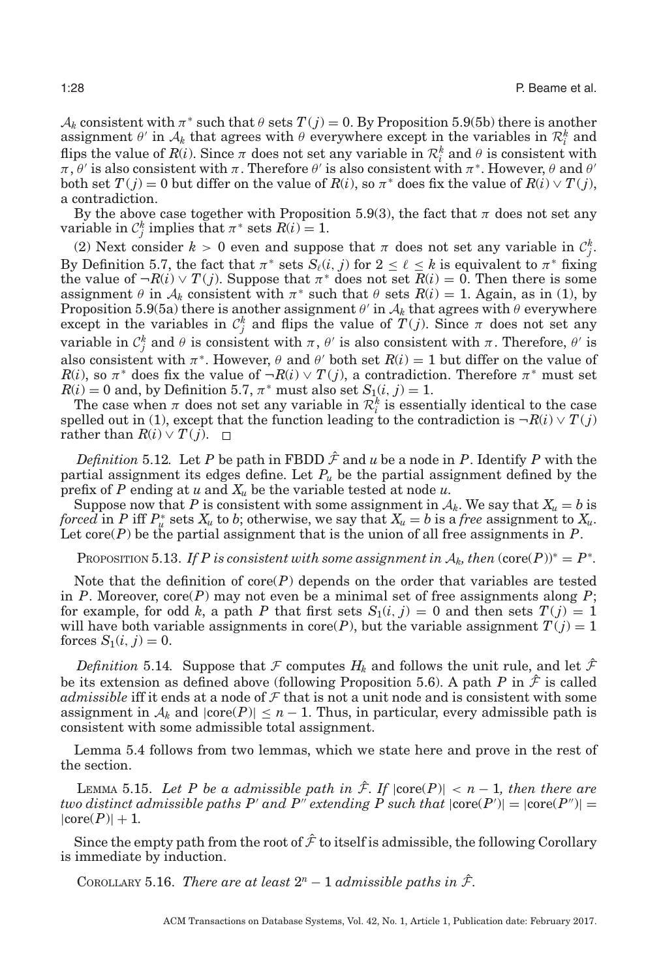$A_k$  consistent with  $\pi^*$  such that  $\theta$  sets  $T(j) = 0$ . By Proposition [5.9\(](#page-25-1)5b) there is another assignment  $\theta'$  in  $A_k$  that agrees with  $\theta$  everywhere except in the variables in  $\mathcal{R}_i^k$  and flips the value of  $R(i)$ . Since  $\pi$  does not set any variable in  $\mathcal{R}_i^k$  and  $\theta$  is consistent with  $\pi, \theta'$  is also consistent with  $\pi$ . Therefore  $\theta'$  is also consistent with  $\pi^*$ . However,  $\theta$  and  $\theta'$ both set  $T(j) = 0$  but differ on the value of  $R(i)$ , so  $\pi^*$  does fix the value of  $R(i) \vee T(j)$ , a contradiction.

By the above case together with Proposition [5.9\(](#page-25-1)3), the fact that  $\pi$  does not set any variable in  $C_j^k$  implies that  $\pi^*$  sets  $R(i) = 1$ .

(2) Next consider  $k > 0$  even and suppose that  $\pi$  does not set any variable in  $\mathcal{C}_j^k$ . By Definition [5.7,](#page-24-1) the fact that  $\pi^*$  sets  $S_{\ell}(i, j)$  for  $2 \leq \ell \leq k$  is equivalent to  $\pi^*$  fixing the value of  $\neg R(i) \vee T(j)$ . Suppose that  $\pi^*$  does not set  $R(i) = 0$ . Then there is some assignment  $\theta$  in  $A_k$  consistent with  $\pi^*$  such that  $\theta$  sets  $R(i) = 1$ . Again, as in (1), by Proposition [5.9\(](#page-25-1)5a) there is another assignment  $\theta'$  in  $A_k$  that agrees with  $\theta$  everywhere except in the variables in  $\mathcal{C}_j^k$  and flips the value of  $T(j)$ . Since  $\pi$  does not set any variable in  $C_j^k$  and  $\theta$  is consistent with  $\pi$ ,  $\theta'$  is also consistent with  $\pi$ . Therefore,  $\theta'$  is also consistent with  $\pi^*$ . However,  $\theta$  and  $\theta'$  both set  $R(i) = 1$  but differ on the value of *R*(*i*), so  $\pi$ <sup>\*</sup> does fix the value of  $\neg R(i) \vee T(j)$ , a contradiction. Therefore  $\pi$ <sup>\*</sup> must set  $R(i) = 0$  and, by Definition [5.7,](#page-24-1)  $\pi^*$  must also set  $S_1(i, j) = 1$ .

The case when  $\pi$  does not set any variable in  $\mathcal{R}_i^k$  is essentially identical to the case spelled out in (1), except that the function leading to the contradiction is  $\neg R(i) \vee T(j)$ *rather than*  $R(i) \vee T(j)$ . □

*Definition* 5.12. Let P be path in FBDD  $\hat{\mathcal{F}}$  and  $u$  be a node in P. Identify P with the partial assignment its edges define. Let  $P_u$  be the partial assignment defined by the prefix of *P* ending at *u* and *Xu* be the variable tested at node *u*.

Suppose now that *P* is consistent with some assignment in  $A_k$ . We say that  $X_u = b$  is *forced* in *P* iff  $P_u^*$  sets  $X_u$  to *b*; otherwise, we say that  $X_u = b$  is a *free* assignment to  $X_u$ . Let  $\text{core}(P)$  be the partial assignment that is the union of all free assignments in  $P$ .

<span id="page-27-2"></span>PROPOSITION 5.13. *If P is consistent with some assignment in*  $A_k$ , then  $(\text{core}(P))^* = P^*$ .

Note that the definition of core(*P*) depends on the order that variables are tested in *P*. Moreover, core(*P*) may not even be a minimal set of free assignments along *P*; for example, for odd k, a path P that first sets  $S_1(i, j) = 0$  and then sets  $T(j) = 1$ will have both variable assignments in core(*P*), but the variable assignment  $T(j) = 1$ forces  $S_1(i, j) = 0$ .

*Definition* 5.14. Suppose that F computes  $H_k$  and follows the unit rule, and let  $\hat{\mathcal{F}}$ be its extension as defined above (following Proposition [5.6\)](#page-24-2). A path *P* in  $\hat{\mathcal{F}}$  is called *admissible* iff it ends at a node of  $\mathcal F$  that is not a unit node and is consistent with some assignment in  $A_k$  and  $|core(P)| \leq n-1$ . Thus, in particular, every admissible path is consistent with some admissible total assignment.

Lemma [5.4](#page-24-0) follows from two lemmas, which we state here and prove in the rest of the section.

<span id="page-27-1"></span>LEMMA 5.15. Let P be a admissible path in  $\hat{\mathcal{F}}$ . If  $|\text{core}(P)| < n - 1$ , then there are *two distinct admissible paths P' and P" extending P such that*  $|\text{core}(P')| = |\text{core}(P'')| =$  $|core(P)|+1$ .

Since the empty path from the root of  $\hat{\mathcal{F}}$  to itself is admissible, the following Corollary is immediate by induction.

<span id="page-27-0"></span>COROLLARY 5.16. *There are at least*  $2^n - 1$  *admissible paths in*  $\hat{\mathcal{F}}$ *.*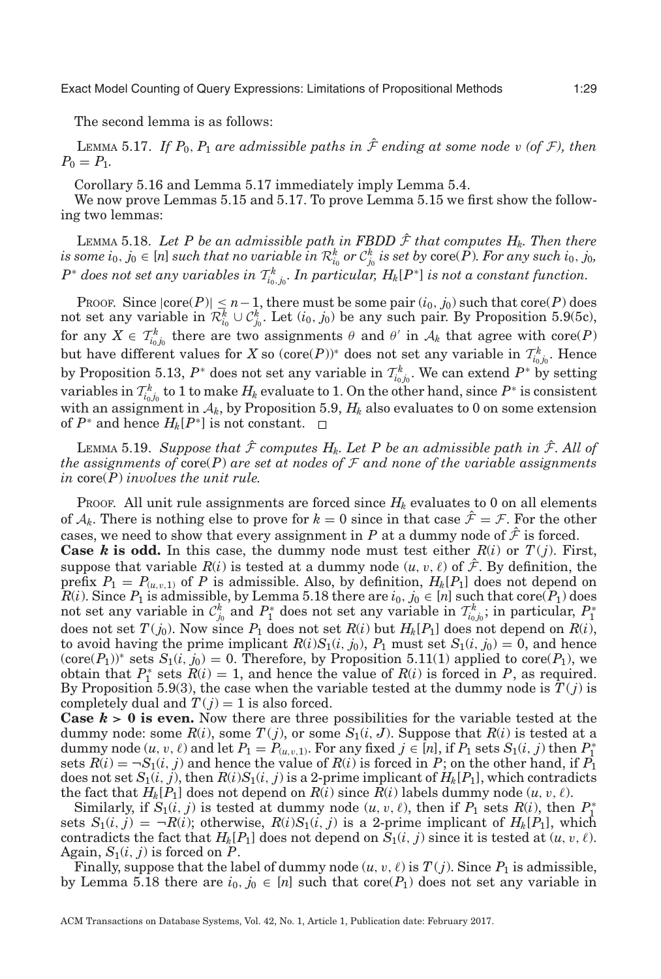The second lemma is as follows:

<span id="page-28-0"></span>LEMMA 5.17. *If*  $P_0$ ,  $P_1$  *are admissible paths in*  $\hat{\mathcal{F}}$  *ending at some node* v (of  $\mathcal{F}$ ), then  $P_0 = P_1$ .

Corollary [5.16](#page-27-0) and Lemma [5.17](#page-28-0) immediately imply Lemma [5.4.](#page-24-0)

We now prove Lemmas [5.15](#page-27-1) and [5.17.](#page-28-0) To prove Lemma [5.15](#page-27-1) we first show the following two lemmas:

<span id="page-28-1"></span>LEMMA 5.18. Let P be an admissible path in FBDD  $\hat{\mathcal{F}}$  that computes  $H_k$ . Then there  $i$ s some  $i_0, j_0 \in [n]$  such that no variable  $\overline{i}n \mathcal{R}_{i_0}^k$  or  $\mathcal{C}_{j_0}^k$  is set by  $\mathrm{core}(\tilde{P})$ . For any such  $i_0, j_0, j_0$  $P^*$  *does not set any variables in*  $\mathcal{T}^k_{i_0,j_0}.$  *In particular,*  $H_k[P^*]$  *is not a constant function.* 

PROOF. Since  $|core(P)| \leq n-1$ , there must be some pair  $(i_0, j_0)$  such that core(*P*) does not set any variable in  $\mathcal{R}_{i_0}^k \cup \mathcal{C}_{j_0}^k$ . Let  $(i_0, j_0)$  be any such pair. By Proposition [5.9\(](#page-25-1)5c), for any  $X \in \mathcal{T}_{i_0j_0}^k$  there are two assignments  $\theta$  and  $\theta'$  in  $\mathcal{A}_k$  that agree with core(*P*) but have different values for *X* so  $(\text{core}(P))^*$  does not set any variable in  $\mathcal{T}_{i_0j_0}^k$ . Hence by Proposition [5.13,](#page-27-2)  $P^*$  does not set any variable in  $\mathcal{T}^k_{i_0,j_0}$ . We can extend  $P^*$  by setting variables in  $\mathcal{T}_{i_0j_0}^k$  to 1 to make  $H_k$  evaluate to 1. On the other hand, since  $P^*$  is consistent with an assignment in  $A_k$ , by Proposition [5.9,](#page-25-1)  $H_k$  also evaluates to 0 on some extension of  $P^*$  and hence  $H_k[P^*]$  is not constant. □

<span id="page-28-2"></span>LEMMA 5.19. *Suppose that*  $\hat{\mathcal{F}}$  *computes H<sub>k</sub>. Let P be an admissible path in*  $\hat{\mathcal{F}}$ *. All of the assignments of* core(*P*) *are set at nodes of* F *and none of the variable assignments in* core(*P*) *involves the unit rule.*

PROOF. All unit rule assignments are forced since  $H_k$  evaluates to 0 on all elements of  $A_k$ . There is nothing else to prove for  $k = 0$  since in that case  $\hat{\mathcal{F}} = \mathcal{F}$ . For the other cases, we need to show that every assignment in *P* at a dummy node of  $\hat{\mathcal{F}}$  is forced.

**Case** *k* is odd. In this case, the dummy node must test either  $R(i)$  or  $T(j)$ . First, suppose that variable  $R(i)$  is tested at a dummy node  $(u, v, \ell)$  of  $\hat{\mathcal{F}}$ . By definition, the prefix  $P_1 = P_{(u,v,1)}$  of *P* is admissible. Also, by definition,  $H_k[P_1]$  does not depend on  $R(i)$ . Since  $P_1$  is admissible, by Lemma [5.18](#page-28-1) there are  $i_0, j_0 \in [n]$  such that core( $P_1$ ) does not set any variable in  $C_{j_0}^k$  and  $P_1^*$  does not set any variable in  $\mathcal{T}_{i_0j_0}^k$ ; in particular,  $P_1^*$ does not set  $T(j_0)$ . Now since  $P_1$  does not set  $R(i)$  but  $H_k[P_1]$  does not depend on  $R(i)$ , to avoid having the prime implicant  $R(i)S_1(i, j_0)$ ,  $P_1$  must set  $S_1(i, j_0) = 0$ , and hence  $(\text{core}(P_1))^*$  sets  $S_1(i, j_0) = 0$ . Therefore, by Proposition [5.11\(](#page-26-0)1) applied to core $(P_1)$ , we obtain that  $P_1^*$  sets  $R(i) = 1$ , and hence the value of  $R(i)$  is forced in *P*, as required. By Proposition [5.9\(](#page-25-1)3), the case when the variable tested at the dummy node is  $T(j)$  is completely dual and  $T(j) = 1$  is also forced.

**Case**  $k > 0$  **is even.** Now there are three possibilities for the variable tested at the dummy node: some  $R(i)$ , some  $T(j)$ , or some  $S_1(i, J)$ . Suppose that  $R(i)$  is tested at a dummy node  $(u, v, \ell)$  and let  $P_1 = P_{(u, v, 1)}$ . For any fixed  $j \in [n]$ , if  $P_1$  sets  $S_1(i, j)$  then  $P_1^*$ sets  $R(i) = \neg S_1(i, j)$  and hence the value of  $R(i)$  is forced in *P*; on the other hand, if  $P_1$ does not set  $S_1(i, j)$ , then  $R(i)S_1(i, j)$  is a 2-prime implicant of  $H_k[P_1]$ , which contradicts the fact that  $H_k[P_1]$  does not depend on  $R(i)$  since  $R(i)$  labels dummy node  $(u, v, \ell)$ .

Similarly, if  $S_1(i, j)$  is tested at dummy node  $(u, v, \ell)$ , then if  $P_1$  sets  $R(i)$ , then  $P_1^*$ sets  $S_1(i, j) = \neg R(i)$ ; otherwise,  $R(i)S_1(i, j)$  is a 2-prime implicant of  $H_k[P_1]$ , which contradicts the fact that  $H_k[P_1]$  does not depend on  $S_1(i, j)$  since it is tested at  $(u, v, \ell)$ . Again,  $S_1(i, j)$  is forced on *P*.

Finally, suppose that the label of dummy node  $(u, v, \ell)$  is  $T(j)$ . Since  $P_1$  is admissible, by Lemma [5.18](#page-28-1) there are  $i_0, j_0 \in [n]$  such that core( $P_1$ ) does not set any variable in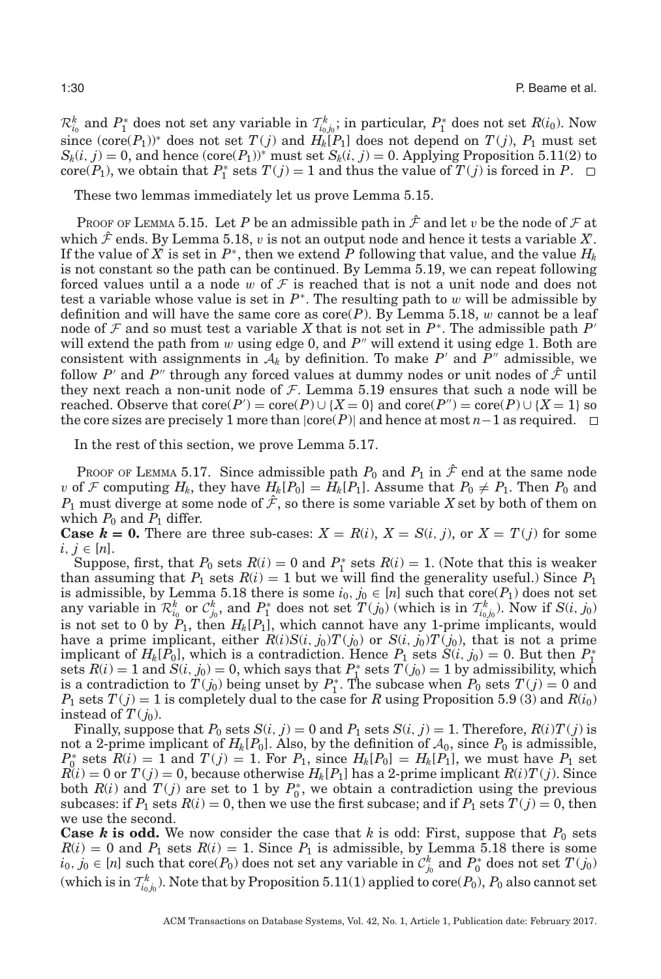$\mathcal{R}_{i_0}^k$  and  $P_1^*$  does not set any variable in  $\mathcal{T}_{i_0j_0}^k$ ; in particular,  $P_1^*$  does not set  $R(i_0)$ . Now since (core( $P_1$ ))<sup>\*</sup> does not set  $T(j)$  and  $H_k[P_1]$  does not depend on  $T(j)$ ,  $P_1$  must set  $S_k(i, j) = 0$ , and hence  $(\text{core}(P_1))^*$  must set  $S_k(i, j) = 0$ . Applying Proposition [5.11\(](#page-26-0)2) to core( $P_1$ ), we obtain that  $P_1^*$  sets  $T(j) = 1$  and thus the value of  $T(j)$  is forced in  $P$ .

These two lemmas immediately let us prove Lemma [5.15.](#page-27-1)

Proof of Lemma [5.15.](#page-27-1) Let P be an admissible path in  $\hat{\mathcal{F}}$  and let v be the node of  $\mathcal F$  at which  $\hat{\mathcal{F}}$  ends. By Lemma [5.18,](#page-28-1)  $v$  is not an output node and hence it tests a variable  $X$ . If the value of  $\overline{X}$  is set in  $P^*$ , then we extend  $P$  following that value, and the value  $H_k$ is not constant so the path can be continued. By Lemma [5.19,](#page-28-2) we can repeat following forced values until a a node w of  $\mathcal F$  is reached that is not a unit node and does not test a variable whose value is set in  $P^*$ . The resulting path to w will be admissible by definition and will have the same core as  $\operatorname{core}(P)$ . By Lemma [5.18,](#page-28-1) w cannot be a leaf node of F and so must test a variable X that is not set in  $P^*$ . The admissible path P' will extend the path from  $w$  using edge 0, and  $P''$  will extend it using edge 1. Both are consistent with assignments in  $A_k$  by definition. To make P' and P'' admissible, we follow *P'* and *P''* through any forced values at dummy nodes or unit nodes of  $\hat{\mathcal{F}}$  until they next reach a non-unit node of  $F$ . Lemma [5.19](#page-28-2) ensures that such a node will be reached. Observe that  $\text{core}(P') = \text{core}(P) \cup \{X = 0\}$  and  $\text{core}(P'') = \text{core}(P) \cup \{X = 1\}$  so the core sizes are precisely 1 more than  $|core(P)|$  and hence at most *n*−1 as required.  $\square$ 

In the rest of this section, we prove Lemma [5.17.](#page-28-0)

PROOF OF LEMMA [5.17.](#page-28-0) Since admissible path  $P_0$  and  $P_1$  in  $\hat{\mathcal{F}}$  end at the same node v of F computing  $H_k$ , they have  $H_k[P_0] = H_k[P_1]$ . Assume that  $P_0 \neq P_1$ . Then  $P_0$  and  $P_1$  must diverge at some node of  $\hat{\mathcal{F}}$ , so there is some variable X set by both of them on which  $P_0$  and  $P_1$  differ.

**Case**  $k = 0$ . There are three sub-cases:  $X = R(i)$ ,  $X = S(i, j)$ , or  $X = T(j)$  for some  $i, j \in [n]$ .

Suppose, first, that  $P_0$  sets  $R(i) = 0$  and  $P_1^*$  sets  $R(i) = 1$ . (Note that this is weaker than assuming that  $P_1$  sets  $R(i) = 1$  but we will find the generality useful.) Since  $P_1$ is admissible, by Lemma [5.18](#page-28-1) there is some  $i_0, j_0 \in [n]$  such that core( $P_1$ ) does not set any variable in  $\mathcal{R}^k_{i_0}$  or  $\mathcal{C}^k_{j_0}$ , and  $P^*$  does not set  $T(j_0)$  (which is in  $\mathcal{T}^k_{i_0,j_0}$ ). Now if  $S(i, j_0)$ is not set to 0 by *P*1, then *Hk*[*P*1], which cannot have any 1-prime implicants, would have a prime implicant, either  $R(i)S(i, j_0)T(j_0)$  or  $S(i, j_0)T(j_0)$ , that is not a prime implicant of  $H_k[\hat{P}_0]$ , which is a contradiction. Hence  $P_1$  sets  $\tilde{S}(i, j_0) = 0$ . But then  $P_1^*$ sets  $R(i) = 1$  and  $S(i, j_0) = 0$ , which says that  $P_1^*$  sets  $T(j_0) = 1$  by admissibility, which is a contradiction to  $T(j_0)$  being unset by  $P_1^*$ . The subcase when  $P_0$  sets  $T(j) = 0$  and  $P_1$  sets  $T(j) = 1$  is completely dual to the case for *R* using Proposition [5.9](#page-25-1) (3) and  $R(i_0)$ instead of  $T(j_0)$ .

Finally, suppose that  $P_0$  sets  $S(i, j) = 0$  and  $P_1$  sets  $S(i, j) = 1$ . Therefore,  $R(i)T(j)$  is not a 2-prime implicant of  $H_k[P_0]$ . Also, by the definition of  $A_0$ , since  $P_0$  is admissible,  $P_0^*$  sets  $R(i) = 1$  and  $T(j) = 1$ . For  $P_1$ , since  $H_k[P_0] = H_k[P_1]$ , we must have  $P_1$  set  $R(i) = 0$  or  $T(j) = 0$ , because otherwise  $H_k[P_1]$  has a 2-prime implicant  $R(i)T(j)$ . Since both  $R(i)$  and  $T(j)$  are set to 1 by  $P_0^*$ , we obtain a contradiction using the previous subcases: if  $P_1$  sets  $R(i) = 0$ , then we use the first subcase; and if  $P_1$  sets  $T(j) = 0$ , then we use the second.

**Case** *k* **is odd.** We now consider the case that *k* is odd: First, suppose that  $P_0$  sets  $R(i) = 0$  and  $P_1$  sets  $R(i) = 1$ . Since  $P_1$  is admissible, by Lemma [5.18](#page-28-1) there is some  $i_0, j_0 \in [n]$  such that core(*P*<sub>0</sub>) does not set any variable in  $\mathcal{C}_{j_0}^k$  and  $P_0^*$  does not set  $T(j_0)$ (which is in  $\mathcal{T}_{i_0j_0}^k$ ). Note that by Proposition [5.11\(](#page-26-0)1) applied to  $\mathrm{core}(P_0),$   $P_0$  also cannot set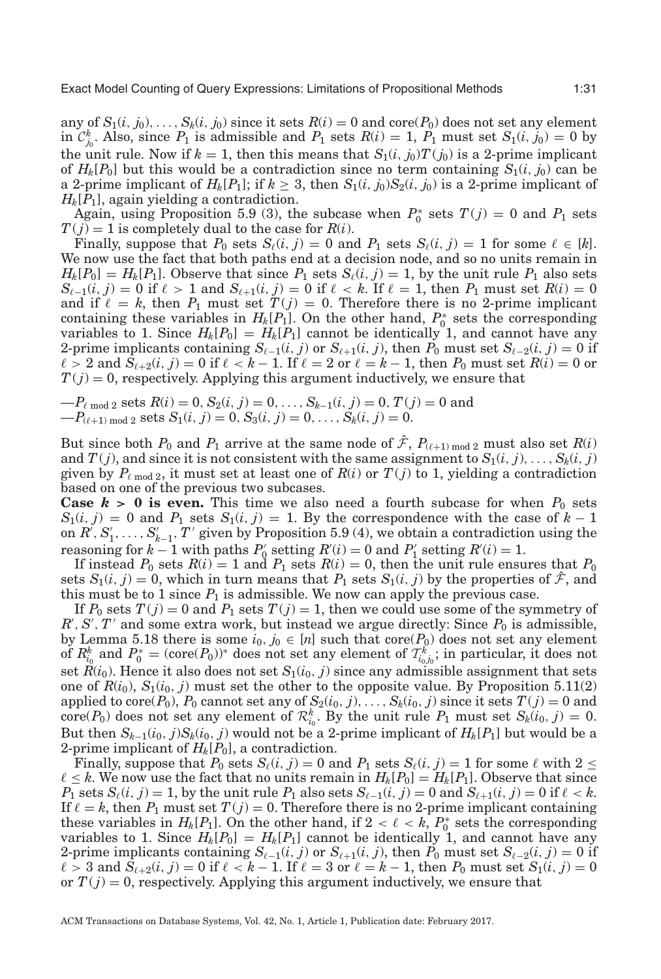any of  $S_1(i, j_0), \ldots, S_k(i, j_0)$  since it sets  $R(i) = 0$  and core( $P_0$ ) does not set any element in  $C_{j_0}^k$ . Also, since  $P_1$  is admissible and  $P_1$  sets  $R(i) = 1$ ,  $P_1$  must set  $S_1(i, j_0) = 0$  by the unit rule. Now if  $k = 1$ , then this means that  $S_1(i, j_0)T(j_0)$  is a 2-prime implicant of  $H_k[P_0]$  but this would be a contradiction since no term containing  $S_1(i, j_0)$  can be a 2-prime implicant of  $H_k[P_1]$ ; if  $k \geq 3$ , then  $S_1(i, j_0)S_2(i, j_0)$  is a 2-prime implicant of *Hk*[*P*1], again yielding a contradiction.

Again, using Proposition [5.9](#page-25-1) (3), the subcase when  $P_0^*$  sets  $T(j) = 0$  and  $P_1$  sets  $T(j) = 1$  is completely dual to the case for  $R(i)$ .

Finally, suppose that  $P_0$  sets  $S_\ell(i, j) = 0$  and  $P_1$  sets  $S_\ell(i, j) = 1$  for some  $\ell \in [k]$ . We now use the fact that both paths end at a decision node, and so no units remain in  $H_k[P_0] = H_k[P_1]$ . Observe that since  $P_1$  sets  $S_{\ell}(i, j) = 1$ , by the unit rule  $P_1$  also sets  $S_{\ell-1}(i, j) = 0$  if  $\ell > 1$  and  $S_{\ell+1}(i, j) = 0$  if  $\ell < k$ . If  $\ell = 1$ , then  $P_1$  must set  $R(i) = 0$ and if  $\ell = k$ , then  $P_1$  must set  $T(j) = 0$ . Therefore there is no 2-prime implicant containing these variables in  $H_k[P_1]$ . On the other hand,  $P_0^*$  sets the corresponding variables to 1. Since  $H_k[P_0] = H_k[P_1]$  cannot be identically 1, and cannot have any 2-prime implicants containing  $S_{\ell-1}(i, j)$  or  $S_{\ell+1}(i, j)$ , then  $P_0$  must set  $S_{\ell-2}(i, j) = 0$  if  $\ell > 2$  and  $S_{\ell+2}(i, j) = 0$  if  $\ell < k - 1$ . If  $\ell = 2$  or  $\ell = k - 1$ , then  $P_0$  must set  $R(i) = 0$  or  $T(j) = 0$ , respectively. Applying this argument inductively, we ensure that

 $-P_{\ell \mod 2}$  sets  $R(i) = 0, S_2(i, j) = 0, \ldots, S_{k-1}(i, j) = 0, T(j) = 0$  and  $-P_{(\ell+1) \mod 2}$  sets  $S_1(i, j) = 0, S_3(i, j) = 0, \ldots, S_k(i, j) = 0.$ 

But since both  $P_0$  and  $P_1$  arrive at the same node of  $\hat{\mathcal{F}}$ ,  $P_{(\ell+1) \text{ mod } 2}$  must also set  $R(i)$ and  $T(j)$ , and since it is not consistent with the same assignment to  $S_1(i, j), \ldots, S_k(i, j)$ given by  $P_{\ell \text{ mod } 2}$ , it must set at least one of  $R(i)$  or  $T(j)$  to 1, yielding a contradiction based on one of the previous two subcases.

**Case**  $k > 0$  is even. This time we also need a fourth subcase for when  $P_0$  sets  $S_1(i, j) = 0$  and  $P_1$  sets  $S_1(i, j) = 1$ . By the correspondence with the case of  $k - 1$ on  $R', S'_1, \ldots, S'_{k-1}, T'$  given by Proposition [5.9](#page-25-1) (4), we obtain a contradiction using the reasoning for  $k-1$  with paths  $P'_0$  setting  $R'(i) = 0$  and  $P'_1$  setting  $R'(i) = 1$ .

If instead  $P_0$  sets  $R(i) = 1$  and  $P_1$  sets  $R(i) = 0$ , then the unit rule ensures that  $P_0$ sets  $S_1(i, j) = 0$ , which in turn means that  $P_1$  sets  $S_1(i, j)$  by the properties of  $\hat{\mathcal{F}}$ , and this must be to 1 since  $P_1$  is admissible. We now can apply the previous case.

If  $P_0$  sets  $T(j) = 0$  and  $P_1$  sets  $T(j) = 1$ , then we could use some of the symmetry of  $R'$ ,  $S'$ ,  $T'$  and some extra work, but instead we argue directly: Since  $P_0$  is admissible, by Lemma [5.18](#page-28-1) there is some  $i_0, j_0 \in [n]$  such that core( $P_0$ ) does not set any element  $\int_{0}^{k} f(x) \, dx \, dy = \int_{0}^{k} f(x) \cos(\theta) \, dx$  and  $P_{0}^{*} = (\cos(\theta_{0}))^{*}$  does not set any element of  $\mathcal{T}_{i_{0},j_{0}}^{k}$ ; in particular, it does not set  $R(i_0)$ . Hence it also does not set  $S_1(i_0, j)$  since any admissible assignment that sets one of  $R(i_0)$ ,  $S_1(i_0, j)$  must set the other to the opposite value. By Proposition [5.11\(](#page-26-0)2) applied to core( $P_0$ ),  $P_0$  cannot set any of  $S_2(i_0, j)$ ,...,  $S_k(i_0, j)$  since it sets  $T(j) = 0$  and  $\text{core}(P_0)$  does not set any element of  $\mathcal{R}_{i_0}^k$ . By the unit rule  $P_1$  must set  $S_k(i_0, j) = 0$ . But then  $S_{k-1}(i_0, j)S_k(i_0, j)$  would not be a 2-prime implicant of  $H_k[P_1]$  but would be a 2-prime implicant of  $H_k[P_0]$ , a contradiction.

Finally, suppose that  $P_0$  sets  $S_{\ell}(i, j) = 0$  and  $P_1$  sets  $S_{\ell}(i, j) = 1$  for some  $\ell$  with  $2 \leq$  $\ell \leq k$ . We now use the fact that no units remain in  $H_k[P_0] = H_k[P_1]$ . Observe that since  $P_1$  sets  $S_{\ell}(i, j) = 1$ , by the unit rule  $P_1$  also sets  $S_{\ell-1}(i, j) = 0$  and  $S_{\ell+1}(i, j) = 0$  if  $\ell < k$ . If  $\ell = k$ , then  $P_1$  must set  $T(j) = 0$ . Therefore there is no 2-prime implicant containing these variables in  $H_k[P_1]$ . On the other hand, if  $2 < \ell < k$ ,  $P_0^*$  sets the corresponding variables to 1. Since  $H_k[P_0] = H_k[P_1]$  cannot be identically 1, and cannot have any 2-prime implicants containing  $S_{\ell-1}(i, j)$  or  $S_{\ell+1}(i, j)$ , then  $P_0$  must set  $S_{\ell-2}(i, j) = 0$  if  $\ell > 3$  and  $\hat{S}_{\ell+2}(i, j) = 0$  if  $\ell < k - 1$ . If  $\ell = 3$  or  $\ell = k - 1$ , then  $P_0$  must set  $S_1(i, j) = 0$ or  $T(j) = 0$ , respectively. Applying this argument inductively, we ensure that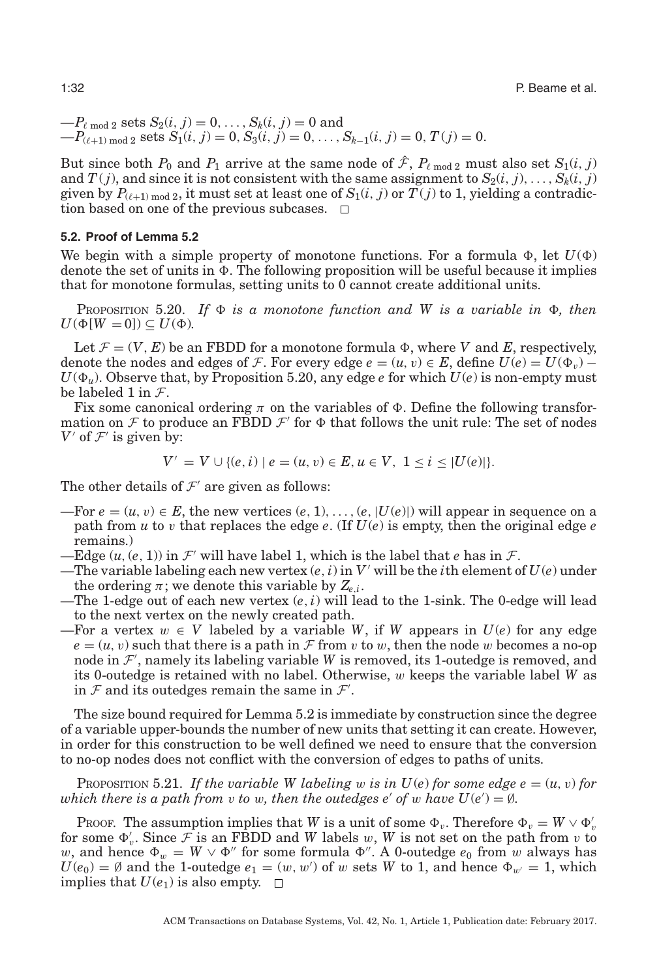$-P_{\ell \text{ mod } 2}$  sets  $S_2(i, j) = 0, ..., S_k(i, j) = 0$  and  $-P_{(\ell+1) \mod 2}$  sets  $S_1(i, j) = 0, S_3(i, j) = 0, \ldots, S_{k-1}(i, j) = 0, T(j) = 0.$ 

But since both  $P_0$  and  $P_1$  arrive at the same node of  $\hat{\mathcal{F}}$ ,  $P_{\ell \text{ mod } 2}$  must also set  $S_1(i, j)$ and  $T(j)$ , and since it is not consistent with the same assignment to  $S_2(i, j), \ldots, S_k(i, j)$ given by  $P_{(\ell+1) \text{ mod } 2}$ , it must set at least one of  $S_1(i, j)$  or  $T(j)$  to 1, yielding a contradiction based on one of the previous subcases.  $\Box$ 

#### **5.2. Proof of Lemma [5.2](#page-23-2)**

<span id="page-31-0"></span>We begin with a simple property of monotone functions. For a formula  $\Phi$ , let  $U(\Phi)$ denote the set of units in  $\Phi$ . The following proposition will be useful because it implies that for monotone formulas, setting units to 0 cannot create additional units.

<span id="page-31-1"></span>PROPOSITION 5.20. If  $\Phi$  is a monotone function and W is a variable in  $\Phi$ , then  $U(\Phi[W = 0]) \subseteq U(\Phi)$ .

Let  $\mathcal{F} = (V, E)$  be an FBDD for a monotone formula  $\Phi$ , where *V* and *E*, respectively, denote the nodes and edges of *F*. For every edge  $e = (u, v) \in E$ , define  $U(e) = U(\Phi_v) - U(\Phi_v)$  $U(\Phi_u)$ . Observe that, by Proposition [5.20,](#page-31-1) any edge *e* for which  $U(e)$  is non-empty must be labeled 1 in  $\mathcal{F}$ .

Fix some canonical ordering  $\pi$  on the variables of  $\Phi$ . Define the following transformation on F to produce an FBDD  $\mathcal{F}'$  for  $\Phi$  that follows the unit rule: The set of nodes *V* of  $\mathcal{F}'$  is given by:

$$
V' = V \cup \{(e, i) \mid e = (u, v) \in E, u \in V, 1 \le i \le |U(e)|\}.
$$

The other details of  $\mathcal{F}'$  are given as follows:

- —For  $e = (u, v) \in E$ , the new vertices  $(e, 1), \ldots, (e, |U(e)|)$  will appear in sequence on a path from *u* to *v* that replaces the edge *e*. (If  $U(e)$  is empty, then the original edge *e* remains.)
- —Edge  $(u, (e, 1))$  in  $\mathcal{F}'$  will have label 1, which is the label that *e* has in  $\mathcal{F}$ .
- —The variable labeling each new vertex  $(e, i)$  in  $V'$  will be the *i*th element of  $U(e)$  under the ordering  $\pi$ ; we denote this variable by  $Z_{e,i}$ .
- —The 1-edge out of each new vertex (*e*,*i*) will lead to the 1-sink. The 0-edge will lead to the next vertex on the newly created path.
- —For a vertex  $w \in V$  labeled by a variable *W*, if *W* appears in  $U(e)$  for any edge  $e = (u, v)$  such that there is a path in F from v to w, then the node w becomes a no-op node in  $\mathcal{F}'$ , namely its labeling variable *W* is removed, its 1-outedge is removed, and its 0-outedge is retained with no label. Otherwise, w keeps the variable label *W* as in  $\mathcal F$  and its outedges remain the same in  $\mathcal F'$ .

The size bound required for Lemma [5.2](#page-23-2) is immediate by construction since the degree of a variable upper-bounds the number of new units that setting it can create. However, in order for this construction to be well defined we need to ensure that the conversion to no-op nodes does not conflict with the conversion of edges to paths of units.

<span id="page-31-2"></span>PROPOSITION 5.21. If the variable W labeling w is in  $U(e)$  for some edge  $e = (u, v)$  for *which there is a path from v to w, then the outedges e' of w have*  $U(e') = \emptyset$ *.* 

PROOF. The assumption implies that *W* is a unit of some  $\Phi_v$ . Therefore  $\Phi_v = W \vee \Phi'_v$ for some  $\Phi'_v$ . Since  $\mathcal{F}$  is an FBDD and *W* labels w, *W* is not set on the path from v to w, and hence  $\Phi_w = W \vee \Phi''$  for some formula  $\Phi''$ . A 0-outedge  $e_0$  from w always has  $U(e_0) = \emptyset$  and the 1-outedge  $e_1 = (w, w')$  of w sets *W* to 1, and hence  $\Phi_{w'} = 1$ , which implies that  $U(e_1)$  is also empty.  $\Box$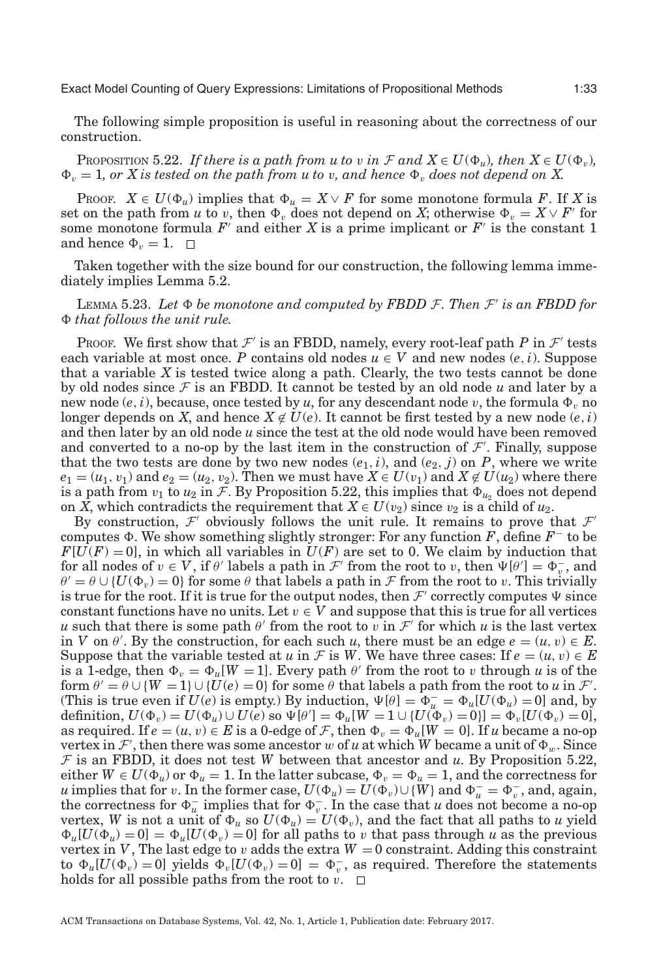The following simple proposition is useful in reasoning about the correctness of our construction.

<span id="page-32-0"></span>PROPOSITION 5.22. *If there is a path from u to* v in  $\mathcal{F}$  and  $X \in U(\Phi_u)$ , then  $X \in U(\Phi_v)$ ,  $\Phi_v = 1$ , or X is tested on the path from u to v, and hence  $\Phi_v$  does not depend on X.

PROOF.  $X \in U(\Phi_u)$  implies that  $\Phi_u = X \vee F$  for some monotone formula F. If X is set on the path from *u* to *v*, then  $\Phi_v$  does not depend on *X*; otherwise  $\Phi_v = X \vee F'$  for some monotone formula  $F'$  and either  $X$  is a prime implicant or  $F'$  is the constant 1 and hence  $\Phi_v = 1$ .

Taken together with the size bound for our construction, the following lemma immediately implies Lemma [5.2.](#page-23-2)

<span id="page-32-1"></span> $L_{EMMA}$  5.23. *Let*  $\Phi$  *be monotone and computed by FBDD*  $\mathcal{F}$ *. Then*  $\mathcal{F}'$  *is an FBDD for* - *that follows the unit rule.*

Proof. We first show that  $\mathcal{F}'$  is an FBDD, namely, every root-leaf path P in  $\mathcal{F}'$  tests each variable at most once. *P* contains old nodes  $u \in V$  and new nodes  $(e, i)$ . Suppose that a variable *X* is tested twice along a path. Clearly, the two tests cannot be done by old nodes since  $\mathcal F$  is an FBDD. It cannot be tested by an old node  $u$  and later by a new node  $(e,i)$ , because, once tested by  $u$ , for any descendant node  $v$ , the formula  $\Phi_v$  no longer depends on *X*, and hence  $X \not\in U(e)$ . It cannot be first tested by a new node  $(e, i)$ and then later by an old node *u* since the test at the old node would have been removed and converted to a no-op by the last item in the construction of  $\mathcal{F}'$ . Finally, suppose that the two tests are done by two new nodes  $(e_1, i)$ , and  $(e_2, j)$  on  $P$ , where we write  $e_1 = (u_1, v_1)$  and  $e_2 = (u_2, v_2)$ . Then we must have  $X \in U(v_1)$  and  $X \notin U(u_2)$  where there is a path from  $v_1$  to  $u_2$  in F. By Proposition [5.22,](#page-32-0) this implies that  $\Phi_{u_2}$  does not depend on *X*, which contradicts the requirement that  $X \in U(v_2)$  since  $v_2$  is a child of  $u_2$ .

By construction,  $\mathcal{F}'$  obviously follows the unit rule. It remains to prove that  $\mathcal{F}'$ computes -. We show something slightly stronger: For any function *F*, define *F*<sup>−</sup> to be  $F[U(F) = 0]$ , in which all variables in  $U(F)$  are set to 0. We claim by induction that for all nodes of  $v \in V$ , if  $\theta'$  labels a path in  $\mathcal{F}'$  from the root to v, then  $\Psi[\theta'] = \Phi_{v}^{-}$ , and  $\theta' = \theta \cup \{U(\Phi_v) = 0\}$  for some  $\theta$  that labels a path in  $\mathcal F$  from the root to v. This trivially is true for the root. If it is true for the output nodes, then  $\mathcal F'$  correctly computes  $\Psi$  since constant functions have no units. Let  $v \in V$  and suppose that this is true for all vertices *u* such that there is some path  $\theta'$  from the root to v in  $\mathcal{F}'$  for which *u* is the last vertex in *V* on  $\theta'$ . By the construction, for each such *u*, there must be an edge  $e = (u, v) \in E$ . Suppose that the variable tested at *u* in F is *W*. We have three cases: If  $e = (u, v) \in E$ is a 1-edge, then  $\Phi_v = \Phi_u[W = 1]$ . Every path  $\theta'$  from the root to v through *u* is of the form  $\theta' = \theta \cup \{W = 1\} \cup \{U(e) = 0\}$  for some  $\theta$  that labels a path from the root to *u* in  $\mathcal{F}'$ . (This is true even if  $U(e)$  is empty.) By induction,  $\Psi[\theta] = \Phi_u^- = \Phi_u[U(\Phi_u) = 0]$  and, by  $\text{definition, } U(\Phi_v) = U(\Phi_u) \cup U(e) \text{ so } \Psi[\theta'] = \Phi_u[W = 1 \cup \{U(\Phi_v) = 0\}] = \Phi_v[U(\Phi_v) = 0],$ as required. If  $e = (u, v) \in E$  is a 0-edge of F, then  $\Phi_v = \Phi_u[W = 0]$ . If *u* became a no-op vertex in  $\mathcal{F}'$ , then there was some ancestor w of *u* at which *W* became a unit of  $\Phi_w$ . Since F is an FBDD, it does not test *W* between that ancestor and *u*. By Proposition [5.22,](#page-32-0) either  $W \in U(\Phi_u)$  or  $\Phi_u = 1$ . In the latter subcase,  $\Phi_v = \Phi_u = 1$ , and the correctness for *u* implies that for *v*. In the former case,  $U(\Phi_u) = U(\Phi_v) \cup \{W\}$  and  $\Phi_u^- = \Phi_v^-,$  and, again, the correctness for  $\Phi_u^-$  implies that for  $\Phi_v^-$ . In the case that *u* does not become a no-op vertex, *W* is not a unit of  $\Phi_u$  so  $U(\Phi_u) = U(\Phi_v)$ , and the fact that all paths to *u* yield  $\Phi_u[U(\Phi_u) = 0] = \Phi_u[U(\Phi_v) = 0]$  for all paths to v that pass through *u* as the previous vertex in *V*, The last edge to *v* adds the extra  $W = 0$  constraint. Adding this constraint to  $\Phi_u[U(\Phi_v) = 0]$  yields  $\Phi_v[U(\Phi_v) = 0] = \Phi_v^-$ , as required. Therefore the statements holds for all possible paths from the root to  $v$ .  $\Box$ 

ACM Transactions on Database Systems, Vol. 42, No. 1, Article 1, Publication date: February 2017.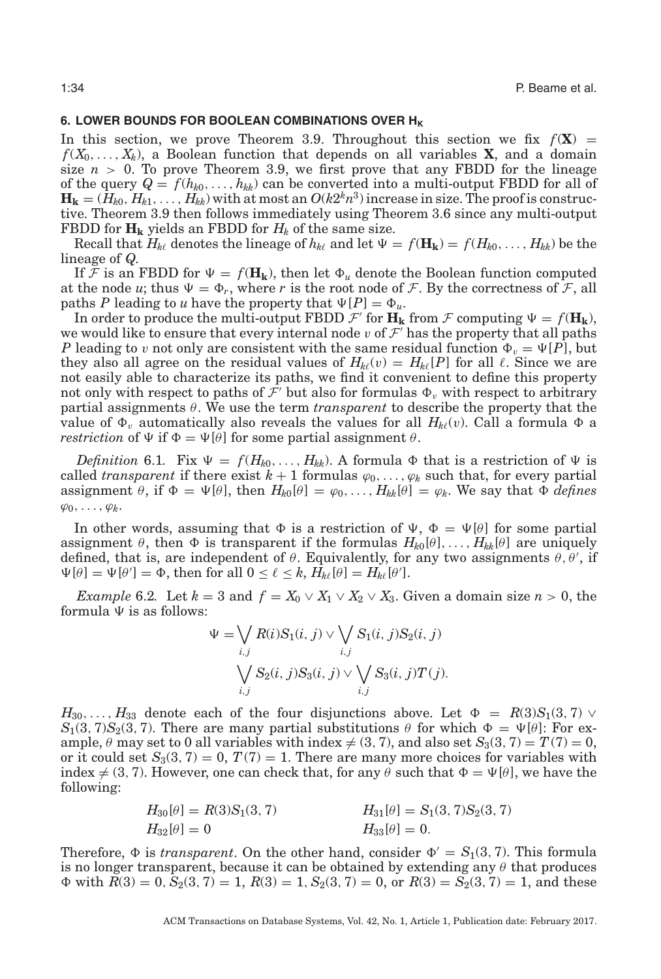## **6. LOWER BOUNDS FOR BOOLEAN COMBINATIONS OVER H<sub>K</sub>**

<span id="page-33-0"></span>In this section, we prove Theorem [3.9.](#page-14-0) Throughout this section we fix  $f(\mathbf{X}) =$  $f(X_0, \ldots, X_k)$ , a Boolean function that depends on all variables **X**, and a domain size  $n > 0$ . To prove Theorem [3.9,](#page-14-0) we first prove that any FBDD for the lineage of the query  $Q = f(h_{k0},...,h_{kk})$  can be converted into a multi-output FBDD for all of  $\mathbf{H_k} = (H_{k0}, H_{k1}, \ldots, H_{kk})$  with at most an  $O(k2^k n^3)$  increase in size. The proof is constructive. Theorem [3.9](#page-14-0) then follows immediately using Theorem [3.6](#page-13-0) since any multi-output FBDD for  $H_k$  yields an FBDD for  $H_k$  of the same size.

Recall that  $H_{k\ell}$  denotes the lineage of  $h_{k\ell}$  and let  $\Psi = f(\mathbf{H_k}) = f(H_{k0},...,H_{kk})$  be the lineage of *Q*.

If F is an FBDD for  $\Psi = f(\mathbf{H_k})$ , then let  $\Phi_u$  denote the Boolean function computed at the node *u*; thus  $\Psi = \Phi_r$ , where *r* is the root node of *F*. By the correctness of *F*, all paths *P* leading to *u* have the property that  $\Psi[P] = \Phi_u$ .

In order to produce the multi-output FBDD  $\mathcal{F}'$  for  $\mathbf{H}_k$  from  $\mathcal{F}$  computing  $\Psi = f(\mathbf{H}_k)$ , we would like to ensure that every internal node v of  $\mathcal F'$  has the property that all paths *P* leading to v not only are consistent with the same residual function  $\Phi_v = \Psi[P],$  but they also all agree on the residual values of  $H_{k\ell}(v) = H_{k\ell}[P]$  for all  $\ell$ . Since we are not easily able to characterize its paths, we find it convenient to define this property not only with respect to paths of  $\mathcal{F}'$  but also for formulas  $\Phi_v$  with respect to arbitrary partial assignments θ. We use the term *transparent* to describe the property that the value of  $\Phi_v$  automatically also reveals the values for all  $H_{k\ell}(v)$ . Call a formula  $\Phi$  a *restriction* of  $\Psi$  if  $\Phi = \Psi[\theta]$  for some partial assignment  $\theta$ .

*Definition* 6.1. Fix  $\Psi = f(H_{k0},..., H_{kk})$ . A formula  $\Phi$  that is a restriction of  $\Psi$  is called *transparent* if there exist  $k + 1$  formulas  $\varphi_0, \ldots, \varphi_k$  such that, for every partial assignment  $\theta$ , if  $\Phi = \Psi[\theta]$ , then  $H_{k0}[\theta] = \varphi_0, \ldots, H_{kk}[\theta] = \varphi_k$ . We say that  $\Phi$  *defines*  $\varphi_0,\ldots,\varphi_k$ 

In other words, assuming that  $\Phi$  is a restriction of  $\Psi$ ,  $\Phi = \Psi[\theta]$  for some partial assignment  $\theta$ , then  $\Phi$  is transparent if the formulas  $H_{k0}[\theta], \ldots, H_{kk}[\theta]$  are uniquely defined, that is, are independent of  $\theta$ . Equivalently, for any two assignments  $\theta$ ,  $\theta'$ , if  $\Psi[\theta] = \Psi[\theta'] = \Phi$ , then for all  $0 \le \ell \le k$ ,  $H_{k\ell}[\theta] = H_{k\ell}[\theta']$ .

<span id="page-33-1"></span>*Example* 6.2*.* Let  $k = 3$  and  $f = X_0 \vee X_1 \vee X_2 \vee X_3$ . Given a domain size  $n > 0$ , the formula  $\Psi$  is as follows:

$$
\Psi = \bigvee_{i,j} R(i)S_1(i,j) \vee \bigvee_{i,j} S_1(i,j)S_2(i,j)
$$

$$
\bigvee_{i,j} S_2(i,j)S_3(i,j) \vee \bigvee_{i,j} S_3(i,j)T(j).
$$

 $H_{30},\ldots,H_{33}$  denote each of the four disjunctions above. Let  $\Phi~=~R(3)S_1(3,7)~\vee$  $S_1(3, 7)S_2(3, 7)$ . There are many partial substitutions  $\theta$  for which  $\Phi = \Psi[\theta]$ : For example,  $\theta$  may set to 0 all variables with index  $\neq$  (3, 7), and also set *S*<sub>3</sub>(3, 7) = *T*(7) = 0, or it could set  $S_3(3, 7) = 0$ ,  $T(7) = 1$ . There are many more choices for variables with index  $\neq$  (3, 7). However, one can check that, for any  $\theta$  such that  $\Phi = \Psi[\theta]$ , we have the following:

$$
H_{30}[\theta] = R(3)S_1(3, 7)
$$
  
\n
$$
H_{31}[\theta] = S_1(3, 7)S_2(3, 7)
$$
  
\n
$$
H_{32}[\theta] = 0
$$
  
\n
$$
H_{33}[\theta] = 0.
$$

Therefore,  $\Phi$  is *transparent*. On the other hand, consider  $\Phi' = S_1(3, 7)$ . This formula is no longer transparent, because it can be obtained by extending any  $\theta$  that produces  $\Phi$  with  $R(3) = 0$ ,  $S_2(3, 7) = 1$ ,  $R(3) = 1$ ,  $S_2(3, 7) = 0$ , or  $R(3) = S_2(3, 7) = 1$ , and these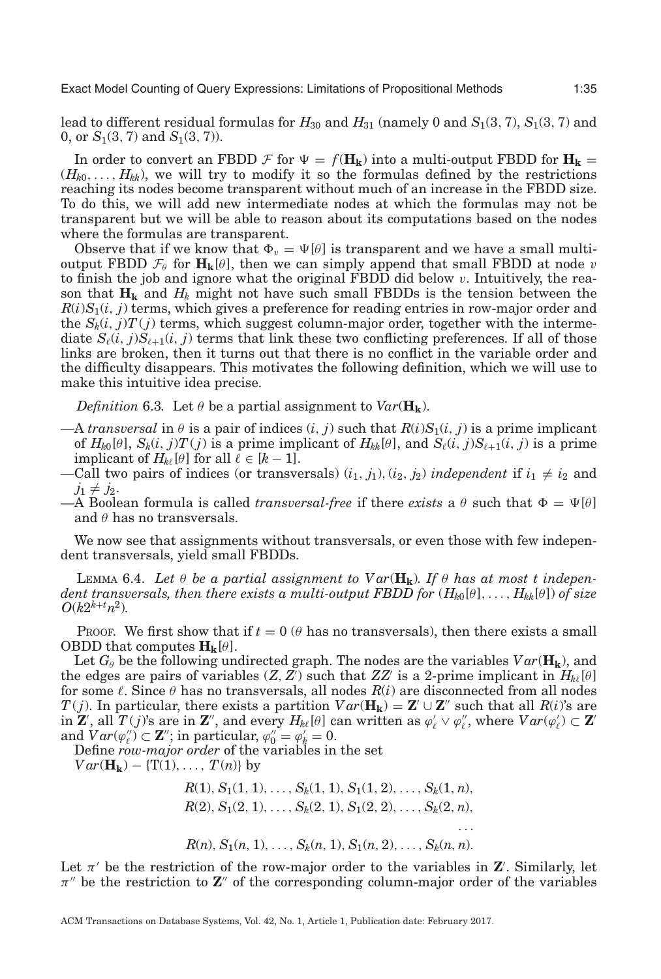lead to different residual formulas for  $H_{30}$  and  $H_{31}$  (namely 0 and  $S_1(3, 7)$ ,  $S_1(3, 7)$  and 0, or *S*1(3, 7) and *S*1(3, 7)).

In order to convert an FBDD  $\mathcal{F}$  for  $\Psi = f(\mathbf{H_k})$  into a multi-output FBDD for  $\mathbf{H_k} =$  $(H_{k0},..., H_{kk})$ , we will try to modify it so the formulas defined by the restrictions reaching its nodes become transparent without much of an increase in the FBDD size. To do this, we will add new intermediate nodes at which the formulas may not be transparent but we will be able to reason about its computations based on the nodes where the formulas are transparent.

Observe that if we know that  $\Phi_v = \Psi[\theta]$  is transparent and we have a small multioutput FBDD  $\mathcal{F}_{\theta}$  for  $\mathbf{H}_{k}[\theta]$ , then we can simply append that small FBDD at node v to finish the job and ignore what the original FBDD did below v. Intuitively, the reason that  $\mathbf{H_k}$  and  $H_k$  might not have such small FBDDs is the tension between the  $R(i)S<sub>1</sub>(i, j)$  terms, which gives a preference for reading entries in row-major order and the  $S_k(i, j)T(j)$  terms, which suggest column-major order, together with the intermediate  $S_{\ell}(i, j)S_{\ell+1}(i, j)$  terms that link these two conflicting preferences. If all of those links are broken, then it turns out that there is no conflict in the variable order and the difficulty disappears. This motivates the following definition, which we will use to make this intuitive idea precise.

<span id="page-34-1"></span>*Definition* 6.3. Let  $\theta$  be a partial assignment to  $Var(\mathbf{H_k})$ .

- $-A$  *transversal* in  $\theta$  is a pair of indices  $(i, j)$  such that  $R(i)S_1(i, j)$  is a prime implicant of  $H_{k0}[\theta]$ ,  $S_k(i, j)T(j)$  is a prime implicant of  $H_{kk}[\theta]$ , and  $S_\ell(i, j)S_{\ell+1}(i, j)$  is a prime implicant of  $H_{k\ell}[\theta]$  for all  $\ell \in [k-1]$ .
- —Call two pairs of indices (or transversals)  $(i_1, j_1)$ ,  $(i_2, j_2)$  *independent* if  $i_1 \neq i_2$  and  $j_1 \neq j_2$ .
- $-A$  Boolean formula is called *transversal-free* if there *exists* a  $\theta$  such that  $\Phi = \Psi[\theta]$ and  $\theta$  has no transversals.

We now see that assignments without transversals, or even those with few independent transversals, yield small FBDDs.

<span id="page-34-0"></span>LEMMA 6.4. Let  $\theta$  be a partial assignment to  $Var(\mathbf{H_k})$ . If  $\theta$  has at most t indepen*dent transversals, then there exists a multi-output FBDD for* (*Hk*0[θ],..., *Hkk*[θ]) *of size*  $O(k2^{k+t}n^2)$ *.* 

Proof. We first show that if  $t = 0$  ( $\theta$  has no transversals), then there exists a small **OBDD** that computes  $\mathbf{H}_{k}[\theta]$ .

Let  $G_{\theta}$  be the following undirected graph. The nodes are the variables  $Var(\mathbf{H_k})$ , and the edges are pairs of variables  $(Z, Z)$  such that  $ZZ'$  is a 2-prime implicant in  $H_{k\ell}[\theta]$ for some  $\ell$ . Since  $\theta$  has no transversals, all nodes  $R(i)$  are disconnected from all nodes *T*(*j*). In particular, there exists a partition  $Var(\mathbf{H_k}) = \mathbf{Z}' \cup \mathbf{Z}''$  such that all *R*(*i*)'s are in **Z**', all  $T(j)$ 's are in **Z**<sup>''</sup>, and every  $H_{k\ell}[\theta]$  can written as  $\varphi'_\ell \vee \varphi''_\ell$ , where  $Var(\varphi'_\ell) \subset \mathbf{Z}'$ and  $Var(\varphi''_l) \subset \mathbf{Z}''$ ; in particular,  $\varphi''_0 = \varphi'_k = 0$ .

Define *row-major order* of the variables in the set

 $Var(\mathbf{H_k}) - \{T(1), \ldots, T(n)\}\$ by

 $R(1), S_1(1, 1), \ldots, S_k(1, 1), S_1(1, 2), \ldots, S_k(1, n),$  $R(2), S_1(2, 1), \ldots, S_k(2, 1), S_1(2, 2), \ldots, S_k(2, n),$ ...  $R(n)$ ,  $S_1(n, 1), \ldots, S_k(n, 1), S_1(n, 2), \ldots, S_k(n, n)$ .

Let  $\pi'$  be the restriction of the row-major order to the variables in  $\mathbb{Z}'$ . Similarly, let  $\pi$ <sup>*''*</sup> be the restriction to **Z**<sup>*''*</sup> of the corresponding column-major order of the variables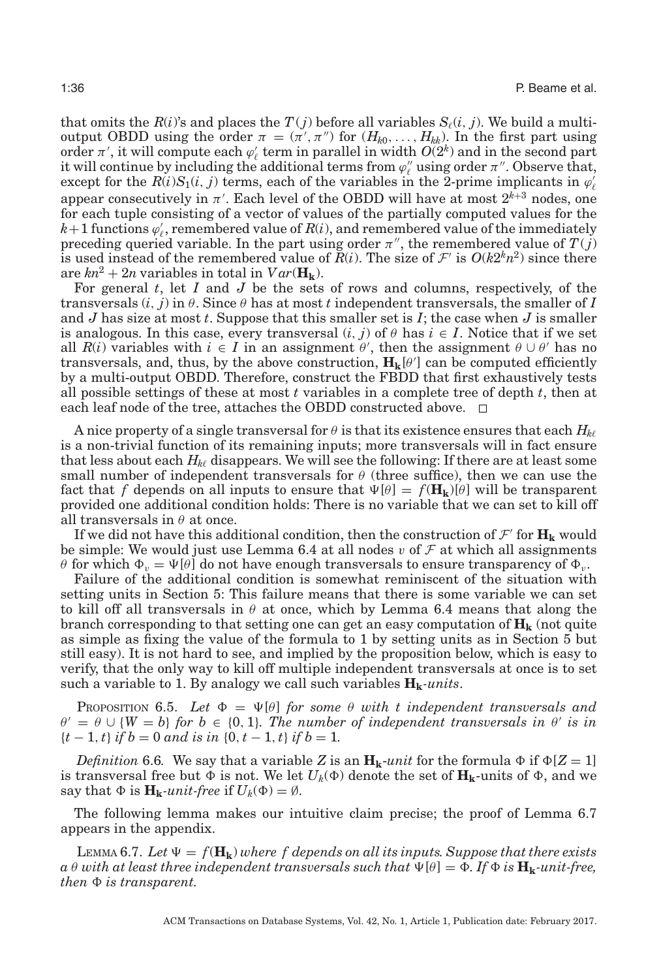that omits the  $R(i)$ 's and places the  $T(j)$  before all variables  $S_{\ell}(i, j)$ . We build a multioutput OBDD using the order  $\pi = (\pi', \pi'')$  for  $(H_{k0}, \ldots, H_{kk})$ . In the first part using order  $\pi'$ , it will compute each  $\varphi'_{\ell}$  term in parallel in width  $O(2^k)$  and in the second part it will continue by including the additional terms from  $\varphi''_\ell$  using order  $\pi''$ . Observe that, except for the  $R(i)S_1(i, j)$  terms, each of the variables in the 2-prime implicants in  $\varphi'_\ell$ appear consecutively in  $\pi'$ . Each level of the OBDD will have at most  $2^{k+3}$  nodes, one for each tuple consisting of a vector of values of the partially computed values for the  $k+1$  functions  $\varphi'_\ell$ , remembered value of  $R(i)$ , and remembered value of the immediately preceding queried variable. In the part using order  $\pi''$ , the remembered value of  $T(j)$ is used instead of the remembered value of  $\bar{R}(i)$ . The size of  $\mathcal{F}'$  is  $O(k2^k n^2)$  since there are  $kn^2 + 2n$  variables in total in  $Var(\mathbf{H_k})$ .

For general *t*, let *I* and *J* be the sets of rows and columns, respectively, of the transversals  $(i, j)$  in  $\theta$ . Since  $\theta$  has at most *t* independent transversals, the smaller of *I* and *J* has size at most *t*. Suppose that this smaller set is *I*; the case when *J* is smaller is analogous. In this case, every transversal  $(i, j)$  of  $\theta$  has  $i \in I$ . Notice that if we set all  $R(i)$  variables with  $i \in I$  in an assignment  $\theta'$ , then the assignment  $\theta \cup \theta'$  has no transversals, and, thus, by the above construction,  $H_k[\theta']$  can be computed efficiently by a multi-output OBDD. Therefore, construct the FBDD that first exhaustively tests all possible settings of these at most *t* variables in a complete tree of depth *t*, then at each leaf node of the tree, attaches the OBDD constructed above.  $\Box$ 

A nice property of a single transversal for  $\theta$  is that its existence ensures that each  $H_{k\ell}$ is a non-trivial function of its remaining inputs; more transversals will in fact ensure that less about each  $H_{k\ell}$  disappears. We will see the following: If there are at least some small number of independent transversals for  $\theta$  (three suffice), then we can use the fact that *f* depends on all inputs to ensure that  $\Psi[\theta] = f(\mathbf{H_k})[\theta]$  will be transparent provided one additional condition holds: There is no variable that we can set to kill off all transversals in  $\theta$  at once.

If we did not have this additional condition, then the construction of  $\mathcal{F}'$  for  $\mathbf{H}_k$  would be simple: We would just use Lemma [6.4](#page-34-0) at all nodes v of  $\mathcal F$  at which all assignments θ for which  $\Phi_v = \Psi[\theta]$  do not have enough transversals to ensure transparency of  $\Phi_v$ .

Failure of the additional condition is somewhat reminiscent of the situation with setting units in Section [5:](#page-23-0) This failure means that there is some variable we can set to kill off all transversals in  $\theta$  at once, which by Lemma [6.4](#page-34-0) means that along the branch corresponding to that setting one can get an easy computation of  $\mathbf{H}_{k}$  (not quite as simple as fixing the value of the formula to 1 by setting units as in Section [5](#page-23-0) but still easy). It is not hard to see, and implied by the proposition below, which is easy to verify, that the only way to kill off multiple independent transversals at once is to set such a variable to 1. By analogy we call such variables  $H_k$ -units.

<span id="page-35-1"></span>PROPOSITION 6.5. Let  $\Phi = \Psi[\theta]$  for some  $\theta$  with t independent transversals and  $\theta' = \theta \cup \{W = b\}$  *for*  $b \in \{0, 1\}$ *. The number of independent transversals in*  $\theta'$  *is in*  ${f-t-1, t}$  *if*  $b = 0$  *and is in*  ${0, t-1, t}$  *if*  $b = 1$ *.* 

*Definition* 6.6. We say that a variable *Z* is an  $H_k$ -*unit* for the formula  $\Phi$  if  $\Phi[Z = 1]$ is transversal free but  $\Phi$  is not. We let  $U_k(\Phi)$  denote the set of  $\mathbf{H_k}$ -units of  $\Phi$ , and we say that  $\Phi$  is  $\mathbf{H}_{\mathbf{k}}$ *-unit-free* if  $U_k(\Phi) = \emptyset$ .

The following lemma makes our intuitive claim precise; the proof of Lemma [6.7](#page-35-0) appears in the appendix.

<span id="page-35-0"></span>LEMMA 6.7. Let  $\Psi = f(\mathbf{H_k})$  where f depends on all its inputs. Suppose that there exists  $a \theta$  with at least three independent transversals such that  $\Psi[\theta] = \Phi$ . If  $\Phi$  is  $\mathbf{H_k}$ -unit-free,  $then \Phi$  *is transparent.*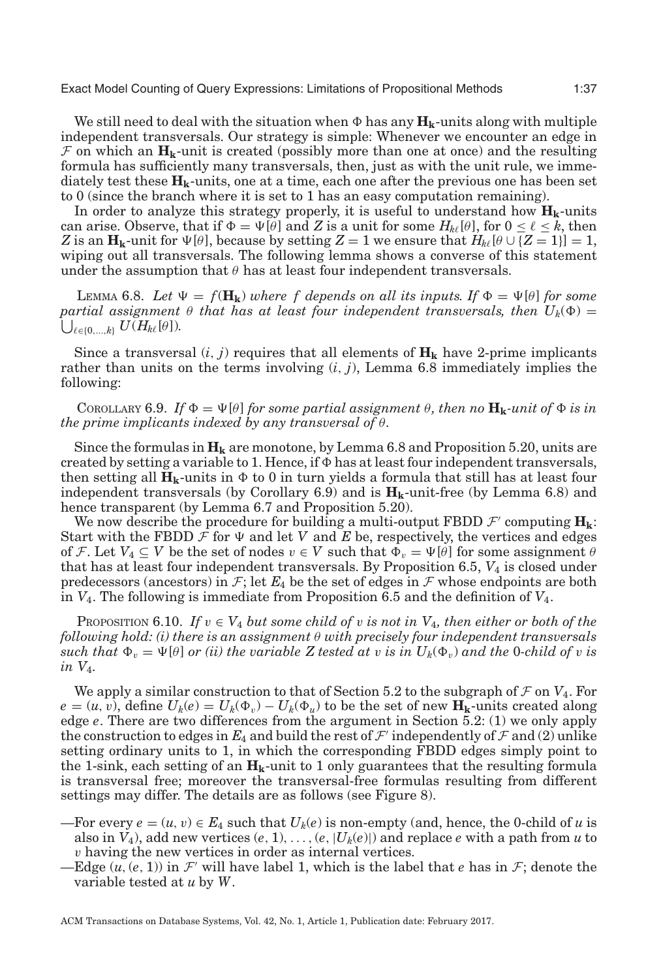We still need to deal with the situation when  $\Phi$  has any  $\mathbf{H_k}$ -units along with multiple independent transversals. Our strategy is simple: Whenever we encounter an edge in  $\mathcal F$  on which an  $\mathbf H_k$ -unit is created (possibly more than one at once) and the resulting formula has sufficiently many transversals, then, just as with the unit rule, we immediately test these  $H_k$ -units, one at a time, each one after the previous one has been set to 0 (since the branch where it is set to 1 has an easy computation remaining).

In order to analyze this strategy properly, it is useful to understand how  $\mathbf{H}_{k}$ -units can arise. Observe, that if  $\Phi = \Psi[\theta]$  and  $Z$  is a unit for some  $H_{k\ell}[\theta]$ , for  $0 \leq \ell \leq k$ , then *Z* is an  $\mathbf{H}_{\mathbf{k}}$ -unit for  $\Psi[\theta]$ , because by setting *Z* = 1 we ensure that  $H_{k\ell}[\theta \cup \{Z=1\}] = 1$ , wiping out all transversals. The following lemma shows a converse of this statement under the assumption that  $\theta$  has at least four independent transversals.

<span id="page-36-0"></span>LEMMA 6.8. Let  $\Psi = f(\mathbf{H_k})$  where f depends on all its inputs. If  $\Phi = \Psi[\theta]$  for some  $\emph{partial assignment~\theta that has at least four independent transversals, then} \ \ U_k(\Phi) =$  $\bigcup_{\ell \in \{0,\ldots,k\}} U(H_{k\ell}[\theta]).$ 

Since a transversal  $(i, j)$  requires that all elements of  $\mathbf{H}_k$  have 2-prime implicants rather than units on the terms involving (*i*, *j*), Lemma [6.8](#page-36-0) immediately implies the following:

<span id="page-36-1"></span>COROLLARY 6.9. If  $\Phi = \Psi[\theta]$  for some partial assignment  $\theta$ , then no  $\mathbf{H}_{k}$ *-unit of*  $\Phi$  is in *the prime implicants indexed by any transversal of* θ*.*

Since the formulas in  $H_k$  are monotone, by Lemma [6.8](#page-36-0) and Proposition [5.20,](#page-31-1) units are created by setting a variable to 1. Hence, if  $\Phi$  has at least four independent transversals, then setting all  $\mathbf{H_k}$ -units in  $\Phi$  to 0 in turn yields a formula that still has at least four independent transversals (by Corollary [6.9\)](#page-36-1) and is  $H_k$ -unit-free (by Lemma [6.8\)](#page-36-0) and hence transparent (by Lemma [6.7](#page-35-0) and Proposition [5.20\)](#page-31-1).

We now describe the procedure for building a multi-output FBDD  $\mathcal{F}'$  computing  $\mathbf{H}_{k}$ : Start with the FBDD  $\mathcal F$  for  $\Psi$  and let *V* and *E* be, respectively, the vertices and edges of F. Let  $V_4 \subseteq V$  be the set of nodes  $v \in V$  such that  $\Phi_v = \Psi[\theta]$  for some assignment  $\theta$ that has at least four independent transversals. By Proposition [6.5,](#page-35-1) *V*<sup>4</sup> is closed under predecessors (ancestors) in  $\mathcal{F}$ ; let  $E_4$  be the set of edges in  $\mathcal{F}$  whose endpoints are both in *V*4. The following is immediate from Proposition [6.5](#page-35-1) and the definition of *V*4.

<span id="page-36-2"></span>PROPOSITION 6.10. If  $v \in V_4$  *but some child of* v *is not in*  $V_4$ *, then either or both of the following hold: (i) there is an assignment* θ *with precisely four independent transversals*  $such$  *that*  $\Phi_v = \Psi[\theta]$  *or (ii) the variable*  $Z$  *tested at v is in*  $U_k(\Phi_v)$  *and the 0-child of v is in V*4*.*

We apply a similar construction to that of Section [5.2](#page-31-0) to the subgraph of  $\mathcal F$  on  $V_4$ . For  $e = (u, v)$ , define  $U_k(e) = U_k(\Phi_v) - U_k(\Phi_u)$  to be the set of new  $\mathbf{H_k}$ -units created along edge *e*. There are two differences from the argument in Section [5.2:](#page-31-0) (1) we only apply the construction to edges in  $E_4$  and build the rest of  $\mathcal F'$  independently of  $\mathcal F$  and (2) unlike setting ordinary units to 1, in which the corresponding FBDD edges simply point to the 1-sink, each setting of an  $\mathbf{H}_{k}$ -unit to 1 only guarantees that the resulting formula is transversal free; moreover the transversal-free formulas resulting from different settings may differ. The details are as follows (see Figure [8\)](#page-37-0).

- —For every  $e = (u, v) \in E_4$  such that  $U_k(e)$  is non-empty (and, hence, the 0-child of *u* is also in  $V_4$ ), add new vertices  $(e, 1), \ldots, (e, |U_k(e)|)$  and replace *e* with a path from *u* to v having the new vertices in order as internal vertices.
- —Edge  $(u, (e, 1))$  in  $\mathcal{F}'$  will have label 1, which is the label that *e* has in  $\mathcal{F}$ ; denote the variable tested at *u* by *W*.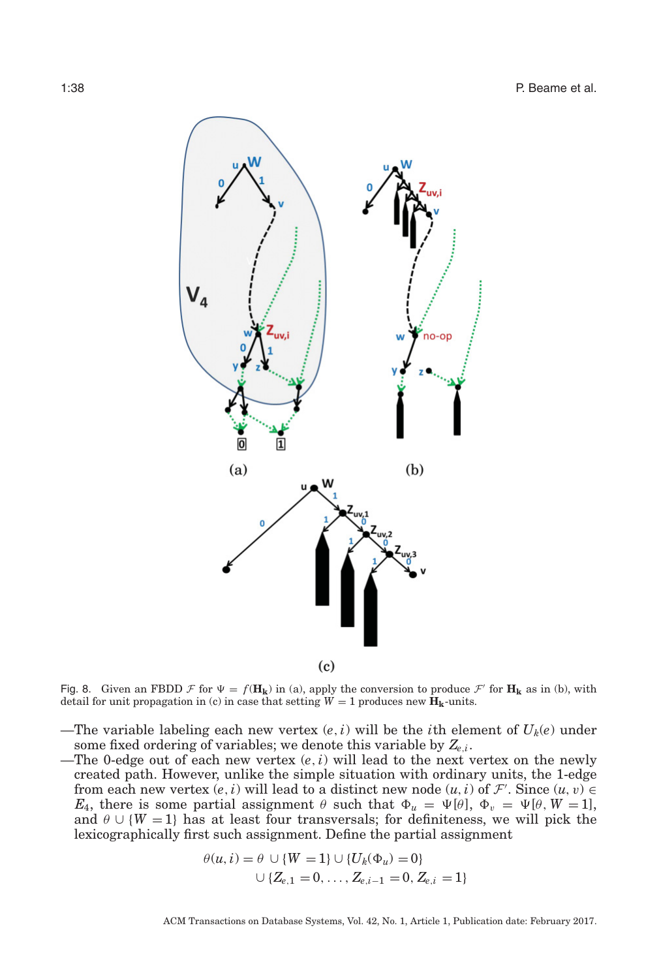<span id="page-37-0"></span>

Fig. 8. Given an FBDD F for  $\Psi = f(\mathbf{H_k})$  in (a), apply the conversion to produce  $\mathcal{F}'$  for  $\mathbf{H_k}$  as in (b), with detail for unit propagation in (c) in case that setting  $\overline{W} = 1$  produces new  $\overline{H}_{k}$ -units.

- —The variable labeling each new vertex  $(e, i)$  will be the *i*th element of  $U_k(e)$  under some fixed ordering of variables; we denote this variable by *Ze*,*<sup>i</sup>*.
- —The 0-edge out of each new vertex (*e*,*i*) will lead to the next vertex on the newly created path. However, unlike the simple situation with ordinary units, the 1-edge from each new vertex  $(e, i)$  will lead to a distinct new node  $(u, i)$  of  $\mathcal{F}'$ . Since  $(u, v) \in$ *E*<sub>4</sub>, there is some partial assignment  $\theta$  such that  $\Phi_u = \Psi[\theta], \Phi_v = \Psi[\theta, W = 1],$ and  $\theta \cup \{W = 1\}$  has at least four transversals; for definiteness, we will pick the lexicographically first such assignment. Define the partial assignment

$$
\theta(u, i) = \theta \cup \{W = 1\} \cup \{U_k(\Phi_u) = 0\}
$$
  

$$
\cup \{Z_{e,1} = 0, \dots, Z_{e,i-1} = 0, Z_{e,i} = 1\}
$$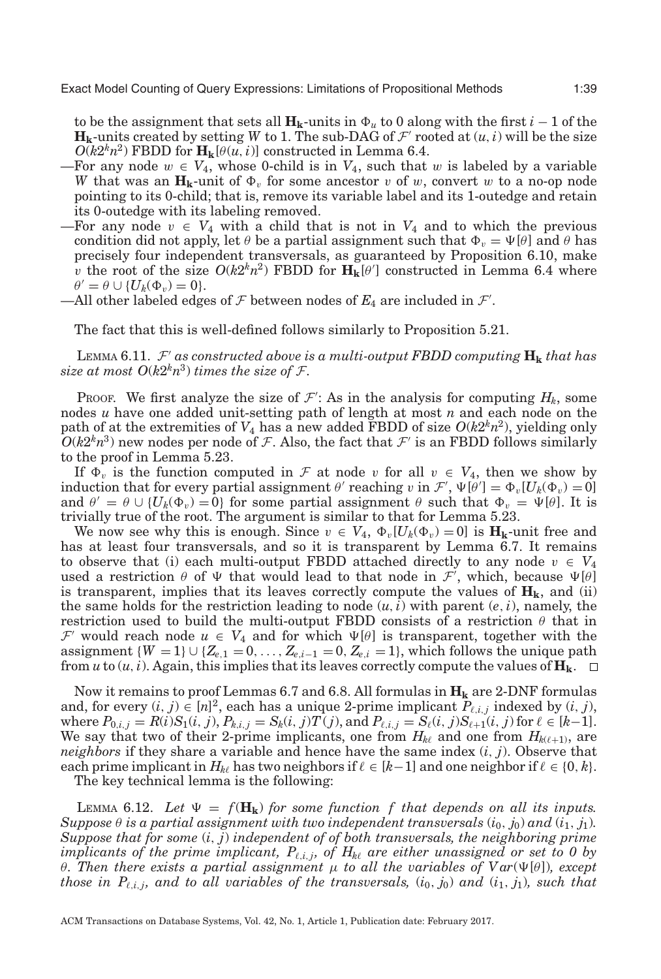to be the assignment that sets all  $\mathbf{H_k}$ -units in  $\Phi_u$  to 0 along with the first  $i-1$  of the  $\mathbf{H}_{k}$ -units created by setting *W* to 1. The sub-DAG of  $\mathcal{F}'$  rooted at  $(u, i)$  will be the size  $O(k2<sup>k</sup>n<sup>2</sup>)$  FBDD for  $\mathbf{H}_{k}[\theta(u,i)]$  constructed in Lemma [6.4.](#page-34-0)

- —For any node  $w \in V_4$ , whose 0-child is in  $V_4$ , such that w is labeled by a variable *W* that was an  $\mathbf{H_k}$ -unit of  $\Phi_v$  for some ancestor  $v$  of  $w$ , convert  $w$  to a no-op node pointing to its 0-child; that is, remove its variable label and its 1-outedge and retain its 0-outedge with its labeling removed.
- —For any node  $v \in V_4$  with a child that is not in  $V_4$  and to which the previous condition did not apply, let  $\theta$  be a partial assignment such that  $\Phi_v = \Psi[\theta]$  and  $\theta$  has precisely four independent transversals, as guaranteed by Proposition [6.10,](#page-36-2) make v the root of the size  $O(k2^k n^2)$  FBDD for  $\mathbf{H}_{k}[\theta']$  constructed in Lemma [6.4](#page-34-0) where  $\theta' = \theta \cup \{U_k(\Phi_v) = 0\}.$
- —All other labeled edges of  $\mathcal F$  between nodes of  $E_4$  are included in  $\mathcal F'.$

The fact that this is well-defined follows similarly to Proposition [5.21.](#page-31-2)

LEMMA 6.11.  $\mathcal{F}'$  as constructed above is a multi-output FBDD computing  $\mathbf{H}_{\mathbf{k}}$  that has *size at most*  $O(k2^k n^3)$  *times the size of F.* 

PROOF. We first analyze the size of  $\mathcal{F}'$ : As in the analysis for computing  $H_k$ , some nodes *u* have one added unit-setting path of length at most *n* and each node on the path of at the extremities of  $V_4$  has a new added FBDD of size  $O(k2^k n^2)$ , yielding only  $O(k2^k n^3)$  new nodes per node of F. Also, the fact that F' is an FBDD follows similarly to the proof in Lemma [5.23.](#page-32-1)

If  $\Phi_v$  is the function computed in F at node v for all  $v \in V_4$ , then we show by induction that for every partial assignment  $\theta'$  reaching  $v$  in  $\mathcal{F}', \Psi[\theta'] = \Phi_v[U_k(\Phi_v) = 0]$ and  $\theta' = \theta \cup \{U_k(\Phi_v) = 0\}$  for some partial assignment  $\theta$  such that  $\Phi_v = \Psi[\theta]$ . It is trivially true of the root. The argument is similar to that for Lemma [5.23.](#page-32-1)

We now see why this is enough. Since  $v \in V_4$ ,  $\Phi_v[U_k(\Phi_v) = 0]$  is  $\mathbf{H_k}$ -unit free and has at least four transversals, and so it is transparent by Lemma [6.7.](#page-35-0) It remains to observe that (i) each multi-output FBDD attached directly to any node  $v \in V_4$ used a restriction  $\theta$  of  $\Psi$  that would lead to that node in  $\mathcal{F}'$ , which, because  $\Psi[\theta]$ is transparent, implies that its leaves correctly compute the values of  $H_k$ , and (ii) the same holds for the restriction leading to node  $(u, i)$  with parent  $(e, i)$ , namely, the restriction used to build the multi-output FBDD consists of a restriction  $\theta$  that in  $\mathcal{F}'$  would reach node  $u \in V_4$  and for which  $\Psi[\theta]$  is transparent, together with the assignment  ${W = 1} \cup {Z_{e,1} = 0, \ldots, Z_{e,i-1} = 0, Z_{e,i} = 1}$ , which follows the unique path from *u* to  $(u, i)$ . Again, this implies that its leaves correctly compute the values of  $\mathbf{H}_{k}$ .  $\square$ 

Now it remains to proof Lemmas [6.7](#page-35-0) and [6.8.](#page-36-0) All formulas in  $\mathbf{H}_k$  are 2-DNF formulas and, for every  $(i, j) \in [n]^2$ , each has a unique 2-prime implicant  $P_{\ell, i, j}$  indexed by  $(i, j)$ , where  $P_{0,i,j} = R(i)S_1(i, j), P_{k,i,j} = S_k(i, j)T(j)$ , and  $P_{\ell,i,j} = S_\ell(i, j)S_{\ell+1}(i, j)$  for  $\ell \in [k-1]$ . We say that two of their 2-prime implicants, one from  $H_{k\ell}$  and one from  $H_{k(\ell+1)}$ , are *neighbors* if they share a variable and hence have the same index (*i*, *j*). Observe that each prime implicant in  $H_{k\ell}$  has two neighbors if  $\ell \in [k-1]$  and one neighbor if  $\ell \in \{0, k\}$ .

The key technical lemma is the following:

<span id="page-38-0"></span>LEMMA 6.12. Let  $\Psi = f(\mathbf{H_k})$  for some function f that depends on all its inputs. *Suppose*  $\theta$  *is a partial assignment with two independent transversals*  $(i_0, j_0)$  *and*  $(i_1, j_1)$ *. Suppose that for some* (*i*, *j*) *independent of of both transversals, the neighboring prime implicants of the prime implicant,*  $P_{\ell,i,j}$ , of  $H_{k\ell}$  *are either unassigned or set to 0 by θ. Then there exists a partial assignment*  $\mu$  *to all the variables of Var*( $\Psi$ [*θ*]*), except those in P*<sub> $\ell$ ,*i*,*j*, and to all variables of the transversals,  $(i_0, j_0)$  and  $(i_1, j_1)$ , such that</sub>

ACM Transactions on Database Systems, Vol. 42, No. 1, Article 1, Publication date: February 2017.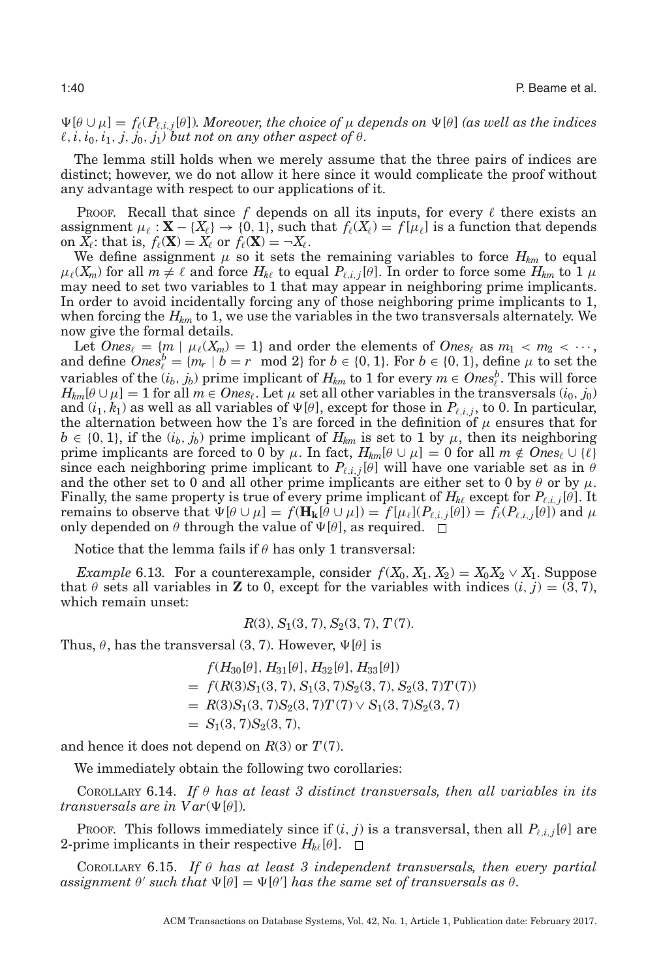$\Psi[\theta \cup \mu] = f_{\ell}(P_{\ell,i,j}[\theta])$ *. Moreover, the choice of*  $\mu$  *depends on*  $\Psi[\theta]$  *(as well as the indices*  $\ell$ ,  $i$ ,  $i_0$ ,  $i_1$ ,  $j$ ,  $j_0$ ,  $j_1$ *) but not on any other aspect of*  $\theta$ *.* 

The lemma still holds when we merely assume that the three pairs of indices are distinct; however, we do not allow it here since it would complicate the proof without any advantage with respect to our applications of it.

Proof. Recall that since f depends on all its inputs, for every  $\ell$  there exists an assignment  $\mu_{\ell} : \mathbf{X} - \{X_{\ell}\} \to \{0, 1\}$ , such that  $f_{\ell}(X_{\ell}) = f[\mu_{\ell}]$  is a function that depends on  $X_{\ell}$ : that is,  $f_{\ell}(\mathbf{X}) = X_{\ell}$  or  $f_{\ell}(\mathbf{X}) = -X_{\ell}$ .

We define assignment  $\mu$  so it sets the remaining variables to force  $H_{km}$  to equal  $\mu_{\ell}(X_m)$  for all  $m \neq \ell$  and force  $H_{k\ell}$  to equal  $P_{\ell,i,j}[\theta]$ . In order to force some  $H_{km}$  to 1  $\mu$ may need to set two variables to 1 that may appear in neighboring prime implicants. In order to avoid incidentally forcing any of those neighboring prime implicants to 1, when forcing the  $H_{km}$  to 1, we use the variables in the two transversals alternately. We now give the formal details.

Let  $\textit{Ones}_{\ell} = \{m \mid \mu_{\ell}(X_m) = 1\}$  and order the elements of  $\textit{Ones}_{\ell}$  as  $m_1 < m_2 < \cdots$ , and define  $\textit{Ones}_{\ell}^b = \{m_r \mid b = r \mod 2\}$  for  $b \in \{0, 1\}$ . For  $b \in \{0, 1\}$ , define  $\mu$  to set the variables of the  $(i_b, j_b)$  prime implicant of  $H_{km}$  to 1 for every  $m \in \text{Ones}_\ell^b$ . This will force  $H_{km}[\theta \cup \mu] = 1$  for all  $m \in \text{Ones}_\ell$ . Let  $\mu$  set all other variables in the transversals  $(i_0, j_0)$ and  $(i_1, k_1)$  as well as all variables of  $\Psi[\theta]$ , except for those in  $P_{i,i,j}$ , to 0. In particular, the alternation between how the 1's are forced in the definition of  $\mu$  ensures that for  $b \in \{0, 1\}$ , if the  $(i_b, j_b)$  prime implicant of  $H_{km}$  is set to 1 by  $\mu$ , then its neighboring prime implicants are forced to 0 by  $\mu$ . In fact,  $H_{km}[\theta \cup \mu] = 0$  for all  $m \notin \text{Ones}_{\ell} \cup \{\ell\}$ since each neighboring prime implicant to  $P_{\ell,i,j}[\theta]$  will have one variable set as in  $\theta$ and the other set to 0 and all other prime implicants are either set to 0 by  $\theta$  or by  $\mu$ . Finally, the same property is true of every prime implicant of  $H_{k\ell}$  except for  $P_{\ell,i,j}[\theta]$ . It remains to observe that  $\Psi[\theta \cup \mu] = f(\mathbf{H_k}[\theta \cup \mu]) = f[\mu_\ell](P_{\ell,i,j}[\theta]) = f_\ell(P_{\ell,i,j}[\theta])$  and  $\mu$ only depended on  $\theta$  through the value of  $\Psi[\theta]$ , as required.  $\Box$ 

Notice that the lemma fails if  $\theta$  has only 1 transversal:

*Example* 6.13. For a counterexample, consider  $f(X_0, X_1, X_2) = X_0X_2 \vee X_1$ . Suppose that  $\theta$  sets all variables in **Z** to 0, except for the variables with indices  $(i, j) = (3, 7)$ , which remain unset:

 $R(3), S_1(3, 7), S_2(3, 7), T(7).$ 

Thus,  $\theta$ , has the transversal (3, 7). However,  $\Psi[\theta]$  is

 $f(H_{30}[\theta], H_{31}[\theta], H_{32}[\theta], H_{33}[\theta])$  $= f(R(3)S_1(3, 7), S_1(3, 7)S_2(3, 7), S_2(3, 7)T(7))$  $= R(3)S_1(3, 7)S_2(3, 7)T(7) \vee S_1(3, 7)S_2(3, 7)$  $= S_1(3, 7)S_2(3, 7),$ 

and hence it does not depend on  $R(3)$  or  $T(7)$ .

We immediately obtain the following two corollaries:

<span id="page-39-0"></span>COROLLARY 6.14. *If* θ *has at least 3 distinct transversals, then all variables in its transversals are in*  $Var(\Psi[\theta])$ *.* 

Proof. This follows immediately since if  $(i, j)$  is a transversal, then all  $P_{i,i,j}[\theta]$  are 2-prime implicants in their respective  $H_{k\ell}[\theta]$ .  $\Box$ 

<span id="page-39-1"></span>COROLLARY 6.15. *If* θ *has at least 3 independent transversals, then every partial*  $a$ ssignment  $\theta'$  such that  $\Psi[\theta] = \Psi[\theta']$  has the same set of transversals as  $\theta$ .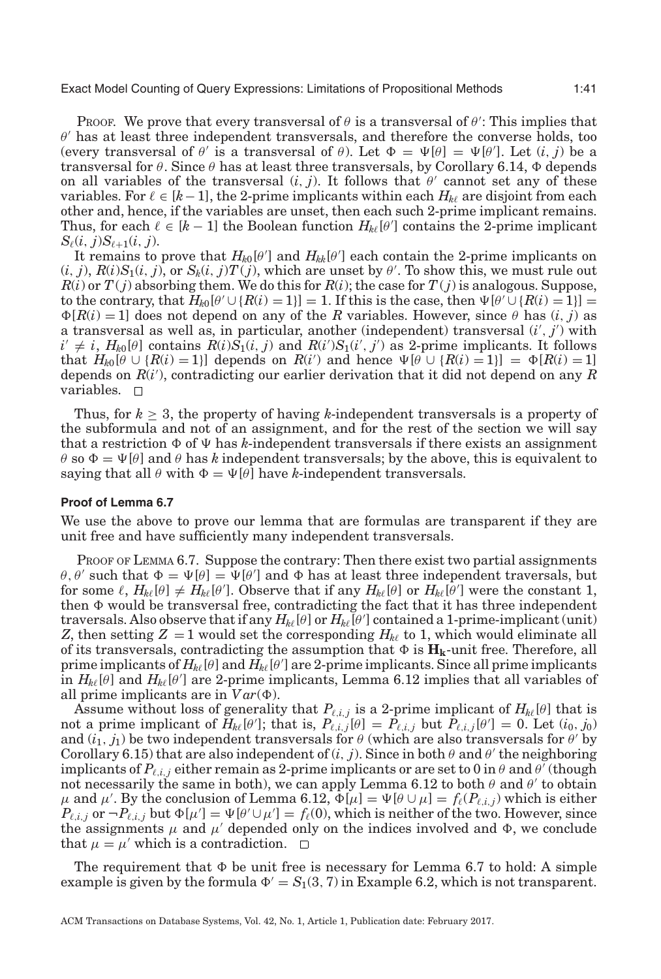PROOF. We prove that every transversal of  $\theta$  is a transversal of  $\theta'$ : This implies that  $\theta'$  has at least three independent transversals, and therefore the converse holds, too (every transversal of  $\theta'$  is a transversal of  $\theta$ ). Let  $\Phi = \Psi[\theta] = \Psi[\theta']$ . Let  $(i, j)$  be a transversal for  $\theta.$  Since  $\theta$  has at least three transversals, by Corollary [6.14,](#page-39-0)  $\Phi$  depends on all variables of the transversal  $(i, j)$ . It follows that  $\theta'$  cannot set any of these variables. For  $\ell \in [k-1]$ , the 2-prime implicants within each  $H_{k\ell}$  are disjoint from each other and, hence, if the variables are unset, then each such 2-prime implicant remains. Thus, for each  $\ell \in [k-1]$  the Boolean function  $H_{k\ell}[\theta']$  contains the 2-prime implicant  $S_{\ell}(i, j)S_{\ell+1}(i, j).$ 

It remains to prove that  $H_{k0}[\theta']$  and  $H_{kk}[\theta']$  each contain the 2-prime implicants on  $(i, j)$ ,  $R(i)S_1(i, j)$ , or  $S_k(i, j)T(j)$ , which are unset by  $\theta'$ . To show this, we must rule out  $R(i)$  or  $T(j)$  absorbing them. We do this for  $R(i)$ ; the case for  $T(j)$  is analogous. Suppose, to the contrary, that  $H_{k0}[\theta' \cup \{R(i) = 1\}] = 1$ . If this is the case, then  $\Psi[\theta' \cup \{R(i) = 1\}] =$  $\Phi[R(i) = 1]$  does not depend on any of the *R* variables. However, since  $\theta$  has  $(i, j)$  as a transversal as well as, in particular, another (independent) transversal (*i* , *j* ) with  $i' \neq i$ ,  $H_{k0}[\theta]$  contains  $R(i)S_1(i, j)$  and  $R(i')S_1(i', j')$  as 2-prime implicants. It follows that  $H_{k0}[\theta \cup \{R(i) = 1\}]$  depends on  $R(i')$  and hence  $\Psi[\theta \cup \{R(i) = 1\}] = \Phi[R(i) = 1]$ depends on *R*(*i* ), contradicting our earlier derivation that it did not depend on any *R* variables. □

Thus, for  $k \geq 3$ , the property of having *k*-independent transversals is a property of the subformula and not of an assignment, and for the rest of the section we will say that a restriction  $\Phi$  of  $\Psi$  has *k*-independent transversals if there exists an assignment  $\theta$  so  $\Phi = \Psi[\theta]$  and  $\theta$  has *k* independent transversals; by the above, this is equivalent to saying that all  $\theta$  with  $\Phi = \Psi[\theta]$  have *k*-independent transversals.

#### **Proof of Lemma [6.7](#page-35-0)**

We use the above to prove our lemma that are formulas are transparent if they are unit free and have sufficiently many independent transversals.

PROOF OF LEMMA [6.7.](#page-35-0) Suppose the contrary: Then there exist two partial assignments θ, θ' such that  $\Phi = \Psi[\theta] = \Psi[\theta']$  and  $\Phi$  has at least three independent traversals, but for some  $\ell$ ,  $H_{k\ell}[\theta] \neq H_{k\ell}[\theta']$ . Observe that if any  $H_{k\ell}[\theta]$  or  $H_{k\ell}[\bar{\theta}']$  were the constant 1, then  $\Phi$  would be transversal free, contradicting the fact that it has three independent  $\tt{traversals.}$  Also observe that if any  $H_{k\ell}[\theta]$  or  $H_{k\ell}[\theta']$  contained a 1-prime-implicant (unit) *Z*, then setting  $Z = 1$  would set the corresponding  $H_{k\ell}$  to 1, which would eliminate all of its transversals, contradicting the assumption that  $\Phi$  is  $\mathbf{H}_{\mathbf{k}}$ -unit free. Therefore, all prime implicants of  $H_{k\ell}[\theta]$  and  $\bar{H_{k\ell}}[\theta']$  are 2-prime implicants. Since all prime implicants  $\hat{\text{in}}$  *H<sub>kl</sub>*[ $\theta$ ] and *H<sub>kl</sub>*[ $\theta$ '] are 2-prime implicants, Lemma [6.12](#page-38-0) implies that all variables of all prime implicants are in  $Var(\Phi)$ .

Assume without loss of generality that  $P_{\ell,i,j}$  is a 2-prime implicant of  $H_{k\ell}[\theta]$  that is not a prime implicant of  $H_{k\ell}[\theta']$ ; that is,  $P_{\ell,i,j}[\theta] = P_{\ell,i,j}$  but  $P_{\ell,i,j}[\theta'] = 0$ . Let  $(i_0, j_0)$ and  $(i_1, j_1)$  be two independent transversals for  $\theta$  (which are also transversals for  $\theta$ ' by Corollary [6.15\)](#page-39-1) that are also independent of  $(i, j)$ . Since in both  $\theta$  and  $\theta'$  the neighboring implicants of  $P_{\ell,i,j}$  either remain as 2-prime implicants or are set to 0 in  $\theta$  and  $\theta'$  (though not necessarily the same in both), we can apply Lemma [6.12](#page-38-0) to both  $\theta$  and  $\theta'$  to obtain μ and μ'. By the conclusion of Lemma [6.12,](#page-38-0)  $\Phi[\mu] = \Psi[\theta \cup \mu] = f_{\ell}(P_{\ell,i,j})$  which is either  $P_{\ell,i,j}$  or  $\neg P_{\ell,i,j}$  but  $\Phi[\mu'] = \Psi[\theta' \cup \mu'] = f_{\ell}(0)$ , which is neither of the two. However, since the assignments  $\mu$  and  $\mu'$  depended only on the indices involved and  $\Phi$ , we conclude that  $\mu = \mu'$  which is a contradiction.  $\Box$ 

The requirement that  $\Phi$  be unit free is necessary for Lemma [6.7](#page-35-0) to hold: A simple example is given by the formula  $\Phi' = S_1(3, 7)$  in Example [6.2,](#page-33-1) which is not transparent.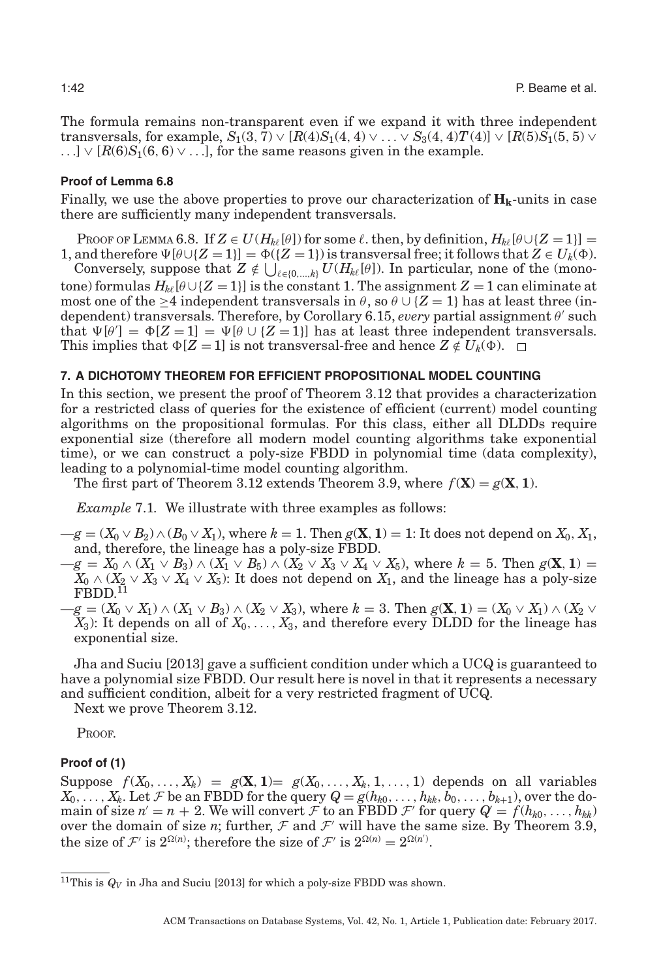The formula remains non-transparent even if we expand it with three independent transversals, for example,  $S_1(3, 7) \vee [R(4)S_1(4, 4) \vee \ldots \vee S_3(4, 4)T(4)] \vee [R(5)S_1(5, 5) \vee$ ...]  $\vee$  [ $R(6)S_1(6, 6) \vee$ ...], for the same reasons given in the example.

# **Proof of Lemma [6.8](#page-36-0)**

Finally, we use the above properties to prove our characterization of  $\mathbf{H}_{k}$ -units in case there are sufficiently many independent transversals.

PROOF OF LEMMA [6.8.](#page-36-0) If  $Z \in U(H_{k\ell}[\theta])$  for some  $\ell$ , then, by definition,  $H_{k\ell}[\theta \cup \{Z = 1\}] =$ 

1, and therefore  $\Psi[\theta \cup \{Z = 1\}] = \Phi(\{Z = 1\})$  is transversal free; it follows that  $Z \in U_k(\Phi)$ . Conversely, suppose that  $Z \notin \bigcup_{\ell \in \{0,\ldots,k\}} U(H_{k\ell}[\theta])$ . In particular, none of the (monotone) formulas  $H_{k\ell}[\theta\cup\{Z=1\}]$  is the constant 1. The assignment  $Z=1$  can eliminate at most one of the >4 independent transversals in  $\theta$ , so  $\theta \cup \{Z = 1\}$  has at least three (in-dependent) transversals. Therefore, by Corollary [6.15,](#page-39-1) *every* partial assignment θ' such that  $\Psi[\theta'] = \Phi[Z = 1] = \Psi[\theta \cup \{Z = 1\}]$  has at least three independent transversals. This implies that  $\Phi[Z = 1]$  is not transversal-free and hence  $Z \notin U_k(\Phi)$ .

#### **7. A DICHOTOMY THEOREM FOR EFFICIENT PROPOSITIONAL MODEL COUNTING**

In this section, we present the proof of Theorem [3.12](#page-15-1) that provides a characterization for a restricted class of queries for the existence of efficient (current) model counting algorithms on the propositional formulas. For this class, either all DLDDs require exponential size (therefore all modern model counting algorithms take exponential time), or we can construct a poly-size FBDD in polynomial time (data complexity), leading to a polynomial-time model counting algorithm.

<span id="page-41-0"></span>The first part of Theorem [3.12](#page-15-1) extends Theorem [3.9,](#page-14-0) where  $f(\mathbf{X}) = g(\mathbf{X}, 1)$ .

*Example* 7.1*.* We illustrate with three examples as follows:

- $−g = (X_0 ∨ B_2) ∧ (B_0 ∨ X_1)$ , where  $k = 1$ . Then  $g(\mathbf{X}, \mathbf{1}) = 1$ : It does not depend on  $X_0, X_1$ , and, therefore, the lineage has a poly-size FBDD.
- $-g = X_0 \wedge (X_1 \vee B_3) \wedge (X_1 \vee B_5) \wedge (X_2 \vee X_3 \vee X_4 \vee X_5)$ , where  $k = 5$ . Then  $g(\mathbf{X}, 1) =$  $X_0 \wedge (X_2 \vee X_3 \vee X_4 \vee X_5)$ : It does not depend on  $X_1$ , and the lineage has a poly-size  $FBDD.$ <sup> $11$ </sup>
- $-g = (X_0 \vee X_1) \wedge (X_1 \vee B_3) \wedge (X_2 \vee X_3)$ , where  $k = 3$ . Then  $g(\mathbf{X}, 1) = (X_0 \vee X_1) \wedge (X_2 \vee X_3)$  $X_3$ : It depends on all of  $X_0, \ldots, X_3$ , and therefore every DLDD for the lineage has exponential size.

Jha and Suciu [\[2013\]](#page-44-21) gave a sufficient condition under which a UCQ is guaranteed to have a polynomial size FBDD. Our result here is novel in that it represents a necessary and sufficient condition, albeit for a very restricted fragment of UCQ.

Next we prove Theorem [3.12.](#page-15-1)

PROOF.

#### **Proof of (1)**

Suppose  $f(X_0, \ldots, X_k) = g(\mathbf{X}, \mathbf{1}) = g(X_0, \ldots, X_k, \mathbf{1}, \ldots, \mathbf{1})$  depends on all variables  $X_0, \ldots, X_k$ . Let F be an FBDD for the query  $Q = g(h_{k0}, \ldots, h_{kk}, b_0, \ldots, b_{k+1})$ , over the domain of size  $n' = n + 2$ . We will convert F to an FBDD F' for query  $Q = f(h_{k0}, \ldots, h_{kk})$ over the domain of size *n*; further,  $\mathcal F$  and  $\mathcal F'$  will have the same size. By Theorem [3.9,](#page-14-0) the size of  $\mathcal{F}'$  is  $2^{\Omega(n)}$ ; therefore the size of  $\mathcal{F}'$  is  $2^{\Omega(n)} = 2^{\Omega(n')}$ .

<span id="page-41-1"></span><sup>&</sup>lt;sup>11</sup>This is  $Q_V$  in Jha and Suciu [\[2013\]](#page-44-21) for which a poly-size FBDD was shown.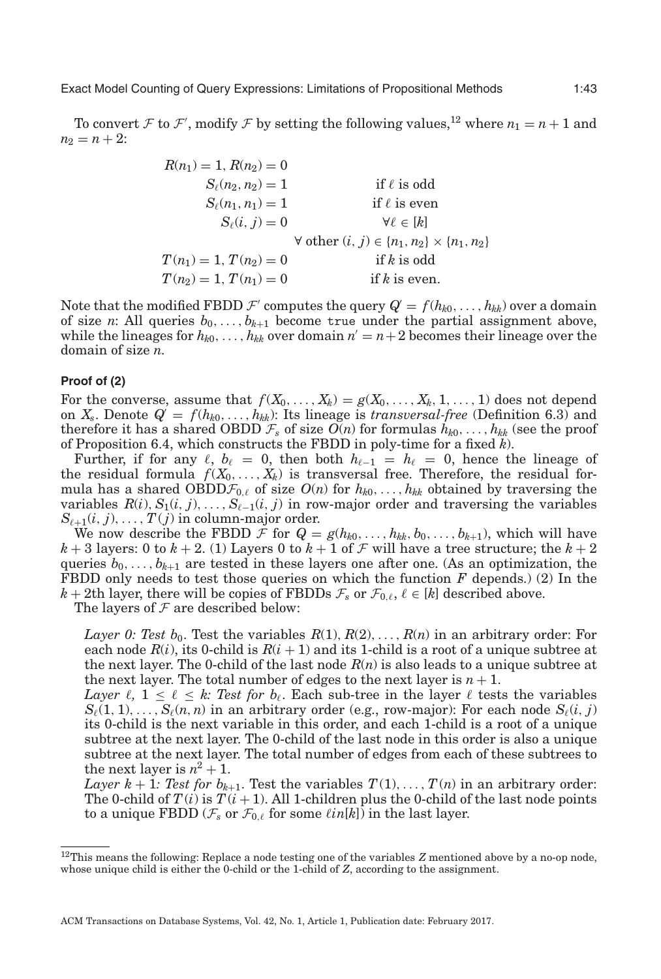To convert F to F', modify F by setting the following values,<sup>[12](#page-42-0)</sup> where  $n_1 = n + 1$  and  $n_2 = n + 2$ :

| $R(n_1) = 1, R(n_2) = 0$ |                                                               |
|--------------------------|---------------------------------------------------------------|
| $S_{\ell}(n_2, n_2) = 1$ | if $\ell$ is odd                                              |
| $S_{\ell}(n_1, n_1) = 1$ | if $\ell$ is even                                             |
| $S_{\ell}(i, j) = 0$     | $\forall \ell \in [k]$                                        |
|                          | $\forall$ other $(i, j) \in \{n_1, n_2\} \times \{n_1, n_2\}$ |
| $T(n_1) = 1, T(n_2) = 0$ | if $k$ is odd                                                 |
| $T(n_2) = 1, T(n_1) = 0$ | if $k$ is even.                                               |

Note that the modified FBDD  $\mathcal{F}'$  computes the query  $Q' = f(h_{k0}, \ldots, h_{kk})$  over a domain of size *n*: All queries  $b_0, \ldots, b_{k+1}$  become true under the partial assignment above, while the lineages for  $h_{k0}, \ldots, h_{kk}$  over domain  $n' = n + 2$  becomes their lineage over the domain of size *n*.

#### **Proof of (2)**

For the converse, assume that  $f(X_0, \ldots, X_k) = g(X_0, \ldots, X_k, 1, \ldots, 1)$  does not depend on  $X_s$ . Denote  $Q = f(h_{k0},..., h_{kk})$ : Its lineage is *transversal-free* (Definition [6.3\)](#page-34-1) and therefore it has a shared OBDD  $\mathcal{F}_s$  of size  $O(n)$  for formulas  $h_{k0}, \ldots, h_{kk}$  (see the proof of Proposition [6.4,](#page-34-0) which constructs the FBDD in poly-time for a fixed *k*).

Further, if for any  $\ell$ ,  $b_{\ell} = 0$ , then both  $h_{\ell-1} = h_{\ell} = 0$ , hence the lineage of the residual formula  $f(X_0, \ldots, X_k)$  is transversal free. Therefore, the residual formula has a shared OBDD $\mathcal{F}_{0,\ell}$  of size  $O(n)$  for  $h_{k0}, \ldots, h_{kk}$  obtained by traversing the variables  $R(i)$ ,  $S_1(i, j)$ ,...,  $S_{\ell-1}(i, j)$  in row-major order and traversing the variables  $S_{\ell+1}(i, j), \ldots, T(j)$  in column-major order.

We now describe the FBDD  $\mathcal{F}$  for  $Q = g(h_{k0}, \ldots, h_{kk}, b_0, \ldots, b_{k+1})$ , which will have  $k+3$  layers: 0 to  $k+2$ . (1) Layers 0 to  $k+1$  of  $\mathcal F$  will have a tree structure; the  $k+2$ queries  $b_0, \ldots, b_{k+1}$  are tested in these layers one after one. (As an optimization, the FBDD only needs to test those queries on which the function *F* depends.) (2) In the  $k+2$ th layer, there will be copies of FBDDs  $\mathcal{F}_s$  or  $\mathcal{F}_{0,\ell}, \ell \in [k]$  described above.

The layers of  $\mathcal F$  are described below:

*Layer 0: Test b*<sub>0</sub>. Test the variables  $R(1), R(2), \ldots, R(n)$  in an arbitrary order: For each node  $R(i)$ , its 0-child is  $R(i + 1)$  and its 1-child is a root of a unique subtree at the next layer. The 0-child of the last node *R*(*n*) is also leads to a unique subtree at the next layer. The total number of edges to the next layer is  $n + 1$ .

*Layer*  $\ell$ ,  $1 \leq \ell \leq k$ : Test for  $b_{\ell}$ . Each sub-tree in the layer  $\ell$  tests the variables  $S_{\ell}(1, 1), \ldots, S_{\ell}(n, n)$  in an arbitrary order (e.g., row-major): For each node  $S_{\ell}(i, j)$ its 0-child is the next variable in this order, and each 1-child is a root of a unique subtree at the next layer. The 0-child of the last node in this order is also a unique subtree at the next layer. The total number of edges from each of these subtrees to the next layer is  $n^2 + 1$ .

*Layer k* + 1*: Test for b<sub>k+1</sub></sub>. Test the variables*  $T(1),..., T(n)$  *in an arbitrary order:* The 0-child of  $T(i)$  is  $T(i+1)$ . All 1-children plus the 0-child of the last node points to a unique FBDD  $(\mathcal{F}_s$  or  $\mathcal{F}_{0,\ell}$  for some  $\ell in[k]$ ) in the last layer.

<span id="page-42-0"></span><sup>&</sup>lt;sup>12</sup>This means the following: Replace a node testing one of the variables *Z* mentioned above by a no-op node, whose unique child is either the 0-child or the 1-child of *Z*, according to the assignment.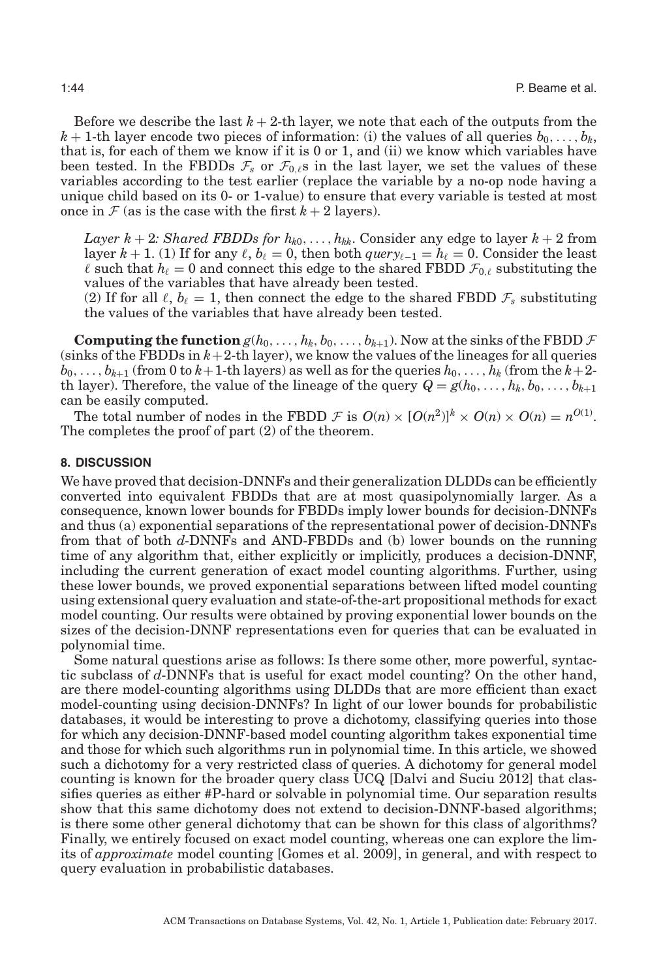Before we describe the last  $k + 2$ -th layer, we note that each of the outputs from the  $k+1$ -th layer encode two pieces of information: (i) the values of all queries  $b_0, \ldots, b_k$ , that is, for each of them we know if it is 0 or 1, and (ii) we know which variables have been tested. In the FBDDs  $\mathcal{F}_s$  or  $\mathcal{F}_{0,\ell}$ s in the last layer, we set the values of these variables according to the test earlier (replace the variable by a no-op node having a unique child based on its 0- or 1-value) to ensure that every variable is tested at most once in  $\mathcal F$  (as is the case with the first  $k+2$  layers).

*Layer k* + 2*: Shared FBDDs for*  $h_{k0}, \ldots, h_{kk}$ *. Consider any edge to layer*  $k + 2$  *from* layer  $k + 1$ . (1) If for any  $\ell$ ,  $b_{\ell} = 0$ , then both *query*<sub> $\ell-1$ </sub> =  $h_{\ell} = 0$ . Consider the least  $\ell$  such that  $h_{\ell} = 0$  and connect this edge to the shared FBDD  $\mathcal{F}_{0,\ell}$  substituting the values of the variables that have already been tested.

(2) If for all  $\ell$ ,  $b_{\ell} = 1$ , then connect the edge to the shared FBDD  $\mathcal{F}_s$  substituting the values of the variables that have already been tested.

**Computing the function**  $g(h_0, \ldots, h_k, b_0, \ldots, b_{k+1})$ . Now at the sinks of the FBDD  $\mathcal F$ (sinks of the FBDDs in  $k+2$ -th layer), we know the values of the lineages for all queries  $b_0, \ldots, b_{k+1}$  (from 0 to  $k+1$ -th layers) as well as for the queries  $h_0, \ldots, h_k$  (from the  $k+2$ th layer). Therefore, the value of the lineage of the query  $Q = g(h_0, \ldots, h_k, b_0, \ldots, b_{k+1})$ can be easily computed.

The total number of nodes in the FBDD  $\mathcal{F}$  is  $O(n) \times [O(n^2)]^k \times O(n) \times O(n) = n^{O(1)}$ . The completes the proof of part (2) of the theorem.

### **8. DISCUSSION**

<span id="page-43-0"></span>We have proved that decision-DNNFs and their generalization DLDDs can be efficiently converted into equivalent FBDDs that are at most quasipolynomially larger. As a consequence, known lower bounds for FBDDs imply lower bounds for decision-DNNFs and thus (a) exponential separations of the representational power of decision-DNNFs from that of both *d*-DNNFs and AND-FBDDs and (b) lower bounds on the running time of any algorithm that, either explicitly or implicitly, produces a decision-DNNF, including the current generation of exact model counting algorithms. Further, using these lower bounds, we proved exponential separations between lifted model counting using extensional query evaluation and state-of-the-art propositional methods for exact model counting. Our results were obtained by proving exponential lower bounds on the sizes of the decision-DNNF representations even for queries that can be evaluated in polynomial time.

Some natural questions arise as follows: Is there some other, more powerful, syntactic subclass of *d*-DNNFs that is useful for exact model counting? On the other hand, are there model-counting algorithms using DLDDs that are more efficient than exact model-counting using decision-DNNFs? In light of our lower bounds for probabilistic databases, it would be interesting to prove a dichotomy, classifying queries into those for which any decision-DNNF-based model counting algorithm takes exponential time and those for which such algorithms run in polynomial time. In this article, we showed such a dichotomy for a very restricted class of queries. A dichotomy for general model counting is known for the broader query class UCQ [Dalvi and Suciu [2012\]](#page-44-20) that classifies queries as either #P-hard or solvable in polynomial time. Our separation results show that this same dichotomy does not extend to decision-DNNF-based algorithms; is there some other general dichotomy that can be shown for this class of algorithms? Finally, we entirely focused on exact model counting, whereas one can explore the limits of *approximate* model counting [Gomes et al. [2009\]](#page-44-6), in general, and with respect to query evaluation in probabilistic databases.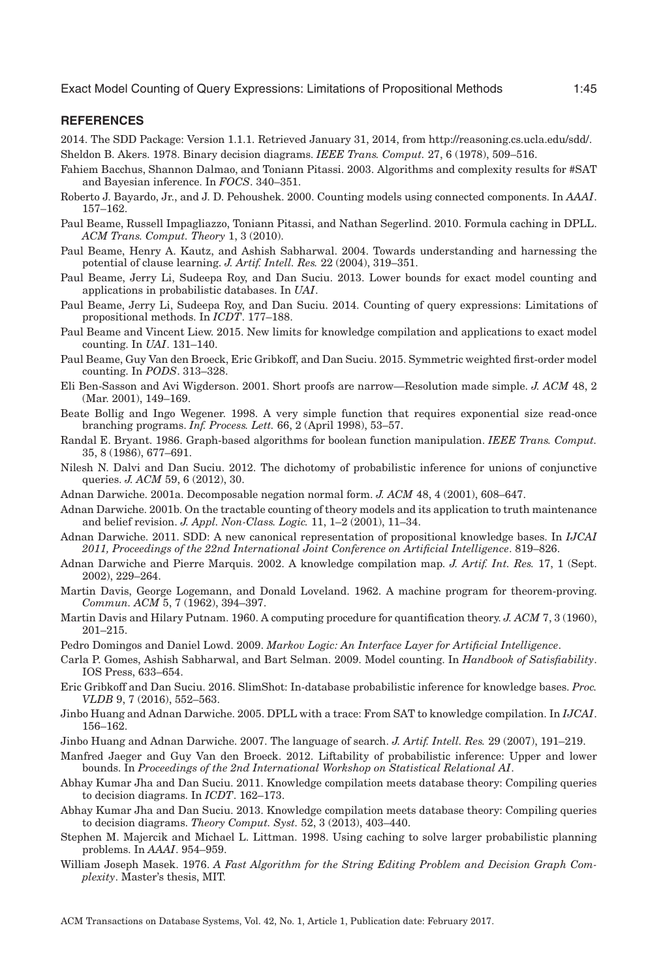# **REFERENCES**

<span id="page-44-16"></span>2014. The SDD Package: Version 1.1.1. Retrieved January 31, 2014, from [http://reasoning.cs.ucla.edu/sdd/.](http://reasoning.cs.ucla.edu/sdd/) Sheldon B. Akers. 1978. Binary decision diagrams. *IEEE Trans. Comput.* 27, 6 (1978), 509–516.

- <span id="page-44-24"></span><span id="page-44-9"></span>Fahiem Bacchus, Shannon Dalmao, and Toniann Pitassi. 2003. Algorithms and complexity results for #SAT and Bayesian inference. In *FOCS*. 340–351.
- <span id="page-44-8"></span>Roberto J. Bayardo, Jr., and J. D. Pehoushek. 2000. Counting models using connected components. In *AAAI*. 157–162.
- <span id="page-44-22"></span>Paul Beame, Russell Impagliazzo, Toniann Pitassi, and Nathan Segerlind. 2010. Formula caching in DPLL. *ACM Trans. Comput. Theory* 1, 3 (2010).
- <span id="page-44-18"></span>Paul Beame, Henry A. Kautz, and Ashish Sabharwal. 2004. Towards understanding and harnessing the potential of clause learning. *J. Artif. Intell. Res.* 22 (2004), 319–351.
- <span id="page-44-0"></span>Paul Beame, Jerry Li, Sudeepa Roy, and Dan Suciu. 2013. Lower bounds for exact model counting and applications in probabilistic databases. In *UAI*.
- <span id="page-44-1"></span>Paul Beame, Jerry Li, Sudeepa Roy, and Dan Suciu. 2014. Counting of query expressions: Limitations of propositional methods. In *ICDT*. 177–188.
- <span id="page-44-17"></span>Paul Beame and Vincent Liew. 2015. New limits for knowledge compilation and applications to exact model counting. In *UAI*. 131–140.
- <span id="page-44-5"></span>Paul Beame, Guy Van den Broeck, Eric Gribkoff, and Dan Suciu. 2015. Symmetric weighted first-order model counting. In *PODS*. 313–328.
- <span id="page-44-19"></span>Eli Ben-Sasson and Avi Wigderson. 2001. Short proofs are narrow—Resolution made simple. *J. ACM* 48, 2 (Mar. 2001), 149–169.
- <span id="page-44-27"></span>Beate Bollig and Ingo Wegener. 1998. A very simple function that requires exponential size read-once branching programs. *Inf. Process. Lett.* 66, 2 (April 1998), 53–57.
- <span id="page-44-26"></span>Randal E. Bryant. 1986. Graph-based algorithms for boolean function manipulation. *IEEE Trans. Comput.* 35, 8 (1986), 677–691.
- <span id="page-44-20"></span>Nilesh N. Dalvi and Dan Suciu. 2012. The dichotomy of probabilistic inference for unions of conjunctive queries. *J. ACM* 59, 6 (2012), 30.
- <span id="page-44-10"></span>Adnan Darwiche. 2001a. Decomposable negation normal form. *J. ACM* 48, 4 (2001), 608–647.
- <span id="page-44-11"></span>Adnan Darwiche. 2001b. On the tractable counting of theory models and its application to truth maintenance and belief revision. *J. Appl. Non-Class. Logic.* 11, 1–2 (2001), 11–34.
- <span id="page-44-15"></span>Adnan Darwiche. 2011. SDD: A new canonical representation of propositional knowledge bases. In *IJCAI 2011, Proceedings of the 22nd International Joint Conference on Artificial Intelligence*. 819–826.
- <span id="page-44-14"></span>Adnan Darwiche and Pierre Marquis. 2002. A knowledge compilation map. *J. Artif. Int. Res.* 17, 1 (Sept. 2002), 229–264.
- <span id="page-44-3"></span>Martin Davis, George Logemann, and Donald Loveland. 1962. A machine program for theorem-proving. *Commun. ACM* 5, 7 (1962), 394–397.
- <span id="page-44-2"></span>Martin Davis and Hilary Putnam. 1960. A computing procedure for quantification theory. *J. ACM* 7, 3 (1960), 201–215.
- <span id="page-44-28"></span>Pedro Domingos and Daniel Lowd. 2009. *Markov Logic: An Interface Layer for Artificial Intelligence*.
- <span id="page-44-6"></span>Carla P. Gomes, Ashish Sabharwal, and Bart Selman. 2009. Model counting. In *Handbook of Satisfiability*. IOS Press, 633–654.
- <span id="page-44-29"></span>Eric Gribkoff and Dan Suciu. 2016. SlimShot: In-database probabilistic inference for knowledge bases. *Proc. VLDB* 9, 7 (2016), 552–563.
- <span id="page-44-13"></span>Jinbo Huang and Adnan Darwiche. 2005. DPLL with a trace: From SAT to knowledge compilation. In *IJCAI*. 156–162.
- <span id="page-44-12"></span>Jinbo Huang and Adnan Darwiche. 2007. The language of search. *J. Artif. Intell. Res.* 29 (2007), 191–219.
- <span id="page-44-4"></span>Manfred Jaeger and Guy Van den Broeck. 2012. Liftability of probabilistic inference: Upper and lower bounds. In *Proceedings of the 2nd International Workshop on Statistical Relational AI*.
- <span id="page-44-23"></span>Abhay Kumar Jha and Dan Suciu. 2011. Knowledge compilation meets database theory: Compiling queries to decision diagrams. In *ICDT*. 162–173.
- <span id="page-44-21"></span>Abhay Kumar Jha and Dan Suciu. 2013. Knowledge compilation meets database theory: Compiling queries to decision diagrams. *Theory Comput. Syst.* 52, 3 (2013), 403–440.
- <span id="page-44-7"></span>Stephen M. Majercik and Michael L. Littman. 1998. Using caching to solve larger probabilistic planning problems. In *AAAI*. 954–959.
- <span id="page-44-25"></span>William Joseph Masek. 1976. *A Fast Algorithm for the String Editing Problem and Decision Graph Complexity*. Master's thesis, MIT.